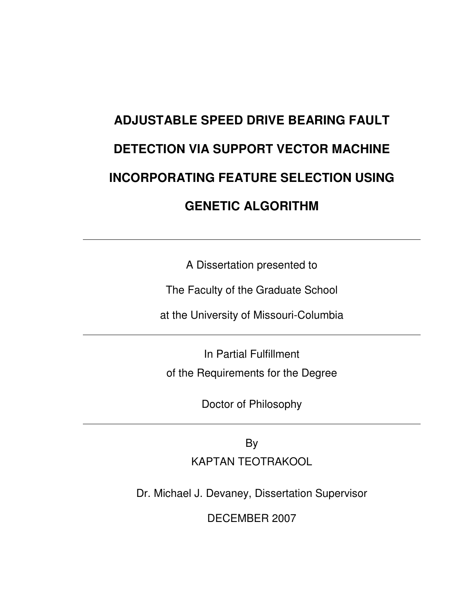# **ADJUSTABLE SPEED DRIVE BEARING FAULT DETECTION VIA SUPPORT VECTOR MACHINE INCORPORATING FEATURE SELECTION USING GENETIC ALGORITHM**

A Dissertation presented to

The Faculty of the Graduate School

at the University of Missouri-Columbia

In Partial Fulfillment of the Requirements for the Degree

Doctor of Philosophy

By KAPTAN TEOTRAKOOL

Dr. Michael J. Devaney, Dissertation Supervisor

DECEMBER 2007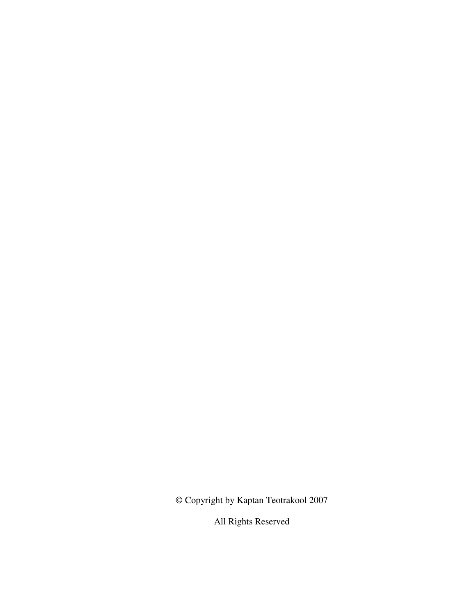© Copyright by Kaptan Teotrakool 2007

All Rights Reserved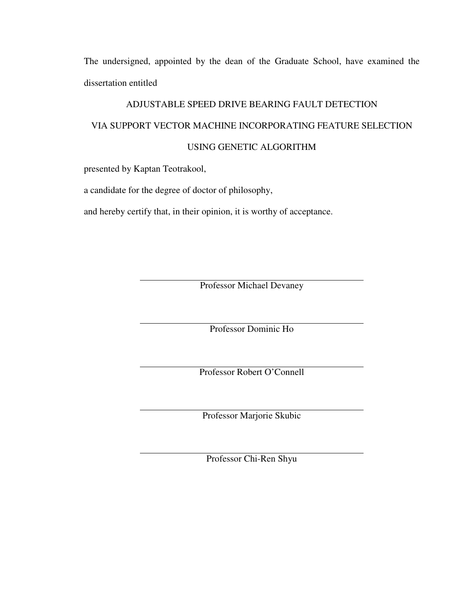The undersigned, appointed by the dean of the Graduate School, have examined the dissertation entitled

#### ADJUSTABLE SPEED DRIVE BEARING FAULT DETECTION

#### VIA SUPPORT VECTOR MACHINE INCORPORATING FEATURE SELECTION

#### USING GENETIC ALGORITHM

presented by Kaptan Teotrakool,

a candidate for the degree of doctor of philosophy,

and hereby certify that, in their opinion, it is worthy of acceptance.

Professor Michael Devaney

Professor Dominic Ho

Professor Robert O'Connell

Professor Marjorie Skubic

Professor Chi-Ren Shyu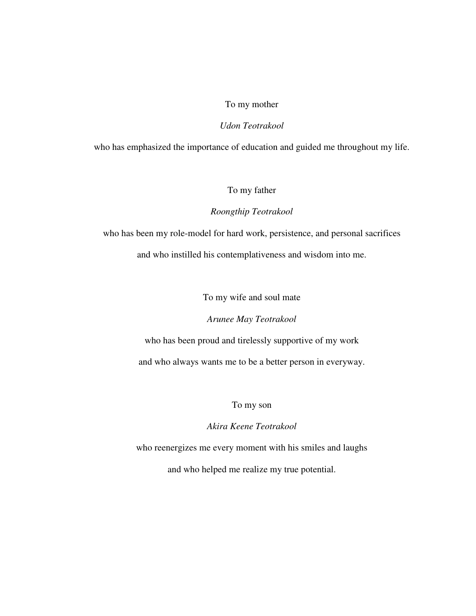#### To my mother

#### *Udon Teotrakool*

who has emphasized the importance of education and guided me throughout my life.

#### To my father

#### *Roongthip Teotrakool*

who has been my role-model for hard work, persistence, and personal sacrifices and who instilled his contemplativeness and wisdom into me.

To my wife and soul mate

*Arunee May Teotrakool* 

who has been proud and tirelessly supportive of my work and who always wants me to be a better person in everyway.

To my son

*Akira Keene Teotrakool* 

who reenergizes me every moment with his smiles and laughs

and who helped me realize my true potential.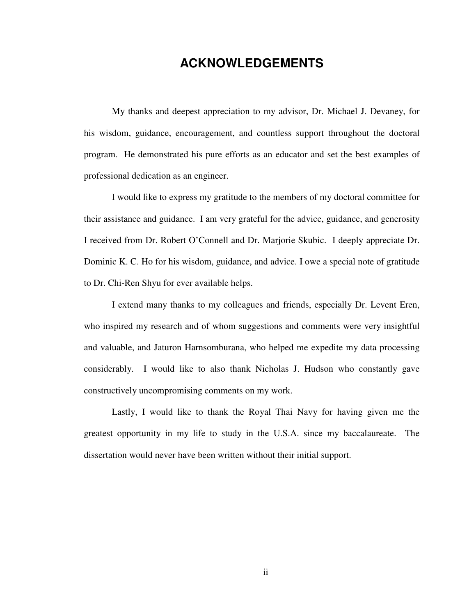# **ACKNOWLEDGEMENTS**

My thanks and deepest appreciation to my advisor, Dr. Michael J. Devaney, for his wisdom, guidance, encouragement, and countless support throughout the doctoral program. He demonstrated his pure efforts as an educator and set the best examples of professional dedication as an engineer.

I would like to express my gratitude to the members of my doctoral committee for their assistance and guidance. I am very grateful for the advice, guidance, and generosity I received from Dr. Robert O'Connell and Dr. Marjorie Skubic. I deeply appreciate Dr. Dominic K. C. Ho for his wisdom, guidance, and advice. I owe a special note of gratitude to Dr. Chi-Ren Shyu for ever available helps.

I extend many thanks to my colleagues and friends, especially Dr. Levent Eren, who inspired my research and of whom suggestions and comments were very insightful and valuable, and Jaturon Harnsomburana, who helped me expedite my data processing considerably. I would like to also thank Nicholas J. Hudson who constantly gave constructively uncompromising comments on my work.

Lastly, I would like to thank the Royal Thai Navy for having given me the greatest opportunity in my life to study in the U.S.A. since my baccalaureate. The dissertation would never have been written without their initial support.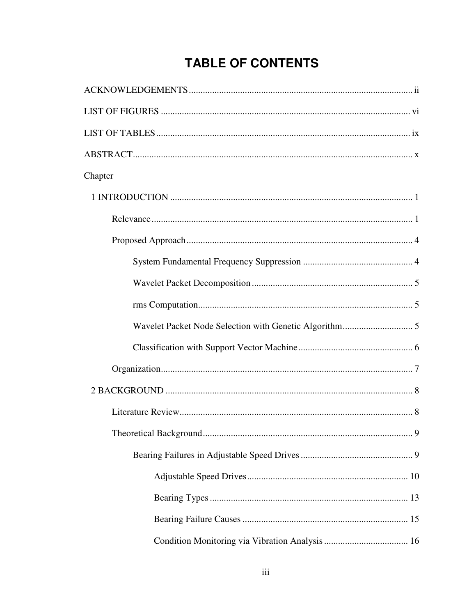# **TABLE OF CONTENTS**

| Chapter |
|---------|
|         |
|         |
|         |
|         |
|         |
|         |
|         |
|         |
|         |
|         |
|         |
|         |
|         |
|         |
|         |
|         |
|         |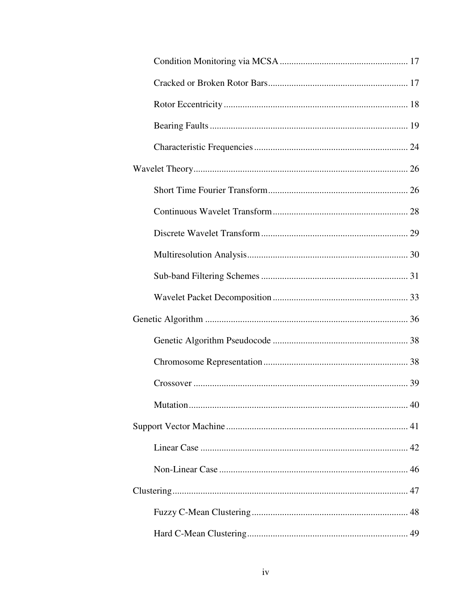| Mutation |
|----------|
|          |
|          |
|          |
|          |
|          |
|          |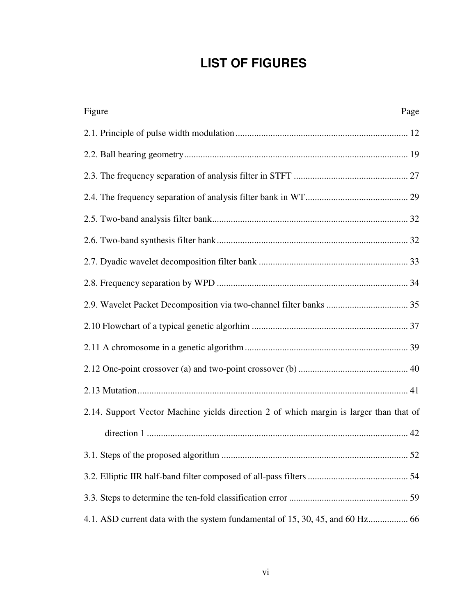# **LIST OF FIGURES**

| Figure<br>Page                                                                         |
|----------------------------------------------------------------------------------------|
|                                                                                        |
|                                                                                        |
|                                                                                        |
|                                                                                        |
|                                                                                        |
|                                                                                        |
|                                                                                        |
|                                                                                        |
|                                                                                        |
|                                                                                        |
|                                                                                        |
|                                                                                        |
|                                                                                        |
| 2.14. Support Vector Machine yields direction 2 of which margin is larger than that of |
|                                                                                        |
|                                                                                        |
|                                                                                        |
|                                                                                        |
|                                                                                        |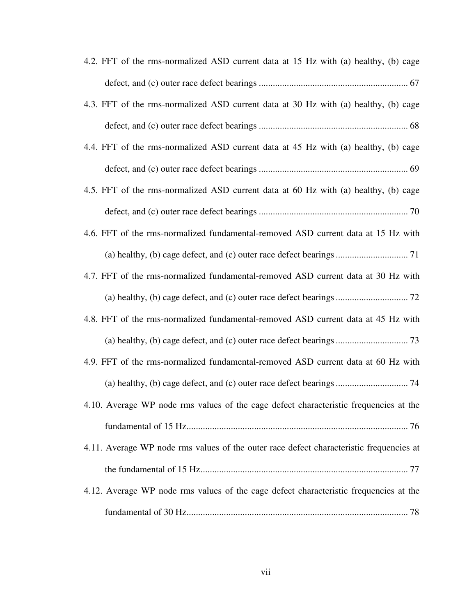| 4.2. FFT of the rms-normalized ASD current data at 15 Hz with (a) healthy, (b) cage     |
|-----------------------------------------------------------------------------------------|
|                                                                                         |
| 4.3. FFT of the rms-normalized ASD current data at 30 Hz with (a) healthy, (b) cage     |
|                                                                                         |
| 4.4. FFT of the rms-normalized ASD current data at 45 Hz with (a) healthy, (b) cage     |
|                                                                                         |
| 4.5. FFT of the rms-normalized ASD current data at 60 Hz with (a) healthy, (b) cage     |
|                                                                                         |
| 4.6. FFT of the rms-normalized fundamental-removed ASD current data at 15 Hz with       |
|                                                                                         |
| 4.7. FFT of the rms-normalized fundamental-removed ASD current data at 30 Hz with       |
|                                                                                         |
| 4.8. FFT of the rms-normalized fundamental-removed ASD current data at 45 Hz with       |
|                                                                                         |
| 4.9. FFT of the rms-normalized fundamental-removed ASD current data at 60 Hz with       |
|                                                                                         |
| 4.10. Average WP node rms values of the cage defect characteristic frequencies at the   |
|                                                                                         |
| 4.11. Average WP node rms values of the outer race defect characteristic frequencies at |
|                                                                                         |
| 4.12. Average WP node rms values of the cage defect characteristic frequencies at the   |
|                                                                                         |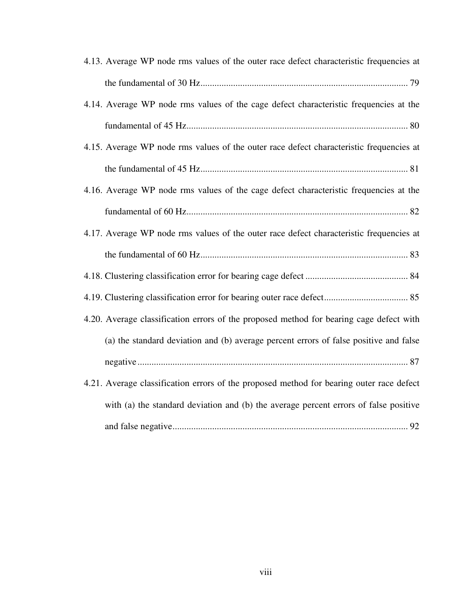| 4.13. Average WP node rms values of the outer race defect characteristic frequencies at  |
|------------------------------------------------------------------------------------------|
|                                                                                          |
| 4.14. Average WP node rms values of the cage defect characteristic frequencies at the    |
|                                                                                          |
| 4.15. Average WP node rms values of the outer race defect characteristic frequencies at  |
|                                                                                          |
| 4.16. Average WP node rms values of the cage defect characteristic frequencies at the    |
|                                                                                          |
| 4.17. Average WP node rms values of the outer race defect characteristic frequencies at  |
|                                                                                          |
|                                                                                          |
|                                                                                          |
| 4.20. Average classification errors of the proposed method for bearing cage defect with  |
| (a) the standard deviation and (b) average percent errors of false positive and false    |
|                                                                                          |
| 4.21. Average classification errors of the proposed method for bearing outer race defect |
| with (a) the standard deviation and (b) the average percent errors of false positive     |
|                                                                                          |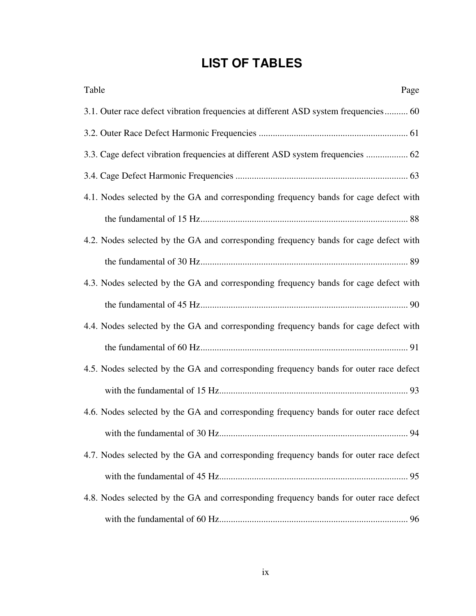# **LIST OF TABLES**

| Table<br>Page                                                                         |
|---------------------------------------------------------------------------------------|
| 3.1. Outer race defect vibration frequencies at different ASD system frequencies 60   |
|                                                                                       |
| 3.3. Cage defect vibration frequencies at different ASD system frequencies  62        |
|                                                                                       |
| 4.1. Nodes selected by the GA and corresponding frequency bands for cage defect with  |
|                                                                                       |
| 4.2. Nodes selected by the GA and corresponding frequency bands for cage defect with  |
|                                                                                       |
| 4.3. Nodes selected by the GA and corresponding frequency bands for cage defect with  |
|                                                                                       |
| 4.4. Nodes selected by the GA and corresponding frequency bands for cage defect with  |
|                                                                                       |
| 4.5. Nodes selected by the GA and corresponding frequency bands for outer race defect |
|                                                                                       |
| 4.6. Nodes selected by the GA and corresponding frequency bands for outer race defect |
|                                                                                       |
| 4.7. Nodes selected by the GA and corresponding frequency bands for outer race defect |
|                                                                                       |
| 4.8. Nodes selected by the GA and corresponding frequency bands for outer race defect |
|                                                                                       |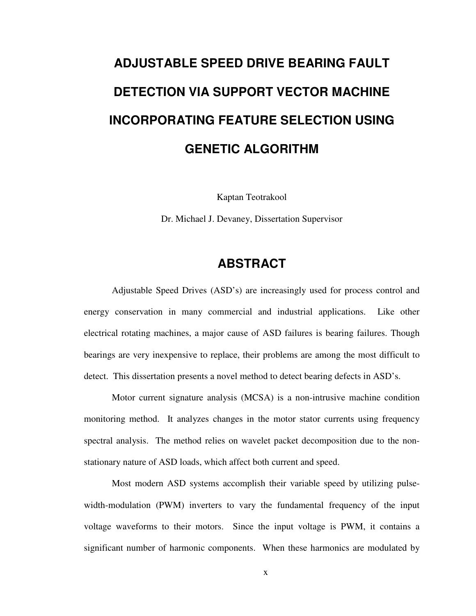# **ADJUSTABLE SPEED DRIVE BEARING FAULT DETECTION VIA SUPPORT VECTOR MACHINE INCORPORATING FEATURE SELECTION USING GENETIC ALGORITHM**

Kaptan Teotrakool

Dr. Michael J. Devaney, Dissertation Supervisor

# **ABSTRACT**

Adjustable Speed Drives (ASD's) are increasingly used for process control and energy conservation in many commercial and industrial applications. Like other electrical rotating machines, a major cause of ASD failures is bearing failures. Though bearings are very inexpensive to replace, their problems are among the most difficult to detect. This dissertation presents a novel method to detect bearing defects in ASD's.

Motor current signature analysis (MCSA) is a non-intrusive machine condition monitoring method. It analyzes changes in the motor stator currents using frequency spectral analysis. The method relies on wavelet packet decomposition due to the nonstationary nature of ASD loads, which affect both current and speed.

Most modern ASD systems accomplish their variable speed by utilizing pulsewidth-modulation (PWM) inverters to vary the fundamental frequency of the input voltage waveforms to their motors. Since the input voltage is PWM, it contains a significant number of harmonic components. When these harmonics are modulated by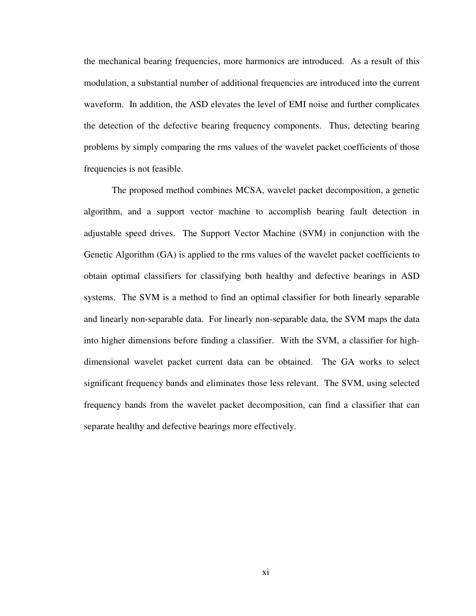the mechanical bearing frequencies, more harmonics are introduced. As a result of this modulation, a substantial number of additional frequencies are introduced into the current waveform. In addition, the ASD elevates the level of EMI noise and further complicates the detection of the defective bearing frequency components. Thus, detecting bearing problems by simply comparing the rms values of the wavelet packet coefficients of those frequencies is not feasible.

The proposed method combines MCSA, wavelet packet decomposition, a genetic algorithm, and a support vector machine to accomplish bearing fault detection in adjustable speed drives. The Support Vector Machine (SVM) in conjunction with the Genetic Algorithm (GA) is applied to the rms values of the wavelet packet coefficients to obtain optimal classifiers for classifying both healthy and defective bearings in ASD systems. The SVM is a method to find an optimal classifier for both linearly separable and linearly non-separable data. For linearly non-separable data, the SVM maps the data into higher dimensions before finding a classifier. With the SVM, a classifier for highdimensional wavelet packet current data can be obtained. The GA works to select significant frequency bands and eliminates those less relevant. The SVM, using selected frequency bands from the wavelet packet decomposition, can find a classifier that can separate healthy and defective bearings more effectively.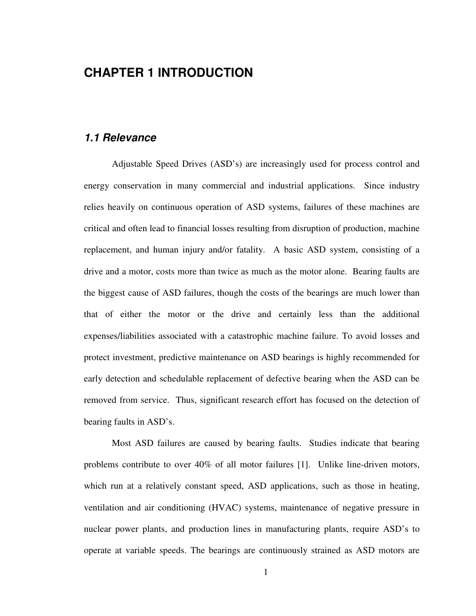# **CHAPTER 1 INTRODUCTION**

### **1.1 Relevance**

Adjustable Speed Drives (ASD's) are increasingly used for process control and energy conservation in many commercial and industrial applications. Since industry relies heavily on continuous operation of ASD systems, failures of these machines are critical and often lead to financial losses resulting from disruption of production, machine replacement, and human injury and/or fatality. A basic ASD system, consisting of a drive and a motor, costs more than twice as much as the motor alone. Bearing faults are the biggest cause of ASD failures, though the costs of the bearings are much lower than that of either the motor or the drive and certainly less than the additional expenses/liabilities associated with a catastrophic machine failure. To avoid losses and protect investment, predictive maintenance on ASD bearings is highly recommended for early detection and schedulable replacement of defective bearing when the ASD can be removed from service. Thus, significant research effort has focused on the detection of bearing faults in ASD's.

Most ASD failures are caused by bearing faults. Studies indicate that bearing problems contribute to over 40% of all motor failures [1]. Unlike line-driven motors, which run at a relatively constant speed, ASD applications, such as those in heating, ventilation and air conditioning (HVAC) systems, maintenance of negative pressure in nuclear power plants, and production lines in manufacturing plants, require ASD's to operate at variable speeds. The bearings are continuously strained as ASD motors are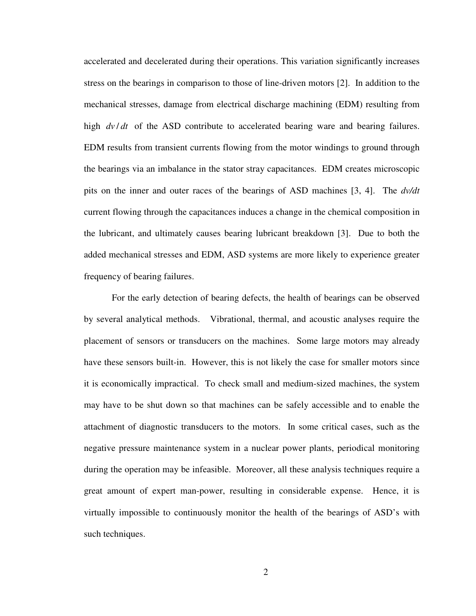accelerated and decelerated during their operations. This variation significantly increases stress on the bearings in comparison to those of line-driven motors [2]. In addition to the mechanical stresses, damage from electrical discharge machining (EDM) resulting from high  $dv/dt$  of the ASD contribute to accelerated bearing ware and bearing failures. EDM results from transient currents flowing from the motor windings to ground through the bearings via an imbalance in the stator stray capacitances. EDM creates microscopic pits on the inner and outer races of the bearings of ASD machines [3, 4]. The *dv/dt* current flowing through the capacitances induces a change in the chemical composition in the lubricant, and ultimately causes bearing lubricant breakdown [3]. Due to both the added mechanical stresses and EDM, ASD systems are more likely to experience greater frequency of bearing failures.

For the early detection of bearing defects, the health of bearings can be observed by several analytical methods. Vibrational, thermal, and acoustic analyses require the placement of sensors or transducers on the machines. Some large motors may already have these sensors built-in. However, this is not likely the case for smaller motors since it is economically impractical. To check small and medium-sized machines, the system may have to be shut down so that machines can be safely accessible and to enable the attachment of diagnostic transducers to the motors. In some critical cases, such as the negative pressure maintenance system in a nuclear power plants, periodical monitoring during the operation may be infeasible. Moreover, all these analysis techniques require a great amount of expert man-power, resulting in considerable expense. Hence, it is virtually impossible to continuously monitor the health of the bearings of ASD's with such techniques.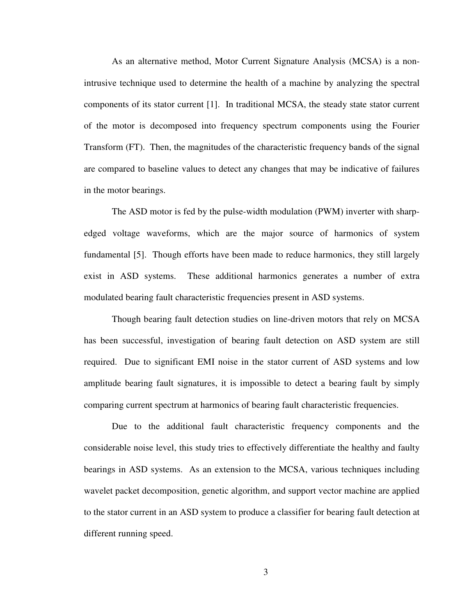As an alternative method, Motor Current Signature Analysis (MCSA) is a nonintrusive technique used to determine the health of a machine by analyzing the spectral components of its stator current [1]. In traditional MCSA, the steady state stator current of the motor is decomposed into frequency spectrum components using the Fourier Transform (FT). Then, the magnitudes of the characteristic frequency bands of the signal are compared to baseline values to detect any changes that may be indicative of failures in the motor bearings.

The ASD motor is fed by the pulse-width modulation (PWM) inverter with sharpedged voltage waveforms, which are the major source of harmonics of system fundamental [5]. Though efforts have been made to reduce harmonics, they still largely exist in ASD systems. These additional harmonics generates a number of extra modulated bearing fault characteristic frequencies present in ASD systems.

Though bearing fault detection studies on line-driven motors that rely on MCSA has been successful, investigation of bearing fault detection on ASD system are still required. Due to significant EMI noise in the stator current of ASD systems and low amplitude bearing fault signatures, it is impossible to detect a bearing fault by simply comparing current spectrum at harmonics of bearing fault characteristic frequencies.

Due to the additional fault characteristic frequency components and the considerable noise level, this study tries to effectively differentiate the healthy and faulty bearings in ASD systems. As an extension to the MCSA, various techniques including wavelet packet decomposition, genetic algorithm, and support vector machine are applied to the stator current in an ASD system to produce a classifier for bearing fault detection at different running speed.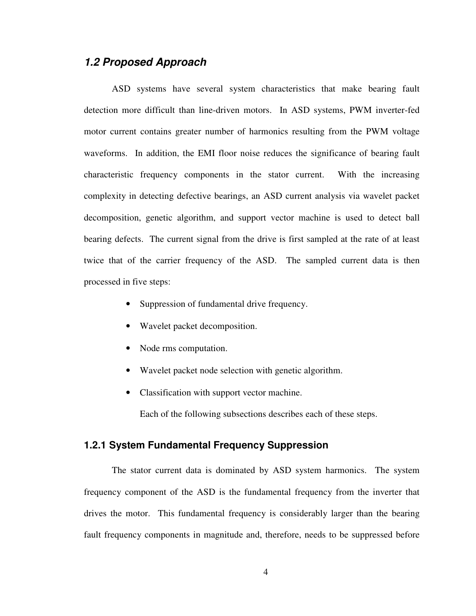## **1.2 Proposed Approach**

ASD systems have several system characteristics that make bearing fault detection more difficult than line-driven motors. In ASD systems, PWM inverter-fed motor current contains greater number of harmonics resulting from the PWM voltage waveforms. In addition, the EMI floor noise reduces the significance of bearing fault characteristic frequency components in the stator current. With the increasing complexity in detecting defective bearings, an ASD current analysis via wavelet packet decomposition, genetic algorithm, and support vector machine is used to detect ball bearing defects. The current signal from the drive is first sampled at the rate of at least twice that of the carrier frequency of the ASD. The sampled current data is then processed in five steps:

- Suppression of fundamental drive frequency.
- Wavelet packet decomposition.
- Node rms computation.
- Wavelet packet node selection with genetic algorithm.
- Classification with support vector machine.

Each of the following subsections describes each of these steps.

#### **1.2.1 System Fundamental Frequency Suppression**

The stator current data is dominated by ASD system harmonics. The system frequency component of the ASD is the fundamental frequency from the inverter that drives the motor. This fundamental frequency is considerably larger than the bearing fault frequency components in magnitude and, therefore, needs to be suppressed before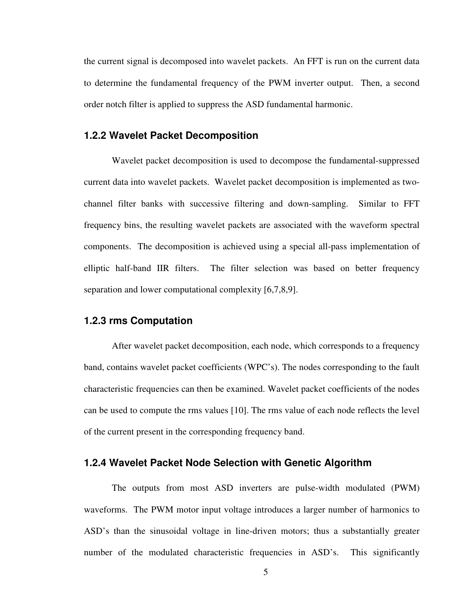the current signal is decomposed into wavelet packets. An FFT is run on the current data to determine the fundamental frequency of the PWM inverter output. Then, a second order notch filter is applied to suppress the ASD fundamental harmonic.

#### **1.2.2 Wavelet Packet Decomposition**

Wavelet packet decomposition is used to decompose the fundamental-suppressed current data into wavelet packets. Wavelet packet decomposition is implemented as twochannel filter banks with successive filtering and down-sampling. Similar to FFT frequency bins, the resulting wavelet packets are associated with the waveform spectral components. The decomposition is achieved using a special all-pass implementation of elliptic half-band IIR filters. The filter selection was based on better frequency separation and lower computational complexity [6,7,8,9].

#### **1.2.3 rms Computation**

After wavelet packet decomposition, each node, which corresponds to a frequency band, contains wavelet packet coefficients (WPC's). The nodes corresponding to the fault characteristic frequencies can then be examined. Wavelet packet coefficients of the nodes can be used to compute the rms values [10]. The rms value of each node reflects the level of the current present in the corresponding frequency band.

#### **1.2.4 Wavelet Packet Node Selection with Genetic Algorithm**

The outputs from most ASD inverters are pulse-width modulated (PWM) waveforms. The PWM motor input voltage introduces a larger number of harmonics to ASD's than the sinusoidal voltage in line-driven motors; thus a substantially greater number of the modulated characteristic frequencies in ASD's. This significantly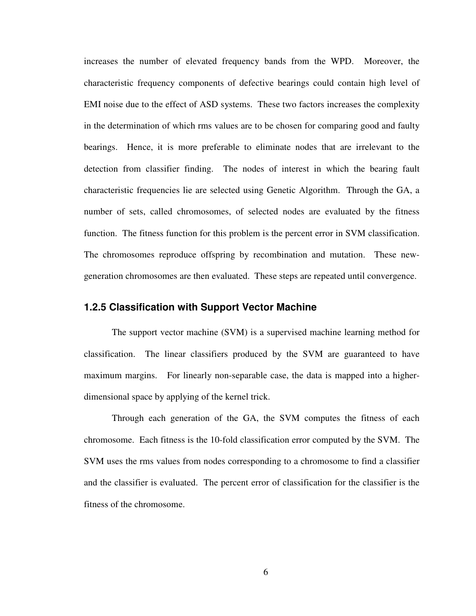increases the number of elevated frequency bands from the WPD. Moreover, the characteristic frequency components of defective bearings could contain high level of EMI noise due to the effect of ASD systems. These two factors increases the complexity in the determination of which rms values are to be chosen for comparing good and faulty bearings. Hence, it is more preferable to eliminate nodes that are irrelevant to the detection from classifier finding. The nodes of interest in which the bearing fault characteristic frequencies lie are selected using Genetic Algorithm. Through the GA, a number of sets, called chromosomes, of selected nodes are evaluated by the fitness function. The fitness function for this problem is the percent error in SVM classification. The chromosomes reproduce offspring by recombination and mutation. These newgeneration chromosomes are then evaluated. These steps are repeated until convergence.

#### **1.2.5 Classification with Support Vector Machine**

The support vector machine (SVM) is a supervised machine learning method for classification. The linear classifiers produced by the SVM are guaranteed to have maximum margins. For linearly non-separable case, the data is mapped into a higherdimensional space by applying of the kernel trick.

Through each generation of the GA, the SVM computes the fitness of each chromosome. Each fitness is the 10-fold classification error computed by the SVM. The SVM uses the rms values from nodes corresponding to a chromosome to find a classifier and the classifier is evaluated. The percent error of classification for the classifier is the fitness of the chromosome.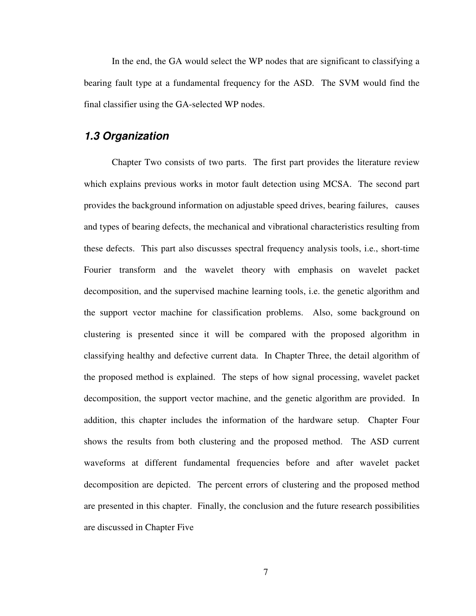In the end, the GA would select the WP nodes that are significant to classifying a bearing fault type at a fundamental frequency for the ASD. The SVM would find the final classifier using the GA-selected WP nodes.

## **1.3 Organization**

Chapter Two consists of two parts. The first part provides the literature review which explains previous works in motor fault detection using MCSA. The second part provides the background information on adjustable speed drives, bearing failures, causes and types of bearing defects, the mechanical and vibrational characteristics resulting from these defects. This part also discusses spectral frequency analysis tools, i.e., short-time Fourier transform and the wavelet theory with emphasis on wavelet packet decomposition, and the supervised machine learning tools, i.e. the genetic algorithm and the support vector machine for classification problems. Also, some background on clustering is presented since it will be compared with the proposed algorithm in classifying healthy and defective current data. In Chapter Three, the detail algorithm of the proposed method is explained. The steps of how signal processing, wavelet packet decomposition, the support vector machine, and the genetic algorithm are provided. In addition, this chapter includes the information of the hardware setup. Chapter Four shows the results from both clustering and the proposed method. The ASD current waveforms at different fundamental frequencies before and after wavelet packet decomposition are depicted. The percent errors of clustering and the proposed method are presented in this chapter. Finally, the conclusion and the future research possibilities are discussed in Chapter Five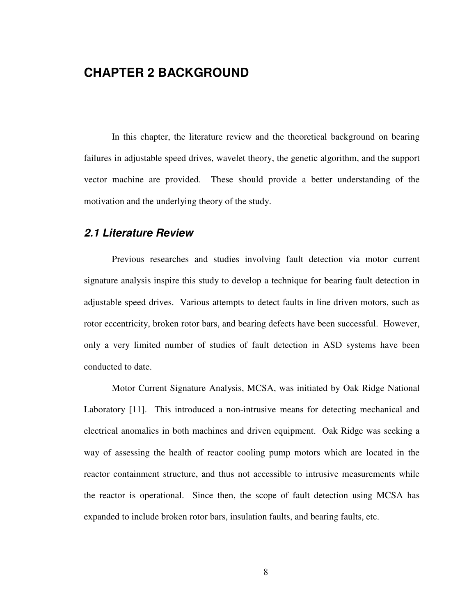## **CHAPTER 2 BACKGROUND**

In this chapter, the literature review and the theoretical background on bearing failures in adjustable speed drives, wavelet theory, the genetic algorithm, and the support vector machine are provided. These should provide a better understanding of the motivation and the underlying theory of the study.

#### **2.1 Literature Review**

Previous researches and studies involving fault detection via motor current signature analysis inspire this study to develop a technique for bearing fault detection in adjustable speed drives. Various attempts to detect faults in line driven motors, such as rotor eccentricity, broken rotor bars, and bearing defects have been successful. However, only a very limited number of studies of fault detection in ASD systems have been conducted to date.

Motor Current Signature Analysis, MCSA, was initiated by Oak Ridge National Laboratory [11]. This introduced a non-intrusive means for detecting mechanical and electrical anomalies in both machines and driven equipment. Oak Ridge was seeking a way of assessing the health of reactor cooling pump motors which are located in the reactor containment structure, and thus not accessible to intrusive measurements while the reactor is operational. Since then, the scope of fault detection using MCSA has expanded to include broken rotor bars, insulation faults, and bearing faults, etc.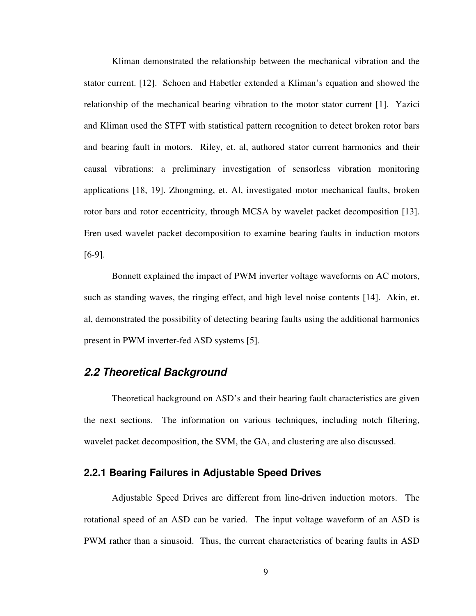Kliman demonstrated the relationship between the mechanical vibration and the stator current. [12]. Schoen and Habetler extended a Kliman's equation and showed the relationship of the mechanical bearing vibration to the motor stator current [1]. Yazici and Kliman used the STFT with statistical pattern recognition to detect broken rotor bars and bearing fault in motors. Riley, et. al, authored stator current harmonics and their causal vibrations: a preliminary investigation of sensorless vibration monitoring applications [18, 19]. Zhongming, et. Al, investigated motor mechanical faults, broken rotor bars and rotor eccentricity, through MCSA by wavelet packet decomposition [13]. Eren used wavelet packet decomposition to examine bearing faults in induction motors [6-9].

Bonnett explained the impact of PWM inverter voltage waveforms on AC motors, such as standing waves, the ringing effect, and high level noise contents [14]. Akin, et. al, demonstrated the possibility of detecting bearing faults using the additional harmonics present in PWM inverter-fed ASD systems [5].

### **2.2 Theoretical Background**

Theoretical background on ASD's and their bearing fault characteristics are given the next sections. The information on various techniques, including notch filtering, wavelet packet decomposition, the SVM, the GA, and clustering are also discussed.

#### **2.2.1 Bearing Failures in Adjustable Speed Drives**

Adjustable Speed Drives are different from line-driven induction motors. The rotational speed of an ASD can be varied. The input voltage waveform of an ASD is PWM rather than a sinusoid. Thus, the current characteristics of bearing faults in ASD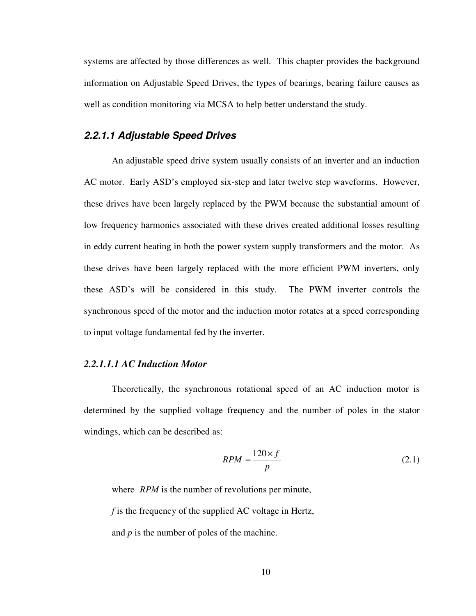systems are affected by those differences as well. This chapter provides the background information on Adjustable Speed Drives, the types of bearings, bearing failure causes as well as condition monitoring via MCSA to help better understand the study.

#### **2.2.1.1 Adjustable Speed Drives**

An adjustable speed drive system usually consists of an inverter and an induction AC motor. Early ASD's employed six-step and later twelve step waveforms. However, these drives have been largely replaced by the PWM because the substantial amount of low frequency harmonics associated with these drives created additional losses resulting in eddy current heating in both the power system supply transformers and the motor. As these drives have been largely replaced with the more efficient PWM inverters, only these ASD's will be considered in this study. The PWM inverter controls the synchronous speed of the motor and the induction motor rotates at a speed corresponding to input voltage fundamental fed by the inverter.

#### *2.2.1.1.1 AC Induction Motor*

Theoretically, the synchronous rotational speed of an AC induction motor is determined by the supplied voltage frequency and the number of poles in the stator windings, which can be described as:

$$
RPM = \frac{120 \times f}{p} \tag{2.1}
$$

where *RPM* is the number of revolutions per minute, *f* is the frequency of the supplied AC voltage in Hertz,

and *p* is the number of poles of the machine.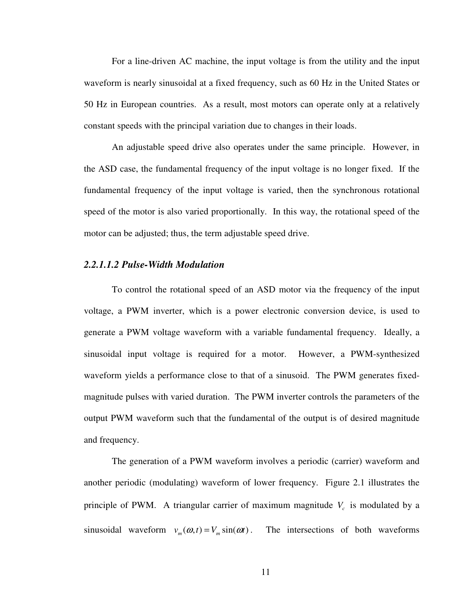For a line-driven AC machine, the input voltage is from the utility and the input waveform is nearly sinusoidal at a fixed frequency, such as 60 Hz in the United States or 50 Hz in European countries. As a result, most motors can operate only at a relatively constant speeds with the principal variation due to changes in their loads.

An adjustable speed drive also operates under the same principle. However, in the ASD case, the fundamental frequency of the input voltage is no longer fixed. If the fundamental frequency of the input voltage is varied, then the synchronous rotational speed of the motor is also varied proportionally. In this way, the rotational speed of the motor can be adjusted; thus, the term adjustable speed drive.

#### *2.2.1.1.2 Pulse-Width Modulation*

To control the rotational speed of an ASD motor via the frequency of the input voltage, a PWM inverter, which is a power electronic conversion device, is used to generate a PWM voltage waveform with a variable fundamental frequency. Ideally, a sinusoidal input voltage is required for a motor. However, a PWM-synthesized waveform yields a performance close to that of a sinusoid. The PWM generates fixedmagnitude pulses with varied duration. The PWM inverter controls the parameters of the output PWM waveform such that the fundamental of the output is of desired magnitude and frequency.

The generation of a PWM waveform involves a periodic (carrier) waveform and another periodic (modulating) waveform of lower frequency. Figure 2.1 illustrates the principle of PWM. A triangular carrier of maximum magnitude *V<sup>c</sup>* is modulated by a sinusoidal waveform  $v_m(\omega, t) = V_m \sin(\omega t)$ . The intersections of both waveforms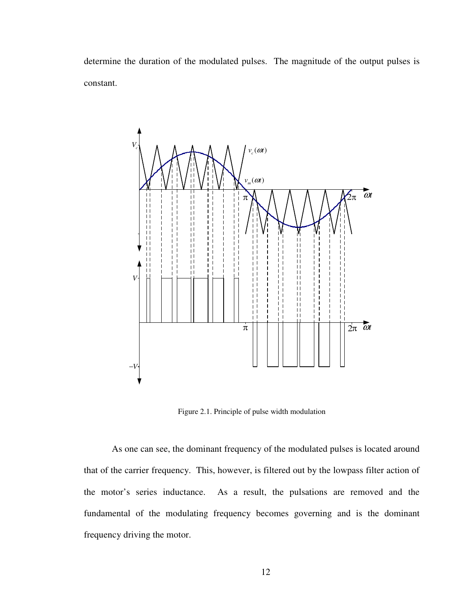determine the duration of the modulated pulses. The magnitude of the output pulses is constant.



Figure 2.1. Principle of pulse width modulation

As one can see, the dominant frequency of the modulated pulses is located around that of the carrier frequency. This, however, is filtered out by the lowpass filter action of the motor's series inductance. As a result, the pulsations are removed and the fundamental of the modulating frequency becomes governing and is the dominant frequency driving the motor.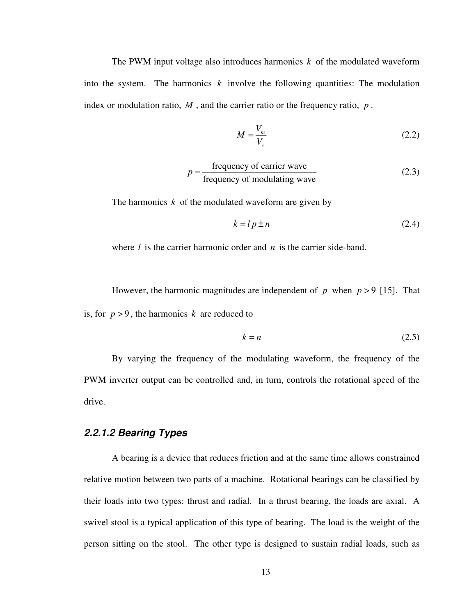The PWM input voltage also introduces harmonics *k* of the modulated waveform into the system. The harmonics  $k$  involve the following quantities: The modulation index or modulation ratio, *M* , and the carrier ratio or the frequency ratio, *p* .

$$
M = \frac{V_m}{V_c} \tag{2.2}
$$

$$
p = \frac{\text{frequency of carrier wave}}{\text{frequency of modulating wave}}
$$
 (2.3)

The harmonics *k* of the modulated waveform are given by

$$
k = l p \pm n \tag{2.4}
$$

where *l* is the carrier harmonic order and *n* is the carrier side-band.

However, the harmonic magnitudes are independent of  $p$  when  $p > 9$  [15]. That is, for  $p > 9$ , the harmonics *k* are reduced to

$$
k = n \tag{2.5}
$$

By varying the frequency of the modulating waveform, the frequency of the PWM inverter output can be controlled and, in turn, controls the rotational speed of the drive.

#### **2.2.1.2 Bearing Types**

A bearing is a device that reduces friction and at the same time allows constrained relative motion between two parts of a machine. Rotational bearings can be classified by their loads into two types: thrust and radial. In a thrust bearing, the loads are axial. A swivel stool is a typical application of this type of bearing. The load is the weight of the person sitting on the stool. The other type is designed to sustain radial loads, such as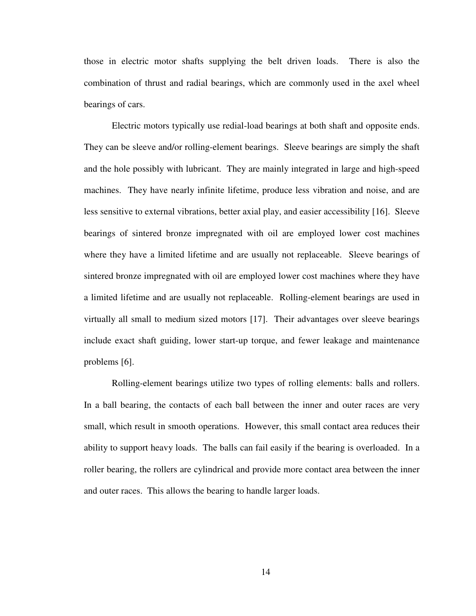those in electric motor shafts supplying the belt driven loads. There is also the combination of thrust and radial bearings, which are commonly used in the axel wheel bearings of cars.

Electric motors typically use redial-load bearings at both shaft and opposite ends. They can be sleeve and/or rolling-element bearings. Sleeve bearings are simply the shaft and the hole possibly with lubricant. They are mainly integrated in large and high-speed machines. They have nearly infinite lifetime, produce less vibration and noise, and are less sensitive to external vibrations, better axial play, and easier accessibility [16]. Sleeve bearings of sintered bronze impregnated with oil are employed lower cost machines where they have a limited lifetime and are usually not replaceable. Sleeve bearings of sintered bronze impregnated with oil are employed lower cost machines where they have a limited lifetime and are usually not replaceable. Rolling-element bearings are used in virtually all small to medium sized motors [17]. Their advantages over sleeve bearings include exact shaft guiding, lower start-up torque, and fewer leakage and maintenance problems [6].

Rolling-element bearings utilize two types of rolling elements: balls and rollers. In a ball bearing, the contacts of each ball between the inner and outer races are very small, which result in smooth operations. However, this small contact area reduces their ability to support heavy loads. The balls can fail easily if the bearing is overloaded. In a roller bearing, the rollers are cylindrical and provide more contact area between the inner and outer races. This allows the bearing to handle larger loads.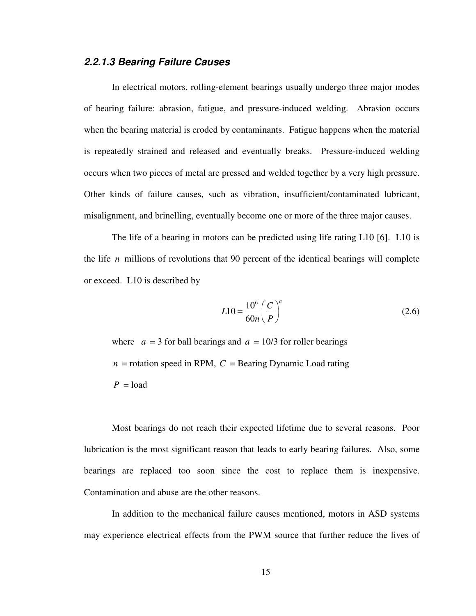#### **2.2.1.3 Bearing Failure Causes**

In electrical motors, rolling-element bearings usually undergo three major modes of bearing failure: abrasion, fatigue, and pressure-induced welding. Abrasion occurs when the bearing material is eroded by contaminants. Fatigue happens when the material is repeatedly strained and released and eventually breaks. Pressure-induced welding occurs when two pieces of metal are pressed and welded together by a very high pressure. Other kinds of failure causes, such as vibration, insufficient/contaminated lubricant, misalignment, and brinelling, eventually become one or more of the three major causes.

The life of a bearing in motors can be predicted using life rating L10 [6]. L10 is the life *n* millions of revolutions that 90 percent of the identical bearings will complete or exceed. L10 is described by

$$
L10 = \frac{10^6}{60n} \left(\frac{C}{P}\right)^a
$$
 (2.6)

where  $a = 3$  for ball bearings and  $a = 10/3$  for roller bearings  $n =$  rotation speed in RPM,  $C =$  Bearing Dynamic Load rating  $P =$ load

Most bearings do not reach their expected lifetime due to several reasons. Poor lubrication is the most significant reason that leads to early bearing failures. Also, some bearings are replaced too soon since the cost to replace them is inexpensive. Contamination and abuse are the other reasons.

In addition to the mechanical failure causes mentioned, motors in ASD systems may experience electrical effects from the PWM source that further reduce the lives of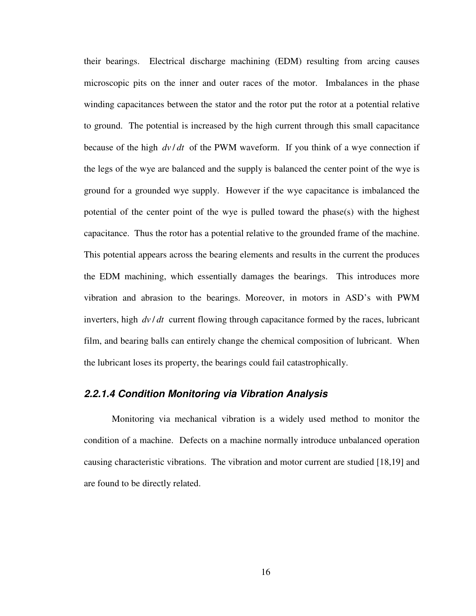their bearings. Electrical discharge machining (EDM) resulting from arcing causes microscopic pits on the inner and outer races of the motor. Imbalances in the phase winding capacitances between the stator and the rotor put the rotor at a potential relative to ground. The potential is increased by the high current through this small capacitance because of the high  $dv/dt$  of the PWM waveform. If you think of a wye connection if the legs of the wye are balanced and the supply is balanced the center point of the wye is ground for a grounded wye supply. However if the wye capacitance is imbalanced the potential of the center point of the wye is pulled toward the phase $(s)$  with the highest capacitance. Thus the rotor has a potential relative to the grounded frame of the machine. This potential appears across the bearing elements and results in the current the produces the EDM machining, which essentially damages the bearings. This introduces more vibration and abrasion to the bearings. Moreover, in motors in ASD's with PWM inverters, high  $dv/dt$  current flowing through capacitance formed by the races, lubricant film, and bearing balls can entirely change the chemical composition of lubricant. When the lubricant loses its property, the bearings could fail catastrophically.

#### **2.2.1.4 Condition Monitoring via Vibration Analysis**

Monitoring via mechanical vibration is a widely used method to monitor the condition of a machine. Defects on a machine normally introduce unbalanced operation causing characteristic vibrations. The vibration and motor current are studied [18,19] and are found to be directly related.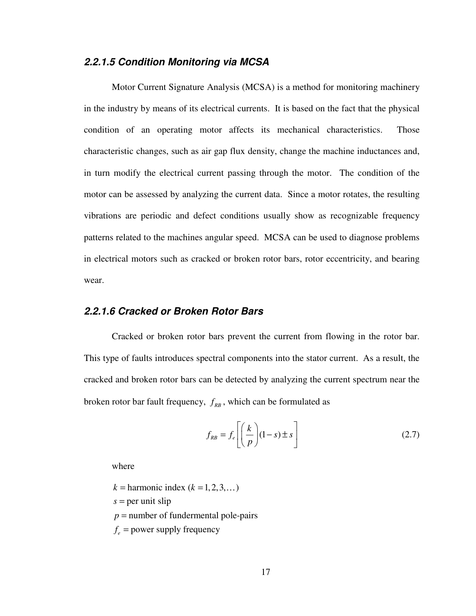#### **2.2.1.5 Condition Monitoring via MCSA**

Motor Current Signature Analysis (MCSA) is a method for monitoring machinery in the industry by means of its electrical currents. It is based on the fact that the physical condition of an operating motor affects its mechanical characteristics. Those characteristic changes, such as air gap flux density, change the machine inductances and, in turn modify the electrical current passing through the motor. The condition of the motor can be assessed by analyzing the current data. Since a motor rotates, the resulting vibrations are periodic and defect conditions usually show as recognizable frequency patterns related to the machines angular speed. MCSA can be used to diagnose problems in electrical motors such as cracked or broken rotor bars, rotor eccentricity, and bearing wear.

#### **2.2.1.6 Cracked or Broken Rotor Bars**

Cracked or broken rotor bars prevent the current from flowing in the rotor bar. This type of faults introduces spectral components into the stator current. As a result, the cracked and broken rotor bars can be detected by analyzing the current spectrum near the broken rotor bar fault frequency,  $f_{RB}$ , which can be formulated as

$$
f_{RB} = f_e \left[ \left( \frac{k}{p} \right) (1 - s) \pm s \right] \tag{2.7}
$$

where

 $k =$  harmonic index  $(k = 1, 2, 3, ...)$ *s* = per unit slip  $p$  = number of fundermental pole-pairs  $f_e$  = power supply frequency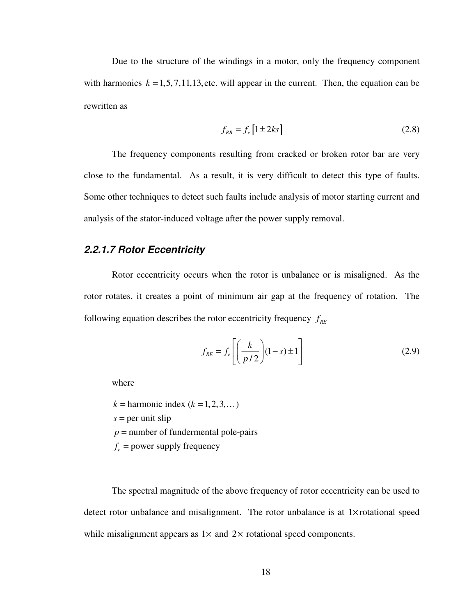Due to the structure of the windings in a motor, only the frequency component with harmonics  $k = 1, 5, 7, 11, 13$ , etc. will appear in the current. Then, the equation can be rewritten as

$$
f_{RB} = f_e \left[ 1 \pm 2ks \right] \tag{2.8}
$$

The frequency components resulting from cracked or broken rotor bar are very close to the fundamental. As a result, it is very difficult to detect this type of faults. Some other techniques to detect such faults include analysis of motor starting current and analysis of the stator-induced voltage after the power supply removal.

#### **2.2.1.7 Rotor Eccentricity**

Rotor eccentricity occurs when the rotor is unbalance or is misaligned. As the rotor rotates, it creates a point of minimum air gap at the frequency of rotation. The following equation describes the rotor eccentricity frequency  $f_{RF}$ 

$$
f_{RE} = f_e \left[ \left( \frac{k}{p/2} \right) (1 - s) \pm 1 \right] \tag{2.9}
$$

where

 $k =$  harmonic index  $(k = 1, 2, 3, ...)$ *s* = per unit slip  $p$  = number of fundermental pole-pairs

 $f_e$  = power supply frequency

The spectral magnitude of the above frequency of rotor eccentricity can be used to detect rotor unbalance and misalignment. The rotor unbalance is at 1× rotational speed while misalignment appears as  $1 \times$  and  $2 \times$  rotational speed components.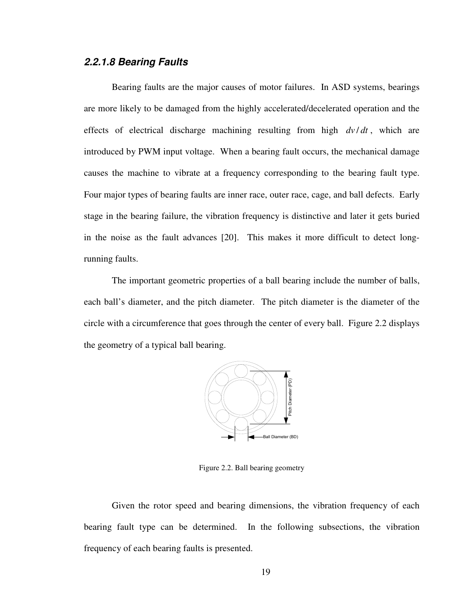#### **2.2.1.8 Bearing Faults**

Bearing faults are the major causes of motor failures. In ASD systems, bearings are more likely to be damaged from the highly accelerated/decelerated operation and the effects of electrical discharge machining resulting from high  $dv/dt$ , which are introduced by PWM input voltage. When a bearing fault occurs, the mechanical damage causes the machine to vibrate at a frequency corresponding to the bearing fault type. Four major types of bearing faults are inner race, outer race, cage, and ball defects. Early stage in the bearing failure, the vibration frequency is distinctive and later it gets buried in the noise as the fault advances [20]. This makes it more difficult to detect longrunning faults.

The important geometric properties of a ball bearing include the number of balls, each ball's diameter, and the pitch diameter. The pitch diameter is the diameter of the circle with a circumference that goes through the center of every ball. Figure 2.2 displays the geometry of a typical ball bearing.



Figure 2.2. Ball bearing geometry

Given the rotor speed and bearing dimensions, the vibration frequency of each bearing fault type can be determined. In the following subsections, the vibration frequency of each bearing faults is presented.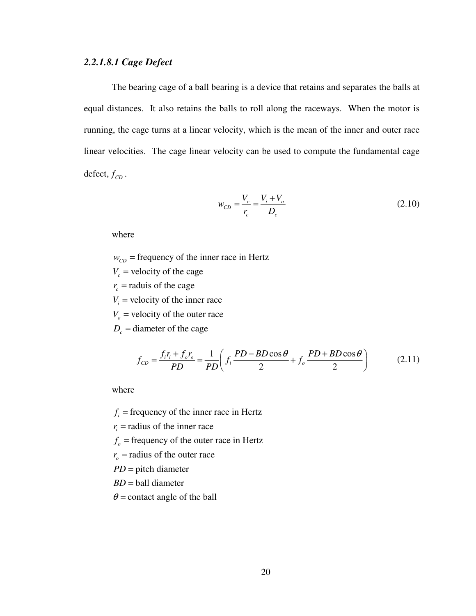#### *2.2.1.8.1 Cage Defect*

The bearing cage of a ball bearing is a device that retains and separates the balls at equal distances. It also retains the balls to roll along the raceways. When the motor is running, the cage turns at a linear velocity, which is the mean of the inner and outer race linear velocities. The cage linear velocity can be used to compute the fundamental cage defect,  $f_{CD}$ .

$$
w_{CD} = \frac{V_c}{r_c} = \frac{V_i + V_o}{D_c}
$$
 (2.10)

where

 $w_{CD}$  = frequency of the inner race in Hertz

 $V_c$  = velocity of the cage

 $r_c$  = raduis of the cage

 $V_i$  = velocity of the inner race

 $V_o$  = velocity of the outer race

 $D_c$  = diameter of the cage

$$
f_{CD} = \frac{f_i r_i + f_o r_o}{PD} = \frac{1}{PD} \left( f_i \frac{PD - BD \cos \theta}{2} + f_o \frac{PD + BD \cos \theta}{2} \right) \tag{2.11}
$$

where

 $f_i$  = frequency of the inner race in Hertz

 $r_i$  = radius of the inner race

 $f<sub>o</sub>$  = frequency of the outer race in Hertz

 $r<sub>o</sub>$  = radius of the outer race

PD = pitch diameter

*BD* = ball diameter

 $\theta$  = contact angle of the ball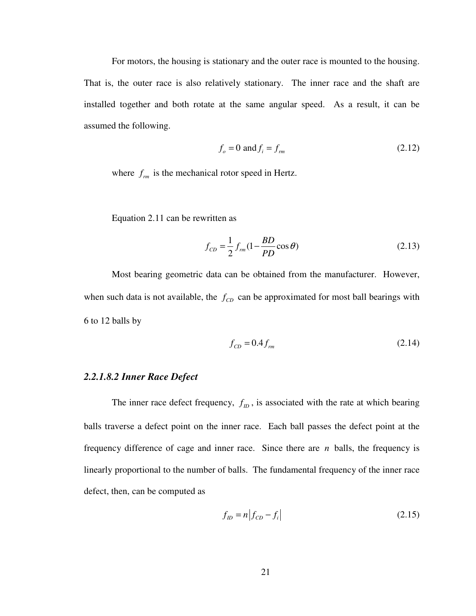For motors, the housing is stationary and the outer race is mounted to the housing. That is, the outer race is also relatively stationary. The inner race and the shaft are installed together and both rotate at the same angular speed. As a result, it can be assumed the following.

$$
f_o = 0 \text{ and } f_i = f_{rm}
$$
\n
$$
(2.12)
$$

where  $f_{rm}$  is the mechanical rotor speed in Hertz.

Equation 2.11 can be rewritten as

$$
f_{CD} = \frac{1}{2} f_{rm} (1 - \frac{BD}{PD} \cos \theta)
$$
 (2.13)

Most bearing geometric data can be obtained from the manufacturer. However, when such data is not available, the  $f_{CD}$  can be approximated for most ball bearings with 6 to 12 balls by

$$
f_{CD} = 0.4 f_{rm} \tag{2.14}
$$

#### *2.2.1.8.2 Inner Race Defect*

The inner race defect frequency,  $f_{ID}$ , is associated with the rate at which bearing balls traverse a defect point on the inner race. Each ball passes the defect point at the frequency difference of cage and inner race. Since there are *n* balls, the frequency is linearly proportional to the number of balls. The fundamental frequency of the inner race defect, then, can be computed as

$$
f_{ID} = n | f_{CD} - f_i |
$$
 (2.15)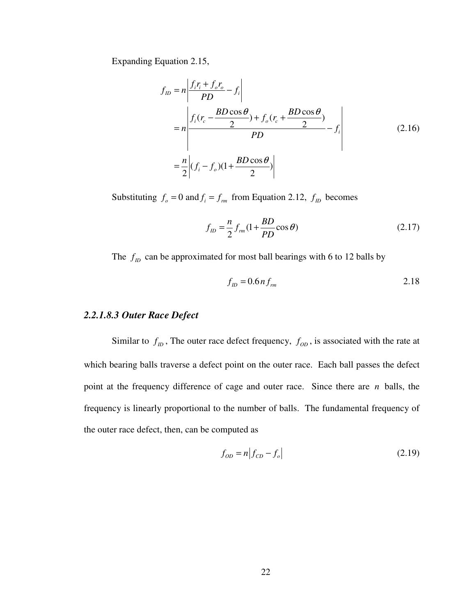Expanding Equation 2.15,

$$
f_{ID} = n \left| \frac{f_i r_i + f_o r_o}{PD} - f_i \right|
$$
  
= 
$$
n \left| \frac{f_i (r_c - \frac{BD \cos \theta}{2}) + f_o (r_c + \frac{BD \cos \theta}{2})}{PD} - f_i \right|
$$
  
= 
$$
\frac{n}{2} \left| (f_i - f_o)(1 + \frac{BD \cos \theta}{2}) \right|
$$
 (2.16)

Substituting  $f_o = 0$  and  $f_i = f_{rm}$  from Equation 2.12,  $f_{ID}$  becomes

$$
f_{ID} = \frac{n}{2} f_{rm}(1 + \frac{BD}{PD}\cos\theta)
$$
 (2.17)

The  $f_D$  can be approximated for most ball bearings with 6 to 12 balls by

$$
f_{ID} = 0.6 n f_{rm}
$$

#### *2.2.1.8.3 Outer Race Defect*

Similar to  $f_D$ , The outer race defect frequency,  $f_{OD}$ , is associated with the rate at which bearing balls traverse a defect point on the outer race. Each ball passes the defect point at the frequency difference of cage and outer race. Since there are *n* balls, the frequency is linearly proportional to the number of balls. The fundamental frequency of the outer race defect, then, can be computed as

$$
f_{OD} = n | f_{CD} - f_o |
$$
 (2.19)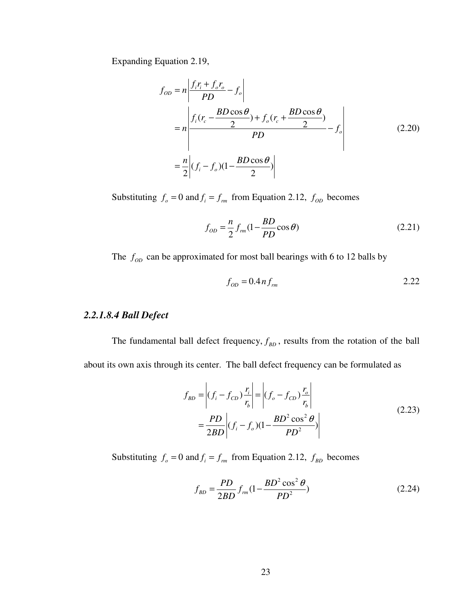Expanding Equation 2.19,

$$
f_{OD} = n \left| \frac{f_i r_i + f_o r_o}{PD} - f_o \right|
$$
  
= 
$$
n \left| \frac{f_i (r_c - \frac{BD \cos \theta}{2}) + f_o (r_c + \frac{BD \cos \theta}{2})}{PD} - f_o \right|
$$
  
= 
$$
\frac{n}{2} \left| (f_i - f_o)(1 - \frac{BD \cos \theta}{2}) \right|
$$
 (2.20)

Substituting  $f_o = 0$  and  $f_i = f_{rm}$  from Equation 2.12,  $f_{op}$  becomes

$$
f_{OD} = \frac{n}{2} f_{rm}(1 - \frac{BD}{PD} \cos \theta)
$$
 (2.21)

The  $f_{op}$  can be approximated for most ball bearings with 6 to 12 balls by

$$
f_{OD} = 0.4 n f_{rm}
$$

## *2.2.1.8.4 Ball Defect*

The fundamental ball defect frequency,  $f_{BD}$ , results from the rotation of the ball about its own axis through its center. The ball defect frequency can be formulated as

$$
f_{BD} = \left| (f_i - f_{CD}) \frac{r_i}{r_b} \right| = \left| (f_o - f_{CD}) \frac{r_o}{r_b} \right|
$$
  
=  $\frac{PD}{2BD} \left| (f_i - f_o)(1 - \frac{BD^2 \cos^2 \theta}{PD^2}) \right|$  (2.23)

Substituting  $f_o = 0$  and  $f_i = f_{rm}$  from Equation 2.12,  $f_{BD}$  becomes

$$
f_{BD} = \frac{PD}{2BD} f_{rm} (1 - \frac{BD^2 \cos^2 \theta}{PD^2})
$$
 (2.24)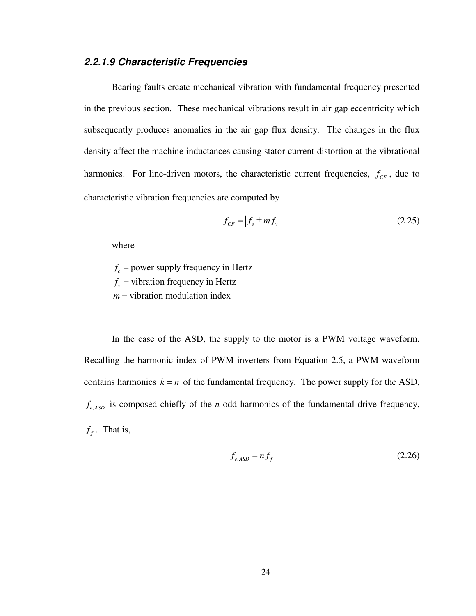## **2.2.1.9 Characteristic Frequencies**

Bearing faults create mechanical vibration with fundamental frequency presented in the previous section. These mechanical vibrations result in air gap eccentricity which subsequently produces anomalies in the air gap flux density. The changes in the flux density affect the machine inductances causing stator current distortion at the vibrational harmonics. For line-driven motors, the characteristic current frequencies,  $f_{CF}$ , due to characteristic vibration frequencies are computed by

$$
f_{CF} = \left| f_e \pm mf_v \right| \tag{2.25}
$$

where

 $f_e$  = power supply frequency in Hertz  $f_v$  = vibration frequency in Hertz *m* = vibration modulation index

In the case of the ASD, the supply to the motor is a PWM voltage waveform. Recalling the harmonic index of PWM inverters from Equation 2.5, a PWM waveform contains harmonics  $k = n$  of the fundamental frequency. The power supply for the ASD,  $f_{e,ASD}$  is composed chiefly of the *n* odd harmonics of the fundamental drive frequency,  $f_f$ . That is,

$$
f_{e,ASD} = nf_f \tag{2.26}
$$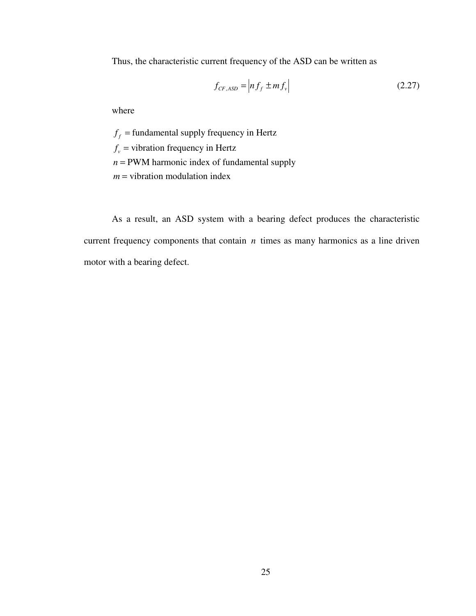Thus, the characteristic current frequency of the ASD can be written as

$$
f_{CF,ASD} = \left| nf_f \pm mf_v \right| \tag{2.27}
$$

where

 $f_f$  = fundamental supply frequency in Hertz  $f_v$  = vibration frequency in Hertz  $n =$  PWM harmonic index of fundamental supply *m* = vibration modulation index

As a result, an ASD system with a bearing defect produces the characteristic current frequency components that contain *n* times as many harmonics as a line driven motor with a bearing defect.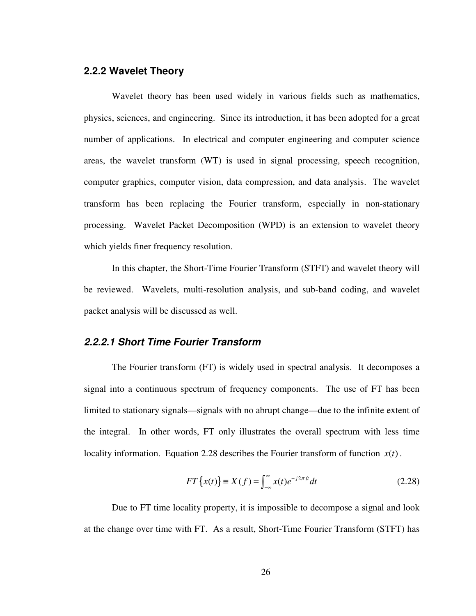## **2.2.2 Wavelet Theory**

Wavelet theory has been used widely in various fields such as mathematics, physics, sciences, and engineering. Since its introduction, it has been adopted for a great number of applications. In electrical and computer engineering and computer science areas, the wavelet transform (WT) is used in signal processing, speech recognition, computer graphics, computer vision, data compression, and data analysis. The wavelet transform has been replacing the Fourier transform, especially in non-stationary processing. Wavelet Packet Decomposition (WPD) is an extension to wavelet theory which yields finer frequency resolution.

In this chapter, the Short-Time Fourier Transform (STFT) and wavelet theory will be reviewed. Wavelets, multi-resolution analysis, and sub-band coding, and wavelet packet analysis will be discussed as well.

#### **2.2.2.1 Short Time Fourier Transform**

The Fourier transform (FT) is widely used in spectral analysis. It decomposes a signal into a continuous spectrum of frequency components. The use of FT has been limited to stationary signals—signals with no abrupt change—due to the infinite extent of the integral. In other words, FT only illustrates the overall spectrum with less time locality information. Equation 2.28 describes the Fourier transform of function  $x(t)$ .

$$
FT\left\{x(t)\right\} \equiv X(f) = \int_{-\infty}^{\infty} x(t)e^{-j2\pi ft}dt
$$
 (2.28)

Due to FT time locality property, it is impossible to decompose a signal and look at the change over time with FT. As a result, Short-Time Fourier Transform (STFT) has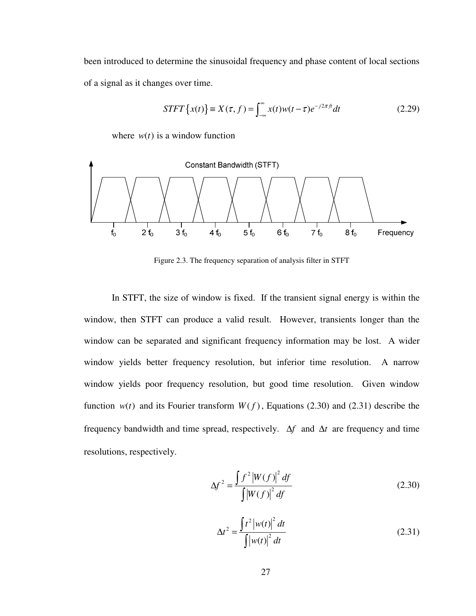been introduced to determine the sinusoidal frequency and phase content of local sections of a signal as it changes over time.

$$
STFT\{x(t)\}\equiv X(\tau,f)=\int_{-\infty}^{\infty}x(t)w(t-\tau)e^{-j2\pi ft}dt
$$
\n(2.29)

where  $w(t)$  is a window function



Figure 2.3. The frequency separation of analysis filter in STFT

In STFT, the size of window is fixed. If the transient signal energy is within the window, then STFT can produce a valid result. However, transients longer than the window can be separated and significant frequency information may be lost. A wider window yields better frequency resolution, but inferior time resolution. A narrow window yields poor frequency resolution, but good time resolution. Given window function  $w(t)$  and its Fourier transform  $W(f)$ , Equations (2.30) and (2.31) describe the frequency bandwidth and time spread, respectively. ∆*f* and ∆*t* are frequency and time resolutions, respectively.

$$
\Delta f^2 = \frac{\int f^2 |W(f)|^2 df}{\int |W(f)|^2 df}
$$
 (2.30)

$$
\Delta t^2 = \frac{\int t^2 \left| w(t) \right|^2 dt}{\int \left| w(t) \right|^2 dt}
$$
 (2.31)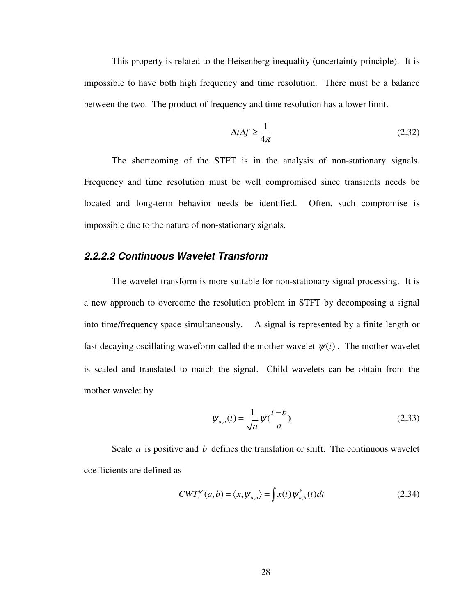This property is related to the Heisenberg inequality (uncertainty principle). It is impossible to have both high frequency and time resolution. There must be a balance between the two. The product of frequency and time resolution has a lower limit.

$$
\Delta t \Delta f \ge \frac{1}{4\pi} \tag{2.32}
$$

The shortcoming of the STFT is in the analysis of non-stationary signals. Frequency and time resolution must be well compromised since transients needs be located and long-term behavior needs be identified. Often, such compromise is impossible due to the nature of non-stationary signals.

## **2.2.2.2 Continuous Wavelet Transform**

The wavelet transform is more suitable for non-stationary signal processing. It is a new approach to overcome the resolution problem in STFT by decomposing a signal into time/frequency space simultaneously. A signal is represented by a finite length or fast decaying oscillating waveform called the mother wavelet  $\psi(t)$ . The mother wavelet is scaled and translated to match the signal. Child wavelets can be obtain from the mother wavelet by

$$
\Psi_{a,b}(t) = \frac{1}{\sqrt{a}} \Psi(\frac{t-b}{a})
$$
\n(2.33)

Scale *a* is positive and *b* defines the translation or shift. The continuous wavelet coefficients are defined as

$$
CWT_x^{\psi}(a,b) = \langle x, \psi_{a,b} \rangle = \int x(t) \psi_{a,b}^*(t) dt
$$
 (2.34)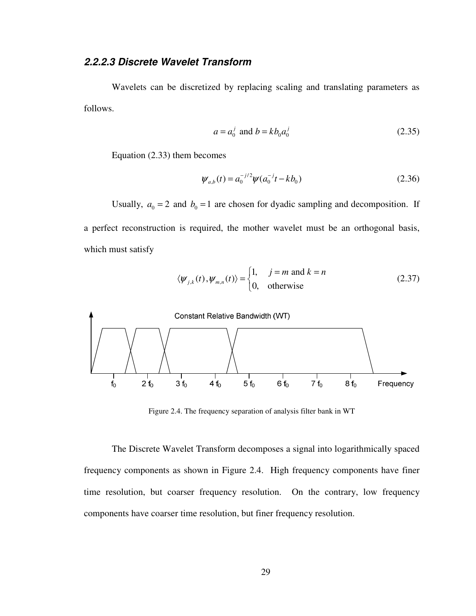## **2.2.2.3 Discrete Wavelet Transform**

Wavelets can be discretized by replacing scaling and translating parameters as follows.

$$
a = a_0^j \text{ and } b = kb_0 a_0^j \tag{2.35}
$$

Equation (2.33) them becomes

$$
\psi_{a,b}(t) = a_0^{-j/2} \psi(a_0^{-j}t - kb_0)
$$
\n(2.36)

Usually,  $a_0 = 2$  and  $b_0 = 1$  are chosen for dyadic sampling and decomposition. If a perfect reconstruction is required, the mother wavelet must be an orthogonal basis, which must satisfy

$$
\langle \psi_{j,k}(t), \psi_{m,n}(t) \rangle = \begin{cases} 1, & j = m \text{ and } k = n \\ 0, & \text{otherwise} \end{cases}
$$
 (2.37)



Figure 2.4. The frequency separation of analysis filter bank in WT

The Discrete Wavelet Transform decomposes a signal into logarithmically spaced frequency components as shown in Figure 2.4. High frequency components have finer time resolution, but coarser frequency resolution. On the contrary, low frequency components have coarser time resolution, but finer frequency resolution.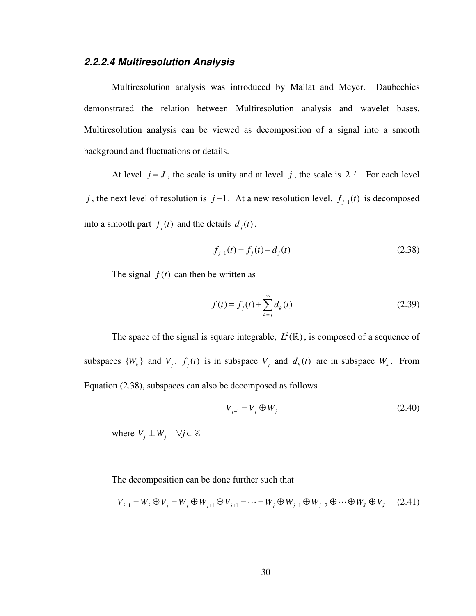# **2.2.2.4 Multiresolution Analysis**

Multiresolution analysis was introduced by Mallat and Meyer. Daubechies demonstrated the relation between Multiresolution analysis and wavelet bases. Multiresolution analysis can be viewed as decomposition of a signal into a smooth background and fluctuations or details.

At level  $j = J$ , the scale is unity and at level j, the scale is  $2^{-j}$ . For each level *j*, the next level of resolution is  $j-1$ . At a new resolution level,  $f_{j-1}(t)$  is decomposed into a smooth part  $f_j(t)$  and the details  $d_j(t)$ .

$$
f_{j-1}(t) = f_j(t) + d_j(t)
$$
\n(2.38)

The signal  $f(t)$  can then be written as

$$
f(t) = f_j(t) + \sum_{k=j}^{\infty} d_k(t)
$$
 (2.39)

The space of the signal is square integrable,  $L^2(\mathbb{R})$ , is composed of a sequence of subspaces  $\{W_k\}$  and  $V_j$ .  $f_j(t)$  is in subspace  $V_j$  and  $d_k(t)$  are in subspace  $W_k$ . From Equation (2.38), subspaces can also be decomposed as follows

$$
V_{j-1} = V_j \oplus W_j \tag{2.40}
$$

where  $V_j \perp W_j$   $\forall j \in \mathbb{Z}$ 

The decomposition can be done further such that

$$
V_{j-1} = W_j \oplus V_j = W_j \oplus W_{j+1} \oplus V_{j+1} = \dots = W_j \oplus W_{j+1} \oplus W_{j+2} \oplus \dots \oplus W_j \oplus V_j \tag{2.41}
$$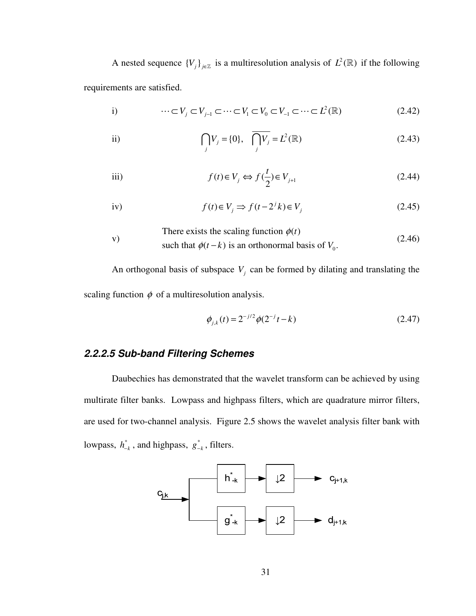A nested sequence  $\{V_j\}_{j\in\mathbb{Z}}$  is a multiresolution analysis of  $L^2(\mathbb{R})$  if the following requirements are satisfied.

i) 
$$
\cdots \subset V_j \subset V_{j-1} \subset \cdots \subset V_1 \subset V_0 \subset V_{-1} \subset \cdots \subset L^2(\mathbb{R})
$$
 (2.42)

ii) 
$$
\bigcap_{j} V_{j} = \{0\}, \quad \overline{\bigcap_{j} V_{j}} = L^{2}(\mathbb{R})
$$
 (2.43)

$$
f(t) \in V_j \iff f(\frac{t}{2}) \in V_{j+1}
$$
\n(2.44)

iv) 
$$
f(t) \in V_j \Rightarrow f(t - 2^j k) \in V_j
$$
 (2.45)

where exists the scaling function 
$$
\phi(t)
$$
  
such that  $\phi(t-k)$  is an orthonormal basis of  $V_0$ . (2.46)

An orthogonal basis of subspace  $V_j$  can be formed by dilating and translating the scaling function  $\phi$  of a multiresolution analysis.

$$
\phi_{j,k}(t) = 2^{-j/2} \phi(2^{-j}t - k)
$$
\n(2.47)

# **2.2.2.5 Sub-band Filtering Schemes**

Daubechies has demonstrated that the wavelet transform can be achieved by using multirate filter banks. Lowpass and highpass filters, which are quadrature mirror filters, are used for two-channel analysis. Figure 2.5 shows the wavelet analysis filter bank with lowpass,  $h_{-k}^*$ , and highpass,  $g_{-k}^*$ , filters.

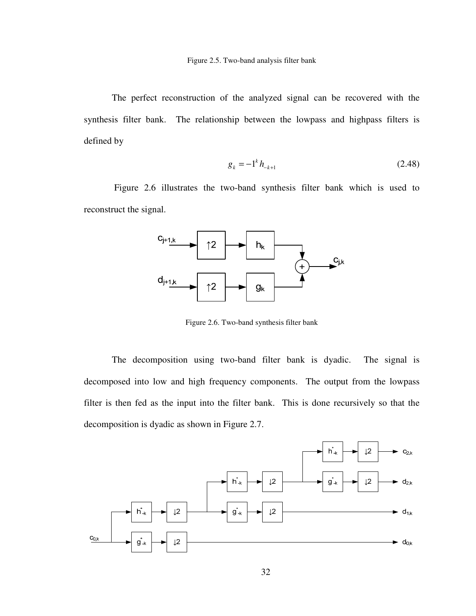The perfect reconstruction of the analyzed signal can be recovered with the synthesis filter bank. The relationship between the lowpass and highpass filters is defined by

$$
g_k = -1^k h_{k+1} \tag{2.48}
$$

 Figure 2.6 illustrates the two-band synthesis filter bank which is used to reconstruct the signal.



Figure 2.6. Two-band synthesis filter bank

The decomposition using two-band filter bank is dyadic. The signal is decomposed into low and high frequency components. The output from the lowpass filter is then fed as the input into the filter bank. This is done recursively so that the decomposition is dyadic as shown in Figure 2.7.

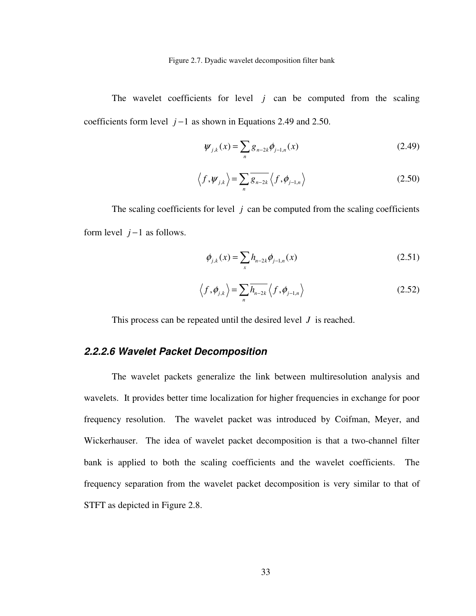Figure 2.7. Dyadic wavelet decomposition filter bank

The wavelet coefficients for level  $j$  can be computed from the scaling coefficients form level *j* −1 as shown in Equations 2.49 and 2.50.

$$
\psi_{j,k}(x) = \sum_{n} g_{n-2k} \phi_{j-1,n}(x)
$$
\n(2.49)

$$
\langle f, \psi_{j,k} \rangle = \sum_{n} \overline{g_{n-2k}} \langle f, \phi_{j-1,n} \rangle \tag{2.50}
$$

The scaling coefficients for level  $j$  can be computed from the scaling coefficients form level  $j-1$  as follows.

$$
\phi_{j,k}(x) = \sum_{x} h_{n-2k} \phi_{j-1,n}(x)
$$
\n(2.51)

$$
\left\langle f, \phi_{j,k} \right\rangle = \sum_{n} \overline{h_{n-2k}} \left\langle f, \phi_{j-1,n} \right\rangle \tag{2.52}
$$

This process can be repeated until the desired level *J* is reached.

# **2.2.2.6 Wavelet Packet Decomposition**

The wavelet packets generalize the link between multiresolution analysis and wavelets. It provides better time localization for higher frequencies in exchange for poor frequency resolution. The wavelet packet was introduced by Coifman, Meyer, and Wickerhauser. The idea of wavelet packet decomposition is that a two-channel filter bank is applied to both the scaling coefficients and the wavelet coefficients. The frequency separation from the wavelet packet decomposition is very similar to that of STFT as depicted in Figure 2.8.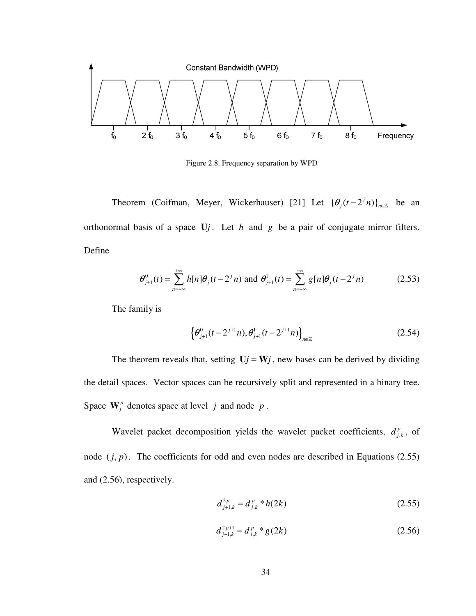

Figure 2.8. Frequency separation by WPD

Theorem (Coifman, Meyer, Wickerhauser) [21] Let  $\{\theta_j(t-2^jn)\}_{n\in\mathbb{Z}}$  be an orthonormal basis of a space U*j*. Let *h* and *g* be a pair of conjugate mirror filters. Define

$$
\theta_{j+1}^{0}(t) = \sum_{n=-\infty}^{+\infty} h[n] \theta_j(t - 2^{j}n)
$$
 and 
$$
\theta_{j+1}^{1}(t) = \sum_{n=-\infty}^{+\infty} g[n] \theta_j(t - 2^{j}n)
$$
 (2.53)

The family is

$$
\left\{\theta_{j+1}^0(t-2^{j+1}n), \theta_{j+1}^1(t-2^{j+1}n)\right\}_{n\in\mathbb{Z}}\tag{2.54}
$$

The theorem reveals that, setting  $U_j = W_j$ , new bases can be derived by dividing the detail spaces. Vector spaces can be recursively split and represented in a binary tree. Space  $\mathbf{W}_{j}^{p}$  denotes space at level *j* and node *p*.

Wavelet packet decomposition yields the wavelet packet coefficients,  $d_j^p$  $d_{j,k}^p$ , of node  $(j, p)$ . The coefficients for odd and even nodes are described in Equations (2.55) and (2.56), respectively.

$$
d_{j+1,k}^{2p} = d_{j,k}^{p} * \overline{h}(2k)
$$
 (2.55)

$$
d_{j+1,k}^{2p+1} = d_{j,k}^p * \overline{g}(2k)
$$
 (2.56)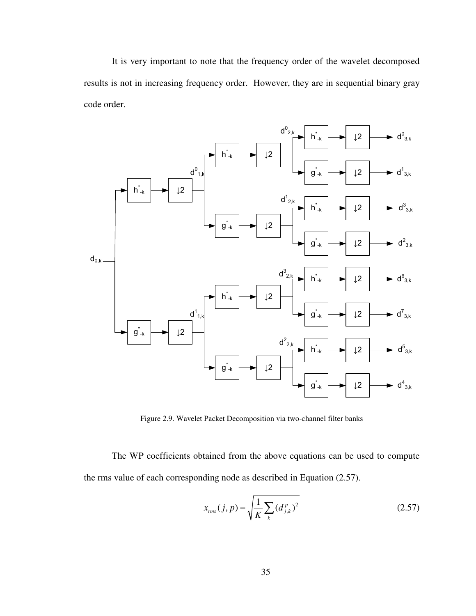It is very important to note that the frequency order of the wavelet decomposed results is not in increasing frequency order. However, they are in sequential binary gray code order.



Figure 2.9. Wavelet Packet Decomposition via two-channel filter banks

The WP coefficients obtained from the above equations can be used to compute the rms value of each corresponding node as described in Equation (2.57).

$$
x_{\rm rms}(j, p) = \sqrt{\frac{1}{K} \sum_{k} (d_{j,k}^{p})^2}
$$
 (2.57)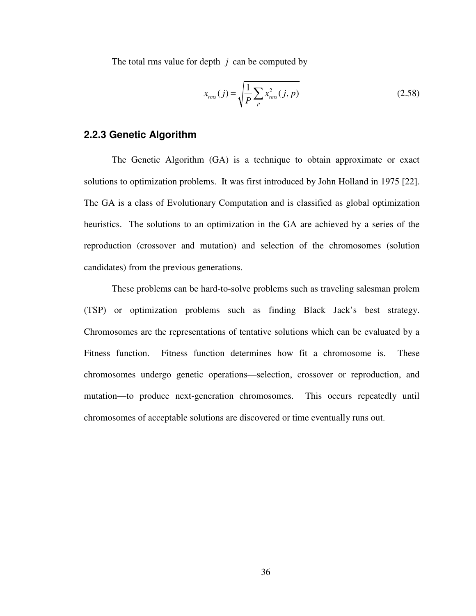The total rms value for depth *j* can be computed by

$$
x_{\rm rms}(j) = \sqrt{\frac{1}{P} \sum_{p} x_{\rm rms}^2(j, p)}
$$
 (2.58)

## **2.2.3 Genetic Algorithm**

The Genetic Algorithm (GA) is a technique to obtain approximate or exact solutions to optimization problems. It was first introduced by John Holland in 1975 [22]. The GA is a class of Evolutionary Computation and is classified as global optimization heuristics. The solutions to an optimization in the GA are achieved by a series of the reproduction (crossover and mutation) and selection of the chromosomes (solution candidates) from the previous generations.

These problems can be hard-to-solve problems such as traveling salesman prolem (TSP) or optimization problems such as finding Black Jack's best strategy. Chromosomes are the representations of tentative solutions which can be evaluated by a Fitness function. Fitness function determines how fit a chromosome is. These chromosomes undergo genetic operations—selection, crossover or reproduction, and mutation—to produce next-generation chromosomes. This occurs repeatedly until chromosomes of acceptable solutions are discovered or time eventually runs out.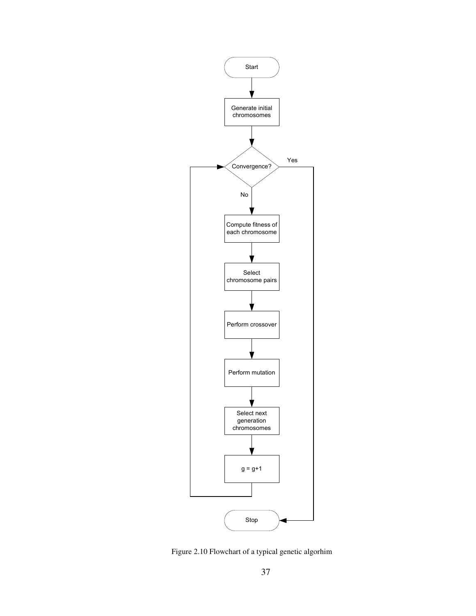

Figure 2.10 Flowchart of a typical genetic algorhim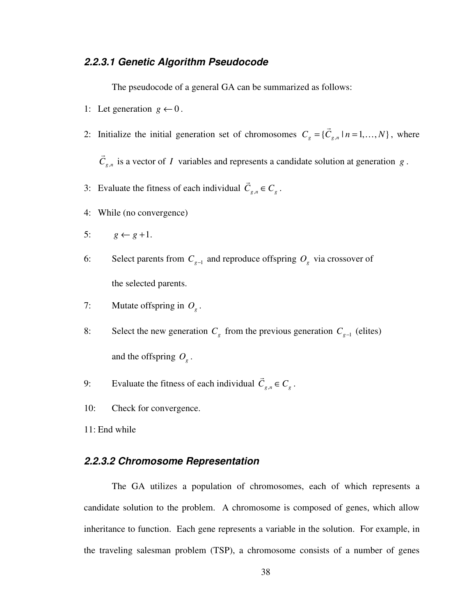# **2.2.3.1 Genetic Algorithm Pseudocode**

The pseudocode of a general GA can be summarized as follows:

- 1: Let generation  $g \leftarrow 0$ .
- 2: Initialize the initial generation set of chromosomes  $C_g = \{C_{g,n} \mid n = 1,...,N\}$  $\rightarrow$  $..., N$ , where

 $C_{g,n}$ is a vector of *I* variables and represents a candidate solution at generation *g* .

- 3: Evaluate the fitness of each individual  $C_{g,n} \in C_g$  $\rightarrow$ .
- 4: While (no convergence)
- 5:  $g \leftarrow g + 1$ .

 $\rightarrow$ 

- 6: Select parents from  $C_{g-1}$  and reproduce offspring  $O_g$  via crossover of the selected parents.
- 7: Mutate offspring in  $O<sub>g</sub>$ .
- 8: Select the new generation  $C_g$  from the previous generation  $C_{g-1}$  (elites) and the offspring  $O_g$ .
- 9: Evaluate the fitness of each individual  $C_{g,n} \in C_g$  $\rightarrow$ .
- 10: Check for convergence.

11: End while

## **2.2.3.2 Chromosome Representation**

The GA utilizes a population of chromosomes, each of which represents a candidate solution to the problem. A chromosome is composed of genes, which allow inheritance to function. Each gene represents a variable in the solution. For example, in the traveling salesman problem (TSP), a chromosome consists of a number of genes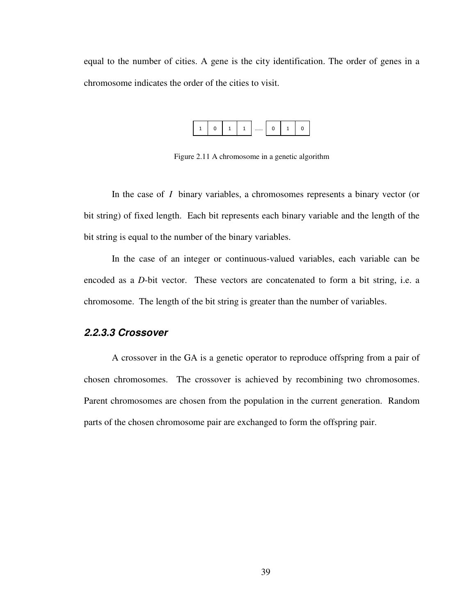equal to the number of cities. A gene is the city identification. The order of genes in a chromosome indicates the order of the cities to visit.



Figure 2.11 A chromosome in a genetic algorithm

In the case of *I* binary variables, a chromosomes represents a binary vector (or bit string) of fixed length. Each bit represents each binary variable and the length of the bit string is equal to the number of the binary variables.

In the case of an integer or continuous-valued variables, each variable can be encoded as a *D*-bit vector. These vectors are concatenated to form a bit string, i.e. a chromosome. The length of the bit string is greater than the number of variables.

## **2.2.3.3 Crossover**

A crossover in the GA is a genetic operator to reproduce offspring from a pair of chosen chromosomes. The crossover is achieved by recombining two chromosomes. Parent chromosomes are chosen from the population in the current generation. Random parts of the chosen chromosome pair are exchanged to form the offspring pair.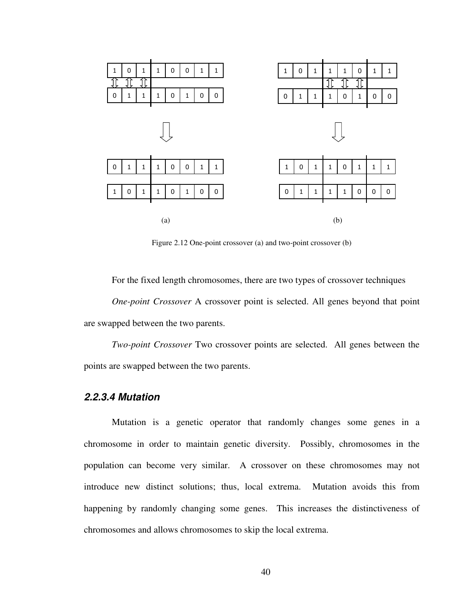

Figure 2.12 One-point crossover (a) and two-point crossover (b)

For the fixed length chromosomes, there are two types of crossover techniques *One-point Crossover* A crossover point is selected. All genes beyond that point are swapped between the two parents.

*Two-point Crossover* Two crossover points are selected. All genes between the points are swapped between the two parents.

## **2.2.3.4 Mutation**

Mutation is a genetic operator that randomly changes some genes in a chromosome in order to maintain genetic diversity. Possibly, chromosomes in the population can become very similar. A crossover on these chromosomes may not introduce new distinct solutions; thus, local extrema. Mutation avoids this from happening by randomly changing some genes. This increases the distinctiveness of chromosomes and allows chromosomes to skip the local extrema.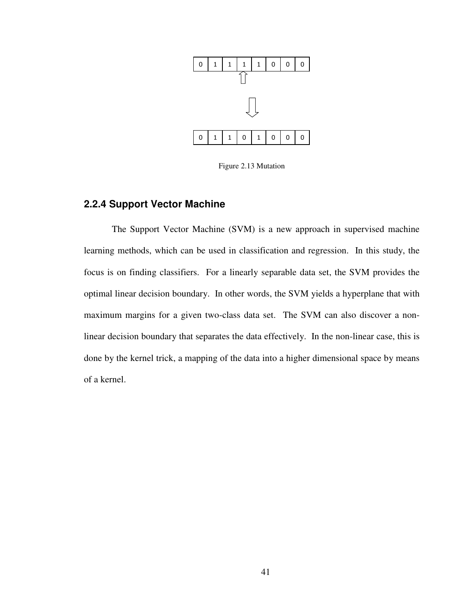

Figure 2.13 Mutation

## **2.2.4 Support Vector Machine**

The Support Vector Machine (SVM) is a new approach in supervised machine learning methods, which can be used in classification and regression. In this study, the focus is on finding classifiers. For a linearly separable data set, the SVM provides the optimal linear decision boundary. In other words, the SVM yields a hyperplane that with maximum margins for a given two-class data set. The SVM can also discover a nonlinear decision boundary that separates the data effectively. In the non-linear case, this is done by the kernel trick, a mapping of the data into a higher dimensional space by means of a kernel.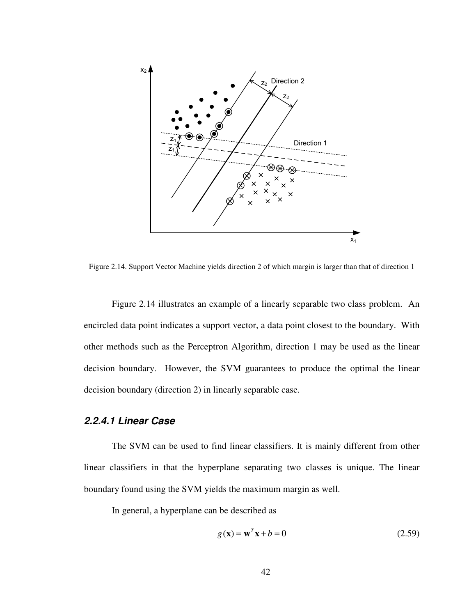

Figure 2.14. Support Vector Machine yields direction 2 of which margin is larger than that of direction 1

Figure 2.14 illustrates an example of a linearly separable two class problem. An encircled data point indicates a support vector, a data point closest to the boundary. With other methods such as the Perceptron Algorithm, direction 1 may be used as the linear decision boundary. However, the SVM guarantees to produce the optimal the linear decision boundary (direction 2) in linearly separable case.

## **2.2.4.1 Linear Case**

The SVM can be used to find linear classifiers. It is mainly different from other linear classifiers in that the hyperplane separating two classes is unique. The linear boundary found using the SVM yields the maximum margin as well.

In general, a hyperplane can be described as

$$
g(\mathbf{x}) = \mathbf{w}^T \mathbf{x} + b = 0 \tag{2.59}
$$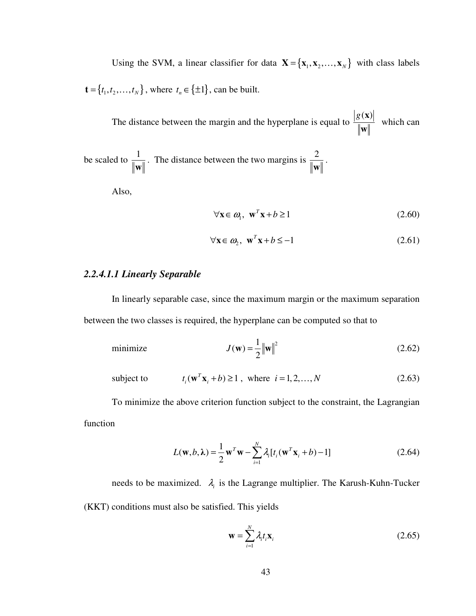Using the SVM, a linear classifier for data  $\mathbf{X} = {\mathbf{x}_1, \mathbf{x}_2, ..., \mathbf{x}_N}$  with class labels  $\mathbf{t} = \{t_1, t_2, ..., t_N\}$ , where  $t_n \in \{\pm 1\}$ , can be built.

The distance between the margin and the hyperplane is equal to  $g(\mathbf{x})$ **w** which can

be scaled to  $\frac{1}{\sqrt{1}}$ **w** . The distance between the two margins is  $\frac{2}{\pi}$ **w** .

Also,

$$
\forall \mathbf{x} \in \mathbf{\omega}_1, \ \mathbf{w}^T \mathbf{x} + b \ge 1 \tag{2.60}
$$

$$
\forall \mathbf{x} \in \omega_2, \ \mathbf{w}^T \mathbf{x} + b \le -1 \tag{2.61}
$$

## *2.2.4.1.1 Linearly Separable*

In linearly separable case, since the maximum margin or the maximum separation between the two classes is required, the hyperplane can be computed so that to

minimize 
$$
J(\mathbf{w}) = \frac{1}{2} ||\mathbf{w}||^2
$$
 (2.62)

subject to 
$$
t_i(\mathbf{w}^T \mathbf{x}_i + b) \ge 1
$$
, where  $i = 1, 2, ..., N$  (2.63)

To minimize the above criterion function subject to the constraint, the Lagrangian function

$$
L(\mathbf{w}, b, \lambda) = \frac{1}{2} \mathbf{w}^T \mathbf{w} - \sum_{i=1}^N \lambda_i [t_i(\mathbf{w}^T \mathbf{x}_i + b) - 1]
$$
(2.64)

needs to be maximized.  $\lambda_i$  is the Lagrange multiplier. The Karush-Kuhn-Tucker (KKT) conditions must also be satisfied. This yields

$$
\mathbf{w} = \sum_{i=1}^{N} \lambda_i t_i \mathbf{x}_i \tag{2.65}
$$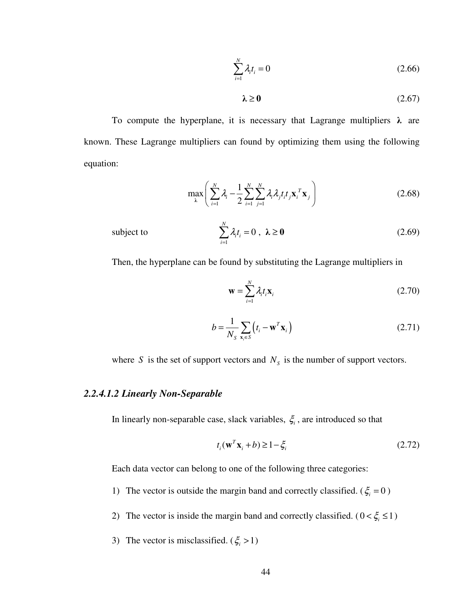$$
\sum_{i=1}^{N} \lambda_i t_i = 0 \tag{2.66}
$$

$$
\lambda \ge 0 \tag{2.67}
$$

To compute the hyperplane, it is necessary that Lagrange multipliers  $\lambda$  are known. These Lagrange multipliers can found by optimizing them using the following equation:

$$
\max_{\lambda} \left( \sum_{i=1}^{N} \lambda_i - \frac{1}{2} \sum_{i=1}^{N} \sum_{j=1}^{N} \lambda_i \lambda_j t_i t_j \mathbf{x}_i^T \mathbf{x}_j \right) \tag{2.68}
$$

subject to 
$$
\sum_{i=1}^{N} \lambda_i t_i = 0, \ \lambda \ge 0
$$
 (2.69)

Then, the hyperplane can be found by substituting the Lagrange multipliers in

$$
\mathbf{w} = \sum_{i=1}^{N} \lambda_i t_i \mathbf{x}_i \tag{2.70}
$$

$$
b = \frac{1}{N_{\rm s}} \sum_{\mathbf{x}_i \in \rm s} \left( t_i - \mathbf{w}^T \mathbf{x}_i \right) \tag{2.71}
$$

where *S* is the set of support vectors and  $N<sub>S</sub>$  is the number of support vectors.

# *2.2.4.1.2 Linearly Non-Separable*

In linearly non-separable case, slack variables,  $\xi$ , are introduced so that

$$
t_i(\mathbf{w}^T \mathbf{x}_i + b) \ge 1 - \xi_i
$$
 (2.72)

Each data vector can belong to one of the following three categories:

- 1) The vector is outside the margin band and correctly classified. ( $\xi_i = 0$ )
- 2) The vector is inside the margin band and correctly classified.  $(0 < \xi_i \le 1)$
- 3) The vector is misclassified. ( $\xi$  > 1)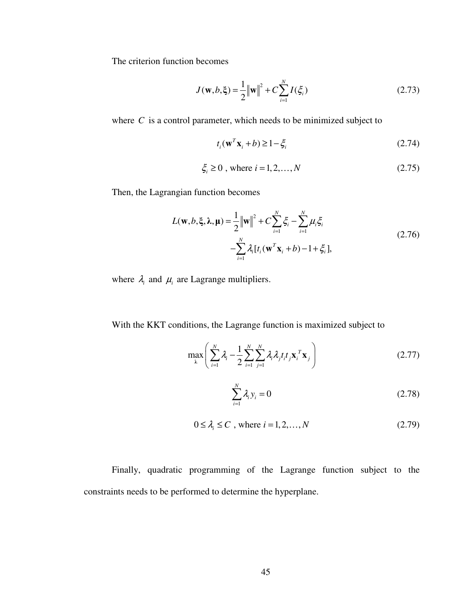The criterion function becomes

$$
J(\mathbf{w}, b, \xi) = \frac{1}{2} ||\mathbf{w}||^2 + C \sum_{i=1}^{N} I(\xi_i)
$$
 (2.73)

where *C* is a control parameter, which needs to be minimized subject to

$$
t_i(\mathbf{w}^T \mathbf{x}_i + b) \ge 1 - \xi_i
$$
 (2.74)

$$
\xi_i \ge 0
$$
, where  $i = 1, 2, ..., N$  (2.75)

Then, the Lagrangian function becomes

$$
L(\mathbf{w}, b, \xi, \lambda, \mu) = \frac{1}{2} ||\mathbf{w}||^2 + C \sum_{i=1}^{N} \xi_i - \sum_{i=1}^{N} \mu_i \xi_i
$$
  
-
$$
\sum_{i=1}^{N} \lambda_i [t_i (\mathbf{w}^T \mathbf{x}_i + b) - 1 + \xi_i],
$$
 (2.76)

where  $\lambda_i$  and  $\mu_i$  are Lagrange multipliers.

With the KKT conditions, the Lagrange function is maximized subject to

$$
\max_{\lambda} \left( \sum_{i=1}^{N} \lambda_i - \frac{1}{2} \sum_{i=1}^{N} \sum_{j=1}^{N} \lambda_i \lambda_j t_i t_j \mathbf{x}_i^T \mathbf{x}_j \right) \tag{2.77}
$$

$$
\sum_{i=1}^{N} \lambda_i y_i = 0 \tag{2.78}
$$

$$
0 \le \lambda_i \le C \text{ , where } i = 1, 2, \dots, N \tag{2.79}
$$

Finally, quadratic programming of the Lagrange function subject to the constraints needs to be performed to determine the hyperplane.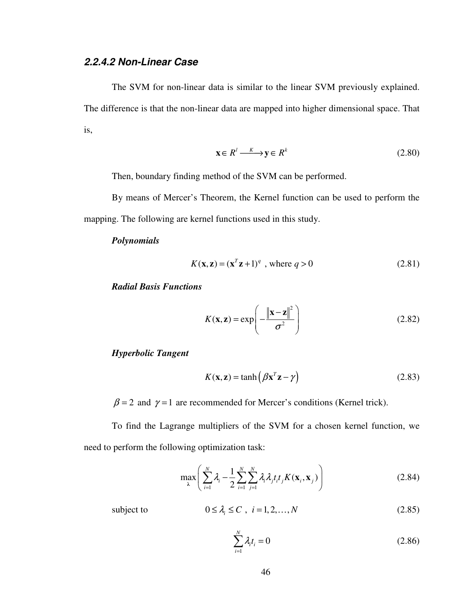# **2.2.4.2 Non-Linear Case**

The SVM for non-linear data is similar to the linear SVM previously explained. The difference is that the non-linear data are mapped into higher dimensional space. That is,

$$
\mathbf{x} \in R^l \xrightarrow{K} \mathbf{y} \in R^k \tag{2.80}
$$

Then, boundary finding method of the SVM can be performed.

By means of Mercer's Theorem, the Kernel function can be used to perform the mapping. The following are kernel functions used in this study.

## *Polynomials*

$$
K(\mathbf{x}, \mathbf{z}) = (\mathbf{x}^T \mathbf{z} + 1)^q \text{ , where } q > 0 \tag{2.81}
$$

*Radial Basis Functions* 

$$
K(\mathbf{x}, \mathbf{z}) = \exp\left(-\frac{\|\mathbf{x} - \mathbf{z}\|^2}{\sigma^2}\right)
$$
 (2.82)

*Hyperbolic Tangent* 

$$
K(\mathbf{x}, \mathbf{z}) = \tanh\left(\beta \mathbf{x}^T \mathbf{z} - \gamma\right) \tag{2.83}
$$

 $\beta$  = 2 and  $\gamma$  = 1 are recommended for Mercer's conditions (Kernel trick).

To find the Lagrange multipliers of the SVM for a chosen kernel function, we need to perform the following optimization task:

$$
\max_{\lambda} \left( \sum_{i=1}^{N} \lambda_i - \frac{1}{2} \sum_{i=1}^{N} \sum_{j=1}^{N} \lambda_i \lambda_j t_i t_j K(\mathbf{x}_i, \mathbf{x}_j) \right)
$$
(2.84)

subject to 
$$
0 \leq \lambda_i \leq C, \quad i = 1, 2, ..., N
$$
 (2.85)

$$
\sum_{i=1}^{N} \lambda_i t_i = 0 \tag{2.86}
$$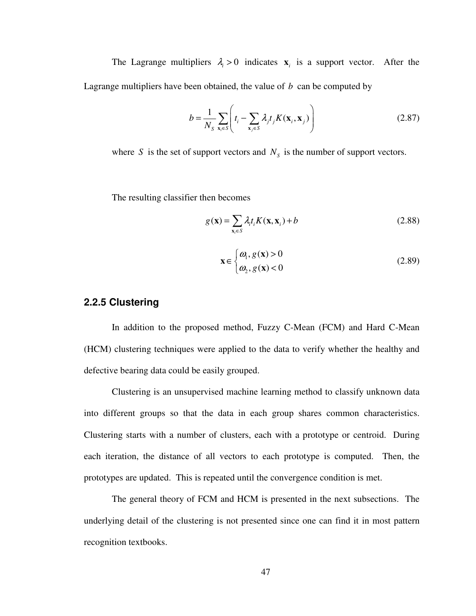The Lagrange multipliers  $\lambda_i > 0$  indicates  $\mathbf{x}_i$  is a support vector. After the Lagrange multipliers have been obtained, the value of *b* can be computed by

$$
b = \frac{1}{N_s} \sum_{\mathbf{x}_i \in S} \left( t_i - \sum_{\mathbf{x}_j \in S} \lambda_j t_j K(\mathbf{x}_i, \mathbf{x}_j) \right)
$$
(2.87)

where *S* is the set of support vectors and  $N<sub>S</sub>$  is the number of support vectors.

The resulting classifier then becomes

$$
g(\mathbf{x}) = \sum_{\mathbf{x}_i \in S} \lambda_i t_i K(\mathbf{x}, \mathbf{x}_i) + b
$$
 (2.88)

$$
\mathbf{x} \in \begin{cases} \boldsymbol{\omega}_1, g(\mathbf{x}) > 0 \\ \boldsymbol{\omega}_2, g(\mathbf{x}) < 0 \end{cases} \tag{2.89}
$$

## **2.2.5 Clustering**

In addition to the proposed method, Fuzzy C-Mean (FCM) and Hard C-Mean (HCM) clustering techniques were applied to the data to verify whether the healthy and defective bearing data could be easily grouped.

Clustering is an unsupervised machine learning method to classify unknown data into different groups so that the data in each group shares common characteristics. Clustering starts with a number of clusters, each with a prototype or centroid. During each iteration, the distance of all vectors to each prototype is computed. Then, the prototypes are updated. This is repeated until the convergence condition is met.

The general theory of FCM and HCM is presented in the next subsections. The underlying detail of the clustering is not presented since one can find it in most pattern recognition textbooks.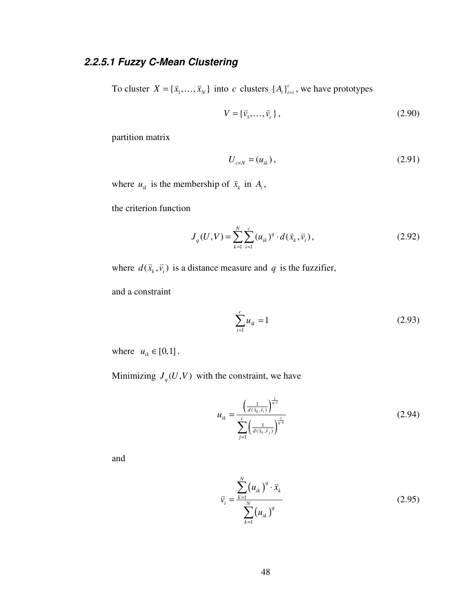# **2.2.5.1 Fuzzy C-Mean Clustering**

To cluster  $X = {\bar{x}_1, ..., \bar{x}_N}$  into *c* clusters  ${A_i}_{i=i}^c$ , we have prototypes

$$
V = {\vec{v}_1, ..., \vec{v}_c},
$$
\n(2.90)

partition matrix

$$
U_{c \times N} = (u_{ik}), \t\t(2.91)
$$

where  $u_{ik}$  is the membership of  $\bar{x}_k$  $\vec{x}_k$  in  $A_i$ ,

the criterion function

$$
J_q(U, V) = \sum_{k=1}^{N} \sum_{i=1}^{c} (u_{ik})^q \cdot d(\vec{x}_k, \vec{v}_i),
$$
 (2.92)

where  $d(\vec{x}_k, \vec{v}_i)$  is a distance measure and *q* is the fuzzifier,

and a constraint

$$
\sum_{i=1}^{c} u_{ik} = 1 \tag{2.93}
$$

where  $u_{ik} \in [0,1]$ .

Minimizing  $J_q(U, V)$  with the constraint, we have

$$
u_{ik} = \frac{\left(\frac{1}{d(\bar{x}_k, \bar{v}_i)}\right)^{\frac{1}{q-1}}}{\sum_{j=1}^{c} \left(\frac{1}{d(\bar{x}_k, \bar{v}_j)}\right)^{\frac{1}{q-1}}}
$$
(2.94)

and

$$
\bar{v}_i = \frac{\sum_{k=1}^{N} (u_{ik})^q \cdot \bar{x}_k}{\sum_{k=1}^{N} (u_{ik})^q}
$$
(2.95)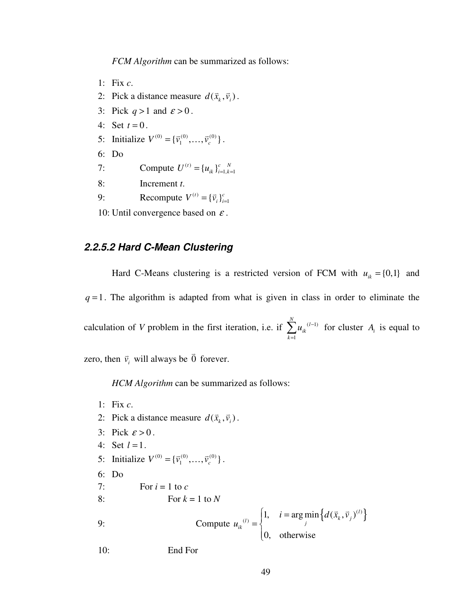*FCM Algorithm* can be summarized as follows:

- 1: Fix *c*.
- 2: Pick a distance measure  $d(\vec{x}_k, \vec{v}_i)$ .
- 3: Pick  $q > 1$  and  $\varepsilon > 0$ .
- 4: Set  $t = 0$ .
- 5: Initialize  $V^{(0)} = {\vec{v}_1^{(0)}, \dots, \vec{v}_c^{(0)}}$ .
- 6: Do
- 7: Compute  $U^{(t)} = \{u_{ik}\}_{i=1,k=1}^{c}$
- 8: Increment *t*.
- 9: Recompute  $V^{(t)} = {\vec{v}_i}_{i=1}^c$

10: Until convergence based on  $\varepsilon$ .

## **2.2.5.2 Hard C-Mean Clustering**

Hard C-Means clustering is a restricted version of FCM with  $u_{ik} = \{0,1\}$  and  $q = 1$ . The algorithm is adapted from what is given in class in order to eliminate the calculation of *V* problem in the first iteration, i.e. if  $\sum u_{ik}^{(l-1)}$ 1 *N l*<sub>*l*</sub> *(l ik k*  $u_{ik}^{(l)}$  $\sum_{k=1} u_{ik}^{(l-1)}$  for cluster  $A_i$  is equal to

zero, then  $\vec{v}_i$  $\vec{v}_i$  will always be  $\vec{0}$  $\overline{a}$ forever.

*HCM Algorithm* can be summarized as follows:

1: Fix *c*. 2: Pick a distance measure  $d(\vec{x}_k, \vec{v}_i)$ . 3: Pick  $\varepsilon > 0$ . 4: Set  $l = 1$ . 5: Initialize  $V^{(0)} = {\vec{v}_1^{(0)}, \dots, \vec{v}_c^{(0)}}$ . 6: Do 7: For  $i = 1$  to  $c$ 8: For  $k = 1$  to  $N$ 9: Compute  $\left\{d(\vec{x}_k,\vec{v}_j)^{(l)}\right\}$  $(i)$  | 1,  $i = \arg \min \left\{ d(\vec{x}_k, \vec{v}_j) \right\}$ 0, otherwise *l*  $\begin{cases} \n\frac{d}{dt} = \n\end{cases}$ ,  $\mathbf{r} = \mathbf{u} \boldsymbol{\xi} \min_j [\mathbf{u}(\mathbf{x}_k, \mathbf{v}_j)]$  $i = \arg \min \{ d(\vec{x}_k, \vec{v})$  $u_{ik}^{(l)} = \begin{cases} 1, & i = 1 \end{cases}$  $=\{$  $\overline{\mathcal{L}}$  $\Rightarrow$   $\Rightarrow$   $\Rightarrow$ 10: End For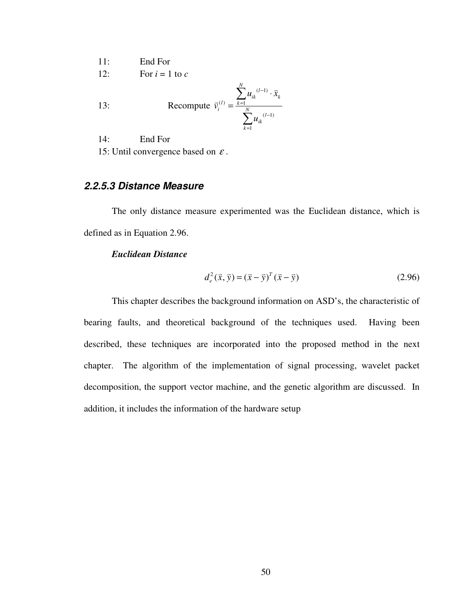11: End For

12: For  $i = 1$  to  $c$ 

13: 
$$
\text{Recompute } \vec{v}_i^{(l)} = \frac{\sum_{k=1}^{N} u_{ik}^{(l-1)} \cdot \vec{x}_k}{\sum_{k=1}^{N} u_{ik}^{(l-1)}}
$$

14: End For

15: Until convergence based on  $\varepsilon$ .

# **2.2.5.3 Distance Measure**

The only distance measure experimented was the Euclidean distance, which is defined as in Equation 2.96.

*N*

## *Euclidean Distance*

$$
d_e^2(\vec{x}, \vec{y}) = (\vec{x} - \vec{y})^T (\vec{x} - \vec{y})
$$
\n(2.96)

This chapter describes the background information on ASD's, the characteristic of bearing faults, and theoretical background of the techniques used. Having been described, these techniques are incorporated into the proposed method in the next chapter. The algorithm of the implementation of signal processing, wavelet packet decomposition, the support vector machine, and the genetic algorithm are discussed. In addition, it includes the information of the hardware setup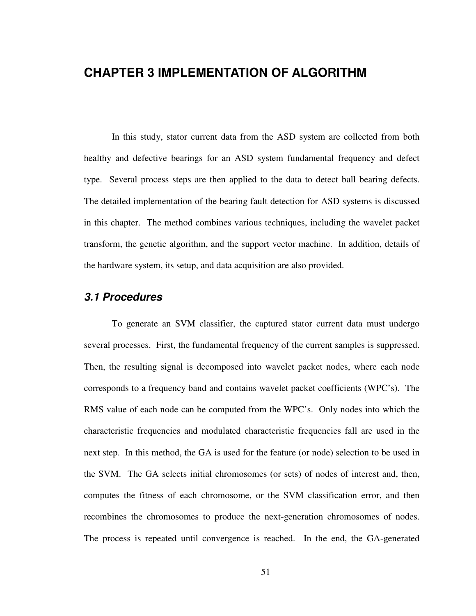# **CHAPTER 3 IMPLEMENTATION OF ALGORITHM**

In this study, stator current data from the ASD system are collected from both healthy and defective bearings for an ASD system fundamental frequency and defect type. Several process steps are then applied to the data to detect ball bearing defects. The detailed implementation of the bearing fault detection for ASD systems is discussed in this chapter. The method combines various techniques, including the wavelet packet transform, the genetic algorithm, and the support vector machine. In addition, details of the hardware system, its setup, and data acquisition are also provided.

# **3.1 Procedures**

To generate an SVM classifier, the captured stator current data must undergo several processes. First, the fundamental frequency of the current samples is suppressed. Then, the resulting signal is decomposed into wavelet packet nodes, where each node corresponds to a frequency band and contains wavelet packet coefficients (WPC's). The RMS value of each node can be computed from the WPC's. Only nodes into which the characteristic frequencies and modulated characteristic frequencies fall are used in the next step. In this method, the GA is used for the feature (or node) selection to be used in the SVM. The GA selects initial chromosomes (or sets) of nodes of interest and, then, computes the fitness of each chromosome, or the SVM classification error, and then recombines the chromosomes to produce the next-generation chromosomes of nodes. The process is repeated until convergence is reached. In the end, the GA-generated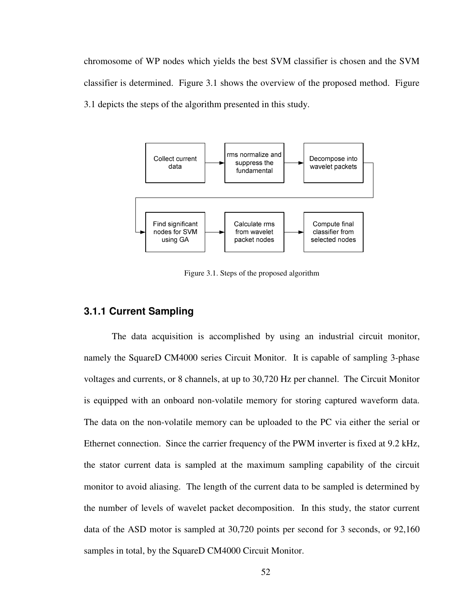chromosome of WP nodes which yields the best SVM classifier is chosen and the SVM classifier is determined. Figure 3.1 shows the overview of the proposed method. Figure 3.1 depicts the steps of the algorithm presented in this study.



Figure 3.1. Steps of the proposed algorithm

## **3.1.1 Current Sampling**

The data acquisition is accomplished by using an industrial circuit monitor, namely the SquareD CM4000 series Circuit Monitor. It is capable of sampling 3-phase voltages and currents, or 8 channels, at up to 30,720 Hz per channel. The Circuit Monitor is equipped with an onboard non-volatile memory for storing captured waveform data. The data on the non-volatile memory can be uploaded to the PC via either the serial or Ethernet connection. Since the carrier frequency of the PWM inverter is fixed at 9.2 kHz, the stator current data is sampled at the maximum sampling capability of the circuit monitor to avoid aliasing. The length of the current data to be sampled is determined by the number of levels of wavelet packet decomposition. In this study, the stator current data of the ASD motor is sampled at 30,720 points per second for 3 seconds, or 92,160 samples in total, by the SquareD CM4000 Circuit Monitor.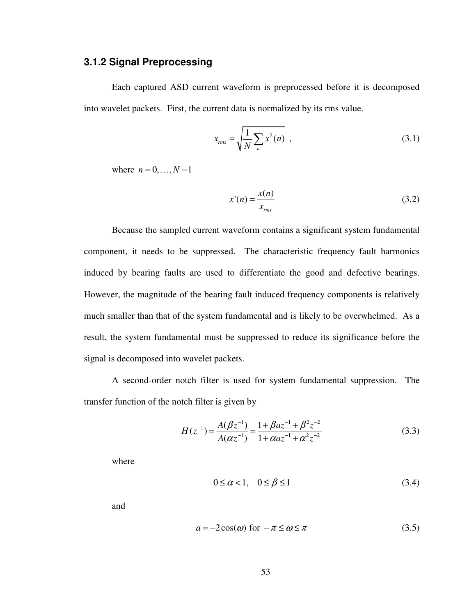# **3.1.2 Signal Preprocessing**

Each captured ASD current waveform is preprocessed before it is decomposed into wavelet packets. First, the current data is normalized by its rms value.

$$
x_{\rm rms} = \sqrt{\frac{1}{N} \sum_{n} x^2(n)} \tag{3.1}
$$

where  $n = 0, ..., N - 1$ 

$$
x'(n) = \frac{x(n)}{x_{rms}}
$$
 (3.2)

Because the sampled current waveform contains a significant system fundamental component, it needs to be suppressed. The characteristic frequency fault harmonics induced by bearing faults are used to differentiate the good and defective bearings. However, the magnitude of the bearing fault induced frequency components is relatively much smaller than that of the system fundamental and is likely to be overwhelmed. As a result, the system fundamental must be suppressed to reduce its significance before the signal is decomposed into wavelet packets.

A second-order notch filter is used for system fundamental suppression. The transfer function of the notch filter is given by

$$
H(z^{-1}) = \frac{A(\beta z^{-1})}{A(\alpha z^{-1})} = \frac{1 + \beta a z^{-1} + \beta^2 z^{-2}}{1 + \alpha a z^{-1} + \alpha^2 z^{-2}}
$$
(3.3)

where

$$
0 \le \alpha < 1, \quad 0 \le \beta \le 1 \tag{3.4}
$$

and

$$
a = -2\cos(\omega) \text{ for } -\pi \le \omega \le \pi \tag{3.5}
$$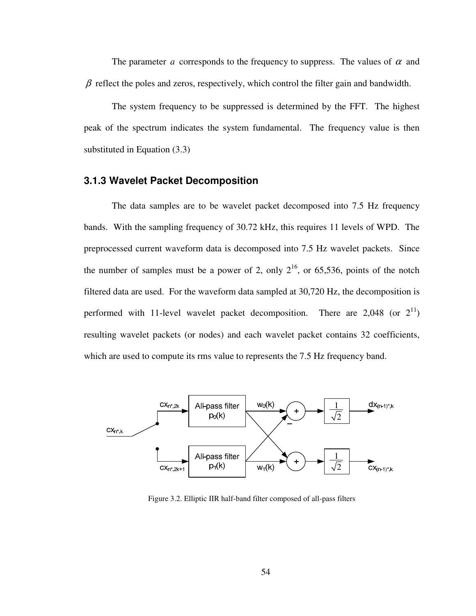The parameter *a* corresponds to the frequency to suppress. The values of  $\alpha$  and  $\beta$  reflect the poles and zeros, respectively, which control the filter gain and bandwidth.

The system frequency to be suppressed is determined by the FFT. The highest peak of the spectrum indicates the system fundamental. The frequency value is then substituted in Equation (3.3)

## **3.1.3 Wavelet Packet Decomposition**

The data samples are to be wavelet packet decomposed into 7.5 Hz frequency bands. With the sampling frequency of 30.72 kHz, this requires 11 levels of WPD. The preprocessed current waveform data is decomposed into 7.5 Hz wavelet packets. Since the number of samples must be a power of 2, only  $2^{16}$ , or 65,536, points of the notch filtered data are used. For the waveform data sampled at 30,720 Hz, the decomposition is performed with 11-level wavelet packet decomposition. There are 2,048 (or  $2^{11}$ ) resulting wavelet packets (or nodes) and each wavelet packet contains 32 coefficients, which are used to compute its rms value to represents the 7.5 Hz frequency band.



Figure 3.2. Elliptic IIR half-band filter composed of all-pass filters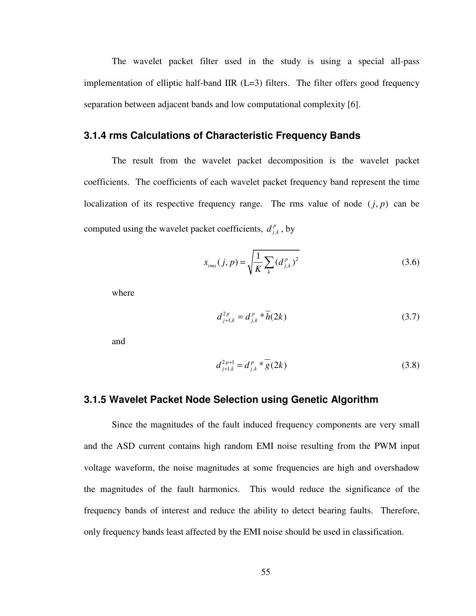The wavelet packet filter used in the study is using a special all-pass implementation of elliptic half-band IIR  $(L=3)$  filters. The filter offers good frequency separation between adjacent bands and low computational complexity [6].

## **3.1.4 rms Calculations of Characteristic Frequency Bands**

The result from the wavelet packet decomposition is the wavelet packet coefficients. The coefficients of each wavelet packet frequency band represent the time localization of its respective frequency range. The rms value of node  $(j, p)$  can be computed using the wavelet packet coefficients,  $d_{j}^{p}$  $d_{j,k}^p$ , by

$$
x_{\text{rms}}(j, p) = \sqrt{\frac{1}{K} \sum_{k} (d_{j,k}^{p})^2}
$$
 (3.6)

where

$$
d_{j+1,k}^{2p} = d_{j,k}^{p} * \overline{h}(2k)
$$
 (3.7)

and

$$
d_{j+1,k}^{2p+1} = d_{j,k}^p * g(2k)
$$
 (3.8)

#### **3.1.5 Wavelet Packet Node Selection using Genetic Algorithm**

Since the magnitudes of the fault induced frequency components are very small and the ASD current contains high random EMI noise resulting from the PWM input voltage waveform, the noise magnitudes at some frequencies are high and overshadow the magnitudes of the fault harmonics. This would reduce the significance of the frequency bands of interest and reduce the ability to detect bearing faults. Therefore, only frequency bands least affected by the EMI noise should be used in classification.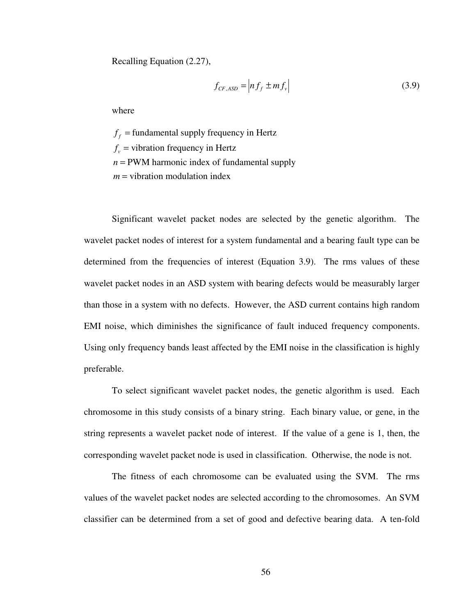Recalling Equation (2.27),

$$
f_{CF,ASD} = \left| nf_f \pm mf_v \right| \tag{3.9}
$$

where

 $f_f$  = fundamental supply frequency in Hertz  $f_v$  = vibration frequency in Hertz  $n =$  PWM harmonic index of fundamental supply *m* = vibration modulation index

Significant wavelet packet nodes are selected by the genetic algorithm. The wavelet packet nodes of interest for a system fundamental and a bearing fault type can be determined from the frequencies of interest (Equation 3.9). The rms values of these wavelet packet nodes in an ASD system with bearing defects would be measurably larger than those in a system with no defects. However, the ASD current contains high random EMI noise, which diminishes the significance of fault induced frequency components. Using only frequency bands least affected by the EMI noise in the classification is highly preferable.

To select significant wavelet packet nodes, the genetic algorithm is used. Each chromosome in this study consists of a binary string. Each binary value, or gene, in the string represents a wavelet packet node of interest. If the value of a gene is 1, then, the corresponding wavelet packet node is used in classification. Otherwise, the node is not.

The fitness of each chromosome can be evaluated using the SVM. The rms values of the wavelet packet nodes are selected according to the chromosomes. An SVM classifier can be determined from a set of good and defective bearing data. A ten-fold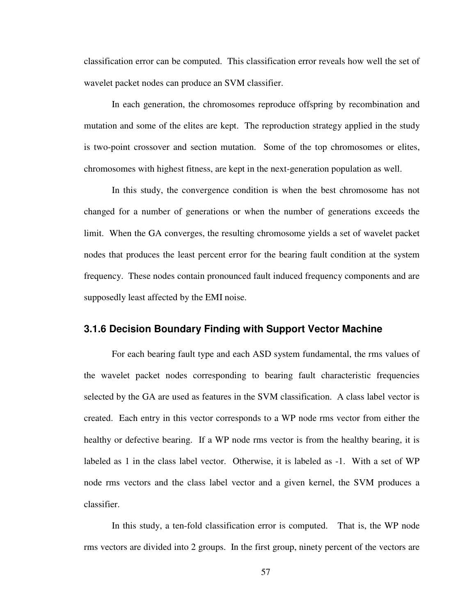classification error can be computed. This classification error reveals how well the set of wavelet packet nodes can produce an SVM classifier.

In each generation, the chromosomes reproduce offspring by recombination and mutation and some of the elites are kept. The reproduction strategy applied in the study is two-point crossover and section mutation. Some of the top chromosomes or elites, chromosomes with highest fitness, are kept in the next-generation population as well.

In this study, the convergence condition is when the best chromosome has not changed for a number of generations or when the number of generations exceeds the limit. When the GA converges, the resulting chromosome yields a set of wavelet packet nodes that produces the least percent error for the bearing fault condition at the system frequency. These nodes contain pronounced fault induced frequency components and are supposedly least affected by the EMI noise.

# **3.1.6 Decision Boundary Finding with Support Vector Machine**

For each bearing fault type and each ASD system fundamental, the rms values of the wavelet packet nodes corresponding to bearing fault characteristic frequencies selected by the GA are used as features in the SVM classification. A class label vector is created. Each entry in this vector corresponds to a WP node rms vector from either the healthy or defective bearing. If a WP node rms vector is from the healthy bearing, it is labeled as 1 in the class label vector. Otherwise, it is labeled as -1. With a set of WP node rms vectors and the class label vector and a given kernel, the SVM produces a classifier.

In this study, a ten-fold classification error is computed. That is, the WP node rms vectors are divided into 2 groups. In the first group, ninety percent of the vectors are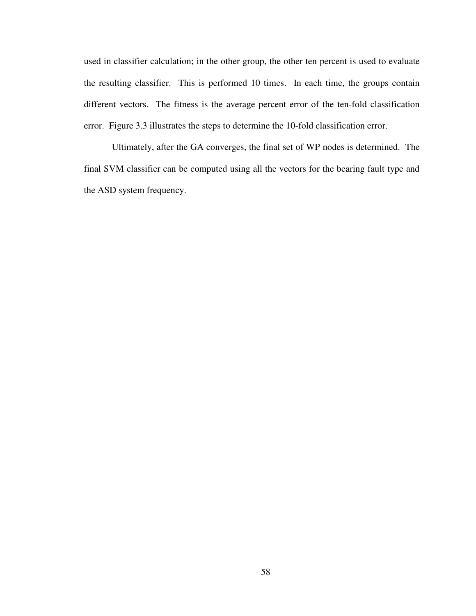used in classifier calculation; in the other group, the other ten percent is used to evaluate the resulting classifier. This is performed 10 times. In each time, the groups contain different vectors. The fitness is the average percent error of the ten-fold classification error. Figure 3.3 illustrates the steps to determine the 10-fold classification error.

Ultimately, after the GA converges, the final set of WP nodes is determined. The final SVM classifier can be computed using all the vectors for the bearing fault type and the ASD system frequency.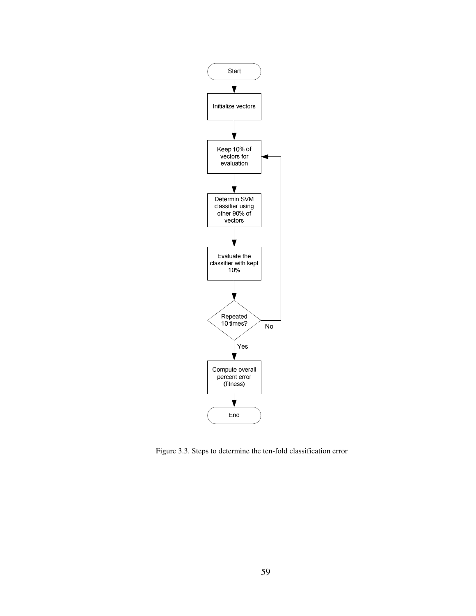

Figure 3.3. Steps to determine the ten-fold classification error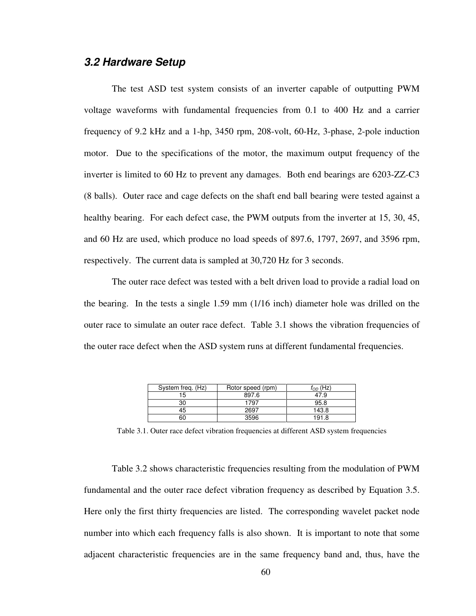## **3.2 Hardware Setup**

The test ASD test system consists of an inverter capable of outputting PWM voltage waveforms with fundamental frequencies from 0.1 to 400 Hz and a carrier frequency of 9.2 kHz and a 1-hp, 3450 rpm, 208-volt, 60-Hz, 3-phase, 2-pole induction motor. Due to the specifications of the motor, the maximum output frequency of the inverter is limited to 60 Hz to prevent any damages. Both end bearings are 6203-ZZ-C3 (8 balls). Outer race and cage defects on the shaft end ball bearing were tested against a healthy bearing. For each defect case, the PWM outputs from the inverter at 15, 30, 45, and 60 Hz are used, which produce no load speeds of 897.6, 1797, 2697, and 3596 rpm, respectively. The current data is sampled at 30,720 Hz for 3 seconds.

The outer race defect was tested with a belt driven load to provide a radial load on the bearing. In the tests a single 1.59 mm (1/16 inch) diameter hole was drilled on the outer race to simulate an outer race defect. Table 3.1 shows the vibration frequencies of the outer race defect when the ASD system runs at different fundamental frequencies.

| System freq. (Hz) | Rotor speed (rpm) | $f_{OD}$ (Hz $\,$ |
|-------------------|-------------------|-------------------|
| 15                | 897.6             | 47.9              |
| 30                | 1797              | 95.8              |
| 45                | 2697              | 143.8             |
| 60                | 3596              | 191 R             |

Table 3.1. Outer race defect vibration frequencies at different ASD system frequencies

Table 3.2 shows characteristic frequencies resulting from the modulation of PWM fundamental and the outer race defect vibration frequency as described by Equation 3.5. Here only the first thirty frequencies are listed. The corresponding wavelet packet node number into which each frequency falls is also shown. It is important to note that some adjacent characteristic frequencies are in the same frequency band and, thus, have the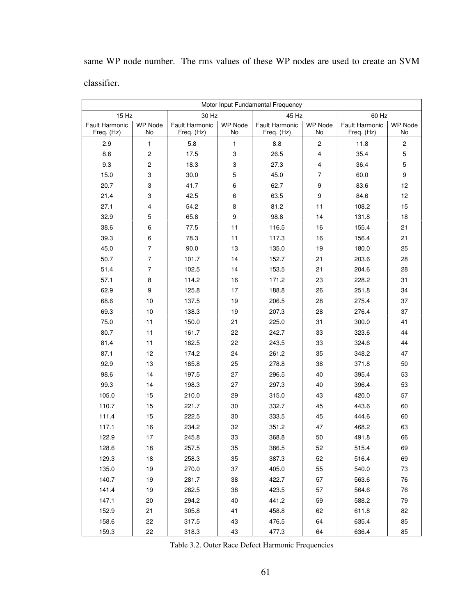same WP node number. The rms values of these WP nodes are used to create an SVM classifier.

| Motor Input Fundamental Frequency   |                         |                              |               |                              |                         |                              |                      |  |  |  |
|-------------------------------------|-------------------------|------------------------------|---------------|------------------------------|-------------------------|------------------------------|----------------------|--|--|--|
| 15 Hz                               |                         | 30 Hz                        |               | 45 Hz                        |                         | 60 Hz                        |                      |  |  |  |
| <b>Fault Harmonic</b><br>Freq. (Hz) | <b>WP Node</b><br>No    | Fault Harmonic<br>Freq. (Hz) | WP Node<br>No | Fault Harmonic<br>Freq. (Hz) | <b>WP Node</b><br>No    | Fault Harmonic<br>Freq. (Hz) | <b>WP Node</b><br>No |  |  |  |
| 2.9                                 | $\mathbf{1}$            | 5.8                          | $\mathbf{1}$  | 8.8                          | 2                       | 11.8                         | $\overline{c}$       |  |  |  |
| 8.6                                 | $\boldsymbol{2}$        | 17.5                         | 3             | 26.5                         | $\overline{\mathbf{4}}$ | 35.4                         | $\mathbf 5$          |  |  |  |
| 9.3                                 | $\boldsymbol{2}$        | 18.3                         | 3             | 27.3                         | $\overline{\mathbf{4}}$ | 36.4                         | $\mathbf 5$          |  |  |  |
| 15.0                                | 3                       | 30.0                         | 5             | 45.0                         | $\overline{7}$          | 60.0                         | 9                    |  |  |  |
| 20.7                                | 3                       | 41.7                         | 6             | 62.7                         | 9                       | 83.6                         | 12                   |  |  |  |
| 21.4                                | 3                       | 42.5                         | 6             | 63.5                         | 9                       | 84.6                         | 12                   |  |  |  |
| 27.1                                | $\overline{\mathbf{4}}$ | 54.2                         | 8             | 81.2                         | 11                      | 108.2                        | 15                   |  |  |  |
| 32.9                                | 5                       | 65.8                         | 9             | 98.8                         | 14                      | 131.8                        | 18                   |  |  |  |
| 38.6                                | 6                       | 77.5                         | 11            | 116.5                        | 16                      | 155.4                        | 21                   |  |  |  |
| 39.3                                | 6                       | 78.3                         | 11            | 117.3                        | 16                      | 156.4                        | 21                   |  |  |  |
| 45.0                                | $\overline{7}$          | 90.0                         | 13            | 135.0                        | 19                      | 180.0                        | 25                   |  |  |  |
| 50.7                                | $\overline{7}$          | 101.7                        | 14            | 152.7                        | 21                      | 203.6                        | 28                   |  |  |  |
| 51.4                                | $\overline{7}$          | 102.5                        | 14            | 153.5                        | 21                      | 204.6                        | 28                   |  |  |  |
| 57.1                                | 8                       | 114.2                        | 16            | 171.2                        | 23                      | 228.2                        | 31                   |  |  |  |
| 62.9                                | 9                       | 125.8                        | 17            | 188.8                        | 26                      | 251.8                        | 34                   |  |  |  |
| 68.6                                | 10                      | 137.5                        | 19            | 206.5                        | 28                      | 275.4                        | 37                   |  |  |  |
| 69.3                                | $10$                    | 138.3                        | 19            | 207.3                        | 28                      | 276.4                        | 37                   |  |  |  |
| 75.0                                | 11                      | 150.0                        | 21            | 225.0                        | 31                      | 300.0                        | 41                   |  |  |  |
| 80.7                                | 11                      | 161.7                        | 22            | 242.7                        | 33                      | 323.6                        | 44                   |  |  |  |
| 81.4                                | 11                      | 162.5                        | 22            | 243.5                        | 33                      | 324.6                        | 44                   |  |  |  |
| 87.1                                | 12                      | 174.2                        | 24            | 261.2                        | 35                      | 348.2                        | 47                   |  |  |  |
| 92.9                                | 13                      | 185.8                        | 25            | 278.8                        | 38                      | 371.8                        | 50                   |  |  |  |
| 98.6                                | 14                      | 197.5                        | 27            | 296.5                        | 40                      | 395.4                        | 53                   |  |  |  |
| 99.3                                | 14                      | 198.3                        | 27            | 297.3                        | 40                      | 396.4                        | 53                   |  |  |  |
| 105.0                               | 15                      | 210.0                        | 29            | 315.0                        | 43                      | 420.0                        | 57                   |  |  |  |
| 110.7                               | 15                      | 221.7                        | 30            | 332.7                        | 45                      | 443.6                        | 60                   |  |  |  |
| 111.4                               | 15                      | 222.5                        | 30            | 333.5                        | 45                      | 444.6                        | 60                   |  |  |  |
| 117.1                               | 16                      | 234.2                        | 32            | 351.2                        | 47                      | 468.2                        | 63                   |  |  |  |
| 122.9                               | 17                      | 245.8                        | 33            | 368.8                        | 50                      | 491.8                        | 66                   |  |  |  |
| 128.6                               | 18                      | 257.5                        | 35            | 386.5                        | 52                      | 515.4                        | 69                   |  |  |  |
| 129.3                               | 18                      | 258.3                        | 35            | 387.3                        | 52                      | 516.4                        | 69                   |  |  |  |
| 135.0                               | 19                      | 270.0                        | 37            | 405.0                        | 55                      | 540.0                        | 73                   |  |  |  |
| 140.7                               | 19                      | 281.7                        | 38            | 422.7                        | 57                      | 563.6                        | 76                   |  |  |  |
| 141.4                               | 19                      | 282.5                        | 38            | 423.5                        | 57                      | 564.6                        | 76                   |  |  |  |
| 147.1                               | 20                      | 294.2                        | 40            | 441.2                        | 59                      | 588.2                        | 79                   |  |  |  |
| 152.9                               | 21                      | 305.8                        | 41            | 458.8                        | 62                      | 611.8                        | 82                   |  |  |  |
| 158.6                               | 22                      | 317.5                        | 43            | 476.5                        | 64                      | 635.4                        | 85                   |  |  |  |
| 159.3                               | 22                      | 318.3                        | 43            | 477.3                        | 64                      | 636.4                        | 85                   |  |  |  |

Table 3.2. Outer Race Defect Harmonic Frequencies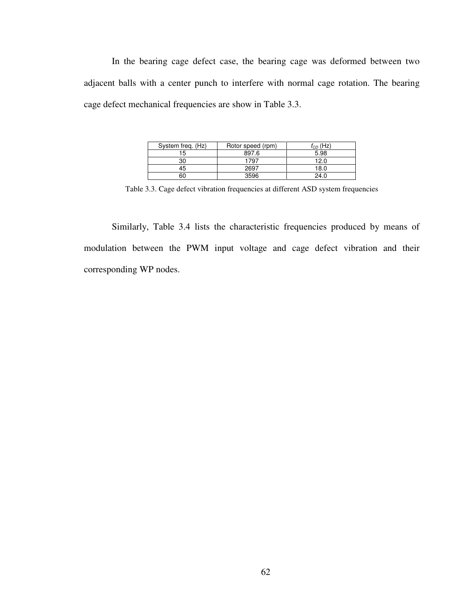In the bearing cage defect case, the bearing cage was deformed between two adjacent balls with a center punch to interfere with normal cage rotation. The bearing cage defect mechanical frequencies are show in Table 3.3.

| System freg. (Hz) | Rotor speed (rpm) | (Hz)<br>t <sub>CD</sub> |  |  |
|-------------------|-------------------|-------------------------|--|--|
| 15                | 897.6             | 5.98                    |  |  |
| 30                | 1797              | 12.0                    |  |  |
| 45                | 2697              | 18.0                    |  |  |
| 60                | 3596              | 24.0                    |  |  |

Table 3.3. Cage defect vibration frequencies at different ASD system frequencies

Similarly, Table 3.4 lists the characteristic frequencies produced by means of modulation between the PWM input voltage and cage defect vibration and their corresponding WP nodes.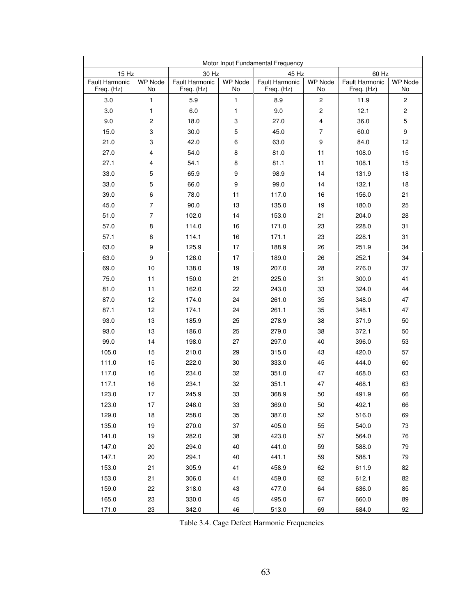| Motor Input Fundamental Frequency |                         |                              |               |                                     |                      |                              |                         |  |  |
|-----------------------------------|-------------------------|------------------------------|---------------|-------------------------------------|----------------------|------------------------------|-------------------------|--|--|
| 15 Hz                             |                         | 30 Hz                        |               | 45 Hz                               |                      | 60 Hz                        |                         |  |  |
| Fault Harmonic<br>Freq. (Hz)      | <b>WP Node</b><br>No    | Fault Harmonic<br>Freq. (Hz) | WP Node<br>No | <b>Fault Harmonic</b><br>Freq. (Hz) | <b>WP Node</b><br>No | Fault Harmonic<br>Freq. (Hz) | <b>WP Node</b><br>No    |  |  |
| 3.0                               | $\mathbf{1}$            | 5.9                          | $\mathbf{1}$  | 8.9                                 | $\boldsymbol{2}$     | 11.9                         | $\overline{\mathbf{c}}$ |  |  |
| 3.0                               | 1                       | 6.0                          | 1             | 9.0                                 | $\mathbf 2$          | 12.1                         | $\overline{\mathbf{c}}$ |  |  |
| 9.0                               | $\boldsymbol{2}$        | 18.0                         | 3             | 27.0                                | 4                    | 36.0                         | $\mathbf 5$             |  |  |
| 15.0                              | 3                       | 30.0                         | 5             | 45.0                                | $\overline{7}$       | 60.0                         | 9                       |  |  |
| 21.0                              | 3                       | 42.0                         | 6             | 63.0                                | 9                    | 84.0                         | 12                      |  |  |
| 27.0                              | 4                       | 54.0                         | 8             | 81.0                                | 11                   | 108.0                        | 15                      |  |  |
| 27.1                              | $\overline{\mathbf{4}}$ | 54.1                         | 8             | 81.1                                | 11                   | 108.1                        | 15                      |  |  |
| 33.0                              | 5                       | 65.9                         | 9             | 98.9                                | 14                   | 131.9                        | 18                      |  |  |
| 33.0                              | 5                       | 66.0                         | 9             | 99.0                                | 14                   | 132.1                        | 18                      |  |  |
| 39.0                              | 6                       | 78.0                         | 11            | 117.0                               | 16                   | 156.0                        | 21                      |  |  |
| 45.0                              | $\overline{7}$          | 90.0                         | 13            | 135.0                               | 19                   | 180.0                        | 25                      |  |  |
| 51.0                              | $\overline{7}$          | 102.0                        | 14            | 153.0                               | 21                   | 204.0                        | 28                      |  |  |
| 57.0                              | 8                       | 114.0                        | 16            | 171.0                               | 23                   | 228.0                        | 31                      |  |  |
| 57.1                              | 8                       | 114.1                        | 16            | 171.1                               | 23                   | 228.1                        | 31                      |  |  |
| 63.0                              | 9                       | 125.9                        | 17            | 188.9                               | 26                   | 251.9                        | 34                      |  |  |
| 63.0                              | 9                       | 126.0                        | 17            | 189.0                               | 26                   | 252.1                        | 34                      |  |  |
| 69.0                              | 10                      | 138.0                        | 19            | 207.0                               | 28                   | 276.0                        | 37                      |  |  |
| 75.0                              | 11                      | 150.0                        | 21            | 225.0                               | 31                   | 300.0                        | 41                      |  |  |
| 81.0                              | 11                      | 162.0                        | 22            | 243.0                               | 33                   | 324.0                        | 44                      |  |  |
| 87.0                              | 12                      | 174.0                        | 24            | 261.0                               | 35                   | 348.0                        | 47                      |  |  |
| 87.1                              | 12                      | 174.1                        | 24            | 261.1                               | 35                   | 348.1                        | 47                      |  |  |
| 93.0                              | 13                      | 185.9                        | 25            | 278.9                               | 38                   | 371.9                        | 50                      |  |  |
| 93.0                              | 13                      | 186.0                        | 25            | 279.0                               | 38                   | 372.1                        | 50                      |  |  |
| 99.0                              | 14                      | 198.0                        | 27            | 297.0                               | 40                   | 396.0                        | 53                      |  |  |
| 105.0                             | 15                      | 210.0                        | 29            | 315.0                               | 43                   | 420.0                        | 57                      |  |  |
| 111.0                             | 15                      | 222.0                        | 30            | 333.0                               | 45                   | 444.0                        | 60                      |  |  |
| 117.0                             | 16                      | 234.0                        | 32            | 351.0                               | 47                   | 468.0                        | 63                      |  |  |
| 117.1                             | 16                      | 234.1                        | 32            | 351.1                               | 47                   | 468.1                        | 63                      |  |  |
| 123.0                             | 17                      | 245.9                        | 33            | 368.9                               | 50                   | 491.9                        | 66                      |  |  |
| 123.0                             | 17                      | 246.0                        | $33\,$        | 369.0                               | 50                   | 492.1                        | 66                      |  |  |
| 129.0                             | 18                      | 258.0                        | 35            | 387.0                               | 52                   | 516.0                        | 69                      |  |  |
| 135.0                             | 19                      | 270.0                        | 37            | 405.0                               | 55                   | 540.0                        | 73                      |  |  |
| 141.0                             | 19                      | 282.0                        | 38            | 423.0                               | 57                   | 564.0                        | 76                      |  |  |
| 147.0                             | 20                      | 294.0                        | 40            | 441.0                               | 59                   | 588.0                        | 79                      |  |  |
| 147.1                             | 20                      | 294.1                        | 40            | 441.1                               | 59                   | 588.1                        | 79                      |  |  |
| 153.0                             | 21                      | 305.9                        | 41            | 458.9                               | 62                   | 611.9                        | 82                      |  |  |
| 153.0                             | 21                      | 306.0                        | 41            | 459.0                               | 62                   | 612.1                        | 82                      |  |  |
| 159.0                             | 22                      | 318.0                        | 43            | 477.0                               | 64                   | 636.0                        | 85                      |  |  |
| 165.0                             | 23                      | 330.0                        | 45            | 495.0                               | 67                   | 660.0                        | 89                      |  |  |
| 171.0                             | 23                      | 342.0                        | 46            | 513.0                               | 69                   | 684.0                        | 92                      |  |  |

Table 3.4. Cage Defect Harmonic Frequencies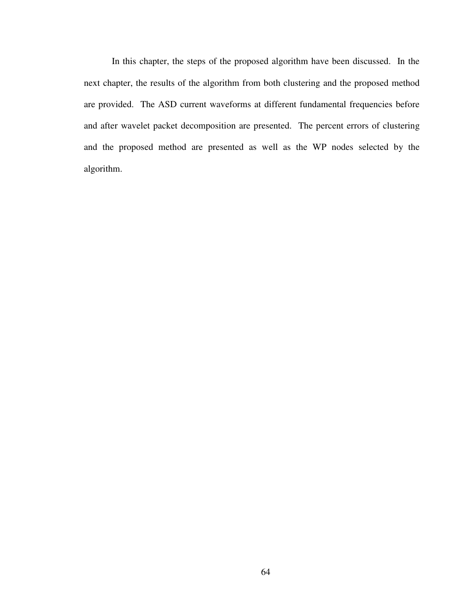In this chapter, the steps of the proposed algorithm have been discussed. In the next chapter, the results of the algorithm from both clustering and the proposed method are provided. The ASD current waveforms at different fundamental frequencies before and after wavelet packet decomposition are presented. The percent errors of clustering and the proposed method are presented as well as the WP nodes selected by the algorithm.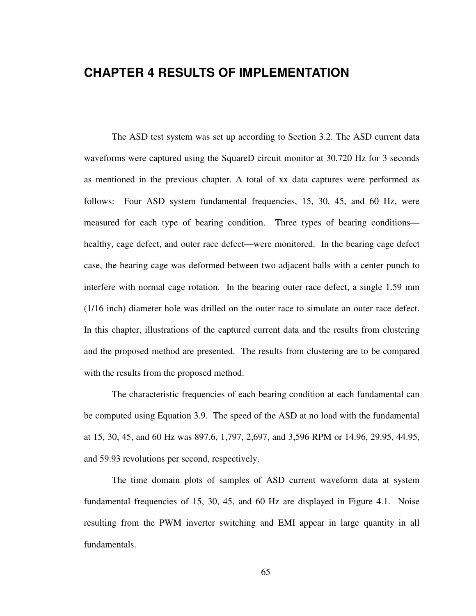# **CHAPTER 4 RESULTS OF IMPLEMENTATION**

The ASD test system was set up according to Section 3.2. The ASD current data waveforms were captured using the SquareD circuit monitor at 30,720 Hz for 3 seconds as mentioned in the previous chapter. A total of xx data captures were performed as follows: Four ASD system fundamental frequencies, 15, 30, 45, and 60 Hz, were measured for each type of bearing condition. Three types of bearing conditions healthy, cage defect, and outer race defect—were monitored. In the bearing cage defect case, the bearing cage was deformed between two adjacent balls with a center punch to interfere with normal cage rotation. In the bearing outer race defect, a single 1.59 mm (1/16 inch) diameter hole was drilled on the outer race to simulate an outer race defect. In this chapter, illustrations of the captured current data and the results from clustering and the proposed method are presented. The results from clustering are to be compared with the results from the proposed method.

The characteristic frequencies of each bearing condition at each fundamental can be computed using Equation 3.9. The speed of the ASD at no load with the fundamental at 15, 30, 45, and 60 Hz was 897.6, 1,797, 2,697, and 3,596 RPM or 14.96, 29.95, 44.95, and 59.93 revolutions per second, respectively.

The time domain plots of samples of ASD current waveform data at system fundamental frequencies of 15, 30, 45, and 60 Hz are displayed in Figure 4.1. Noise resulting from the PWM inverter switching and EMI appear in large quantity in all fundamentals.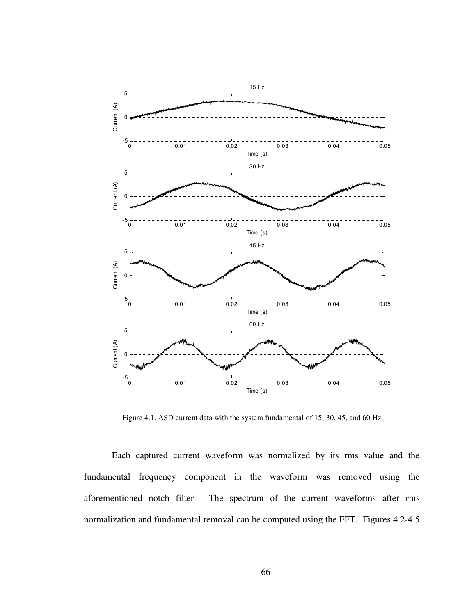

Figure 4.1. ASD current data with the system fundamental of 15, 30, 45, and 60 Hz

Each captured current waveform was normalized by its rms value and the fundamental frequency component in the waveform was removed using the aforementioned notch filter. The spectrum of the current waveforms after rms normalization and fundamental removal can be computed using the FFT. Figures 4.2-4.5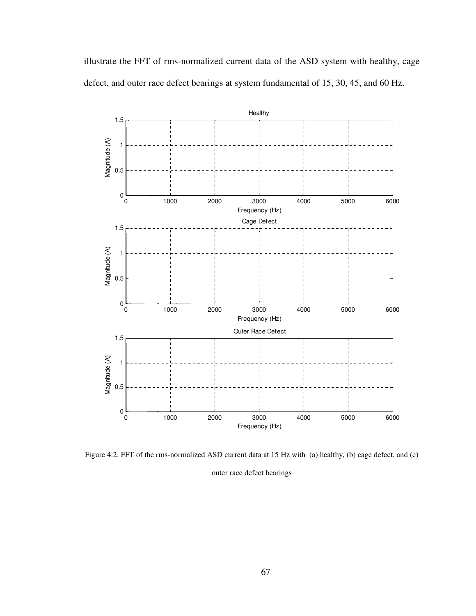illustrate the FFT of rms-normalized current data of the ASD system with healthy, cage defect, and outer race defect bearings at system fundamental of 15, 30, 45, and 60 Hz.



Figure 4.2. FFT of the rms-normalized ASD current data at 15 Hz with (a) healthy, (b) cage defect, and (c)

outer race defect bearings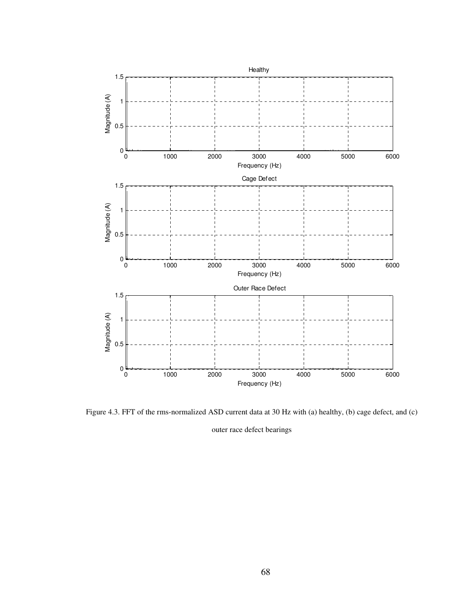

Figure 4.3. FFT of the rms-normalized ASD current data at 30 Hz with (a) healthy, (b) cage defect, and (c)

outer race defect bearings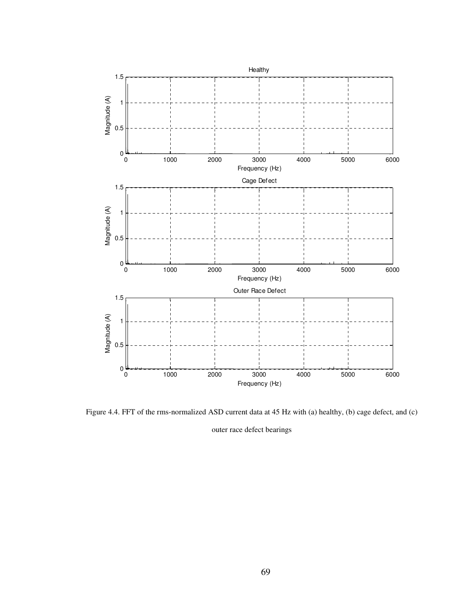

Figure 4.4. FFT of the rms-normalized ASD current data at 45 Hz with (a) healthy, (b) cage defect, and (c)

outer race defect bearings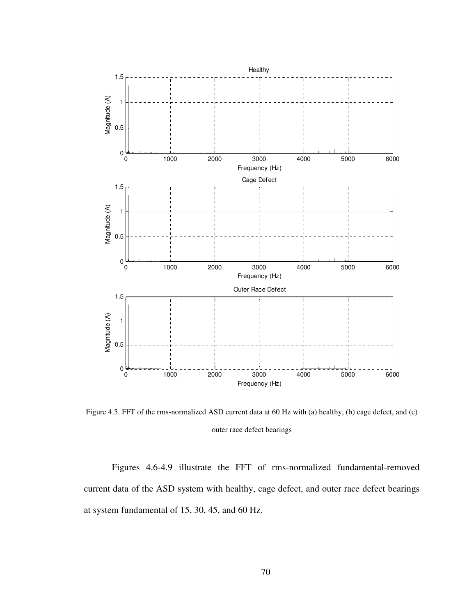

Figure 4.5. FFT of the rms-normalized ASD current data at 60 Hz with (a) healthy, (b) cage defect, and (c) outer race defect bearings

Figures 4.6-4.9 illustrate the FFT of rms-normalized fundamental-removed current data of the ASD system with healthy, cage defect, and outer race defect bearings at system fundamental of 15, 30, 45, and 60 Hz.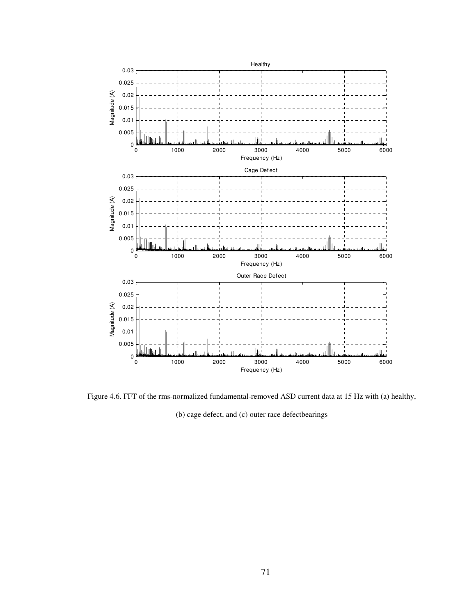

Figure 4.6. FFT of the rms-normalized fundamental-removed ASD current data at 15 Hz with (a) healthy,

(b) cage defect, and (c) outer race defectbearings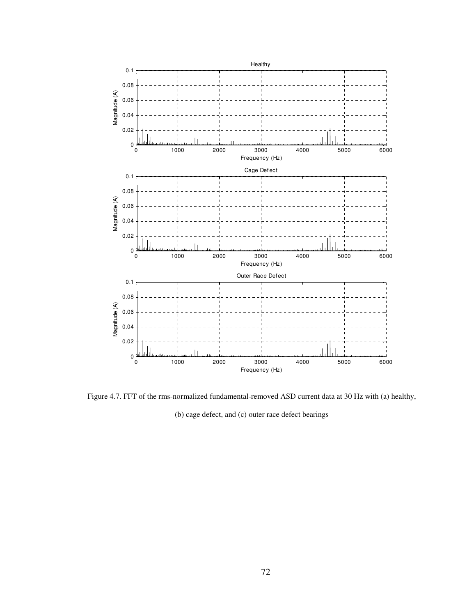

Figure 4.7. FFT of the rms-normalized fundamental-removed ASD current data at 30 Hz with (a) healthy,

(b) cage defect, and (c) outer race defect bearings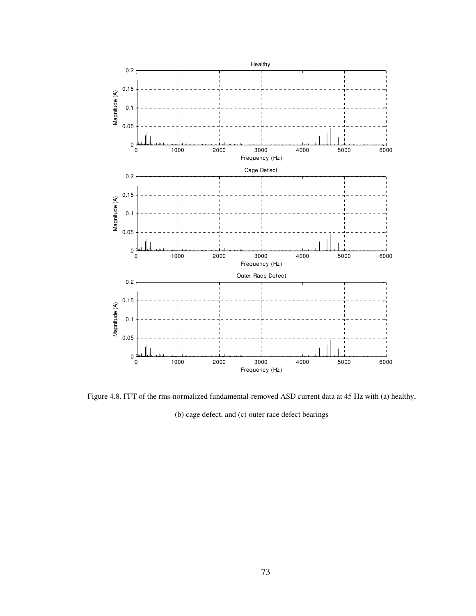

Figure 4.8. FFT of the rms-normalized fundamental-removed ASD current data at 45 Hz with (a) healthy,

(b) cage defect, and (c) outer race defect bearings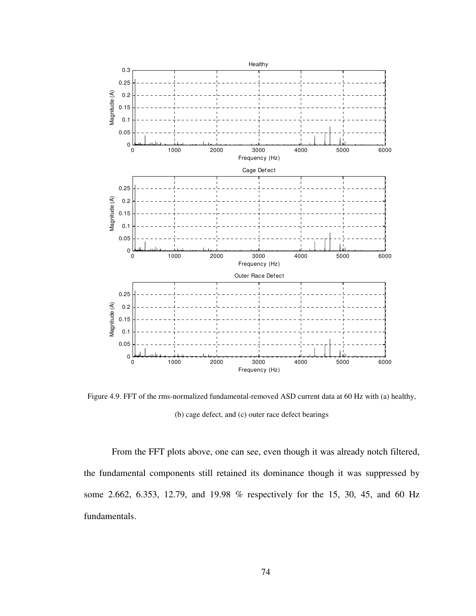

Figure 4.9. FFT of the rms-normalized fundamental-removed ASD current data at 60 Hz with (a) healthy, (b) cage defect, and (c) outer race defect bearings

From the FFT plots above, one can see, even though it was already notch filtered, the fundamental components still retained its dominance though it was suppressed by some 2.662, 6.353, 12.79, and 19.98 % respectively for the 15, 30, 45, and 60 Hz fundamentals.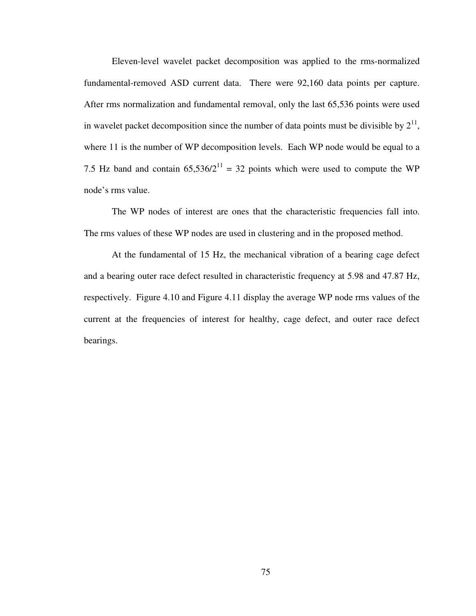Eleven-level wavelet packet decomposition was applied to the rms-normalized fundamental-removed ASD current data. There were 92,160 data points per capture. After rms normalization and fundamental removal, only the last 65,536 points were used in wavelet packet decomposition since the number of data points must be divisible by  $2^{11}$ , where 11 is the number of WP decomposition levels. Each WP node would be equal to a 7.5 Hz band and contain  $65,536/2^{11} = 32$  points which were used to compute the WP node's rms value.

The WP nodes of interest are ones that the characteristic frequencies fall into. The rms values of these WP nodes are used in clustering and in the proposed method.

At the fundamental of 15 Hz, the mechanical vibration of a bearing cage defect and a bearing outer race defect resulted in characteristic frequency at 5.98 and 47.87 Hz, respectively. Figure 4.10 and Figure 4.11 display the average WP node rms values of the current at the frequencies of interest for healthy, cage defect, and outer race defect bearings.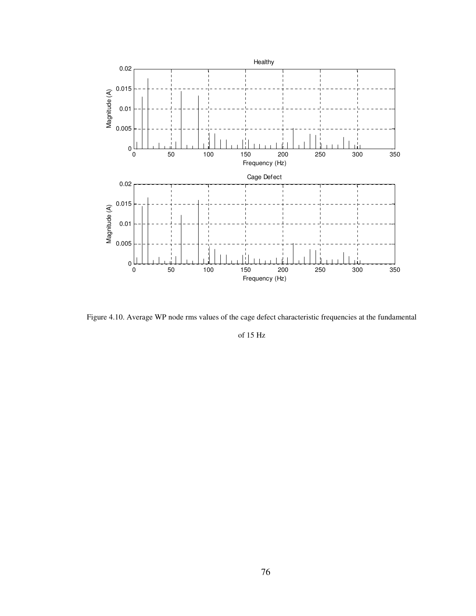

Figure 4.10. Average WP node rms values of the cage defect characteristic frequencies at the fundamental

of 15 Hz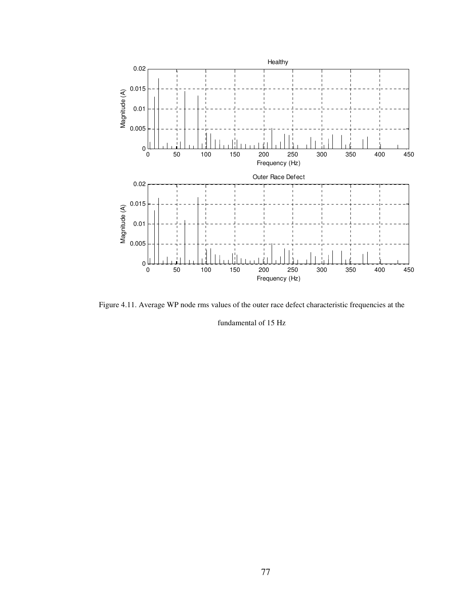

Figure 4.11. Average WP node rms values of the outer race defect characteristic frequencies at the

fundamental of 15 Hz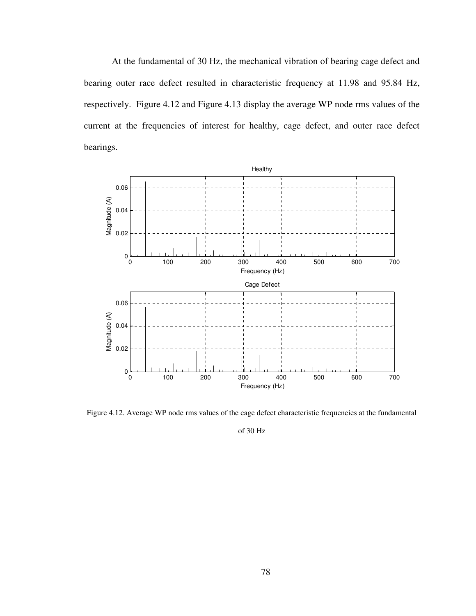At the fundamental of 30 Hz, the mechanical vibration of bearing cage defect and bearing outer race defect resulted in characteristic frequency at 11.98 and 95.84 Hz, respectively. Figure 4.12 and Figure 4.13 display the average WP node rms values of the current at the frequencies of interest for healthy, cage defect, and outer race defect bearings.



Figure 4.12. Average WP node rms values of the cage defect characteristic frequencies at the fundamental

of 30 Hz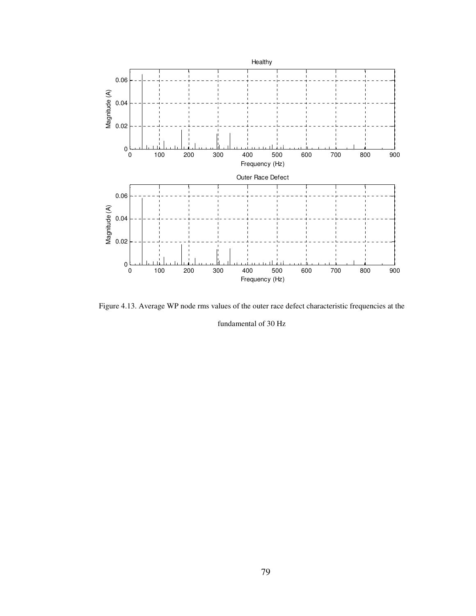

Figure 4.13. Average WP node rms values of the outer race defect characteristic frequencies at the fundamental of 30 Hz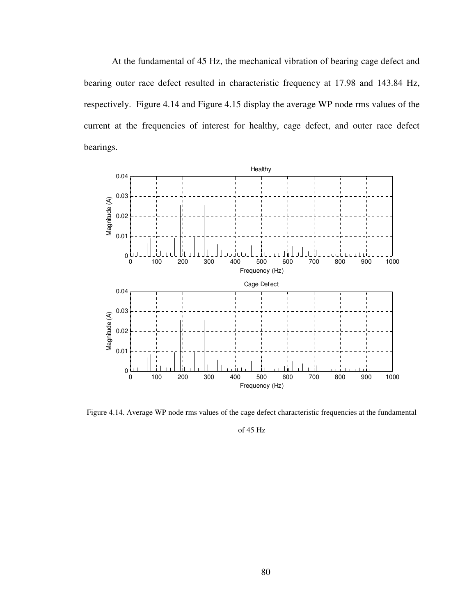At the fundamental of 45 Hz, the mechanical vibration of bearing cage defect and bearing outer race defect resulted in characteristic frequency at 17.98 and 143.84 Hz, respectively. Figure 4.14 and Figure 4.15 display the average WP node rms values of the current at the frequencies of interest for healthy, cage defect, and outer race defect bearings.



Figure 4.14. Average WP node rms values of the cage defect characteristic frequencies at the fundamental

of 45 Hz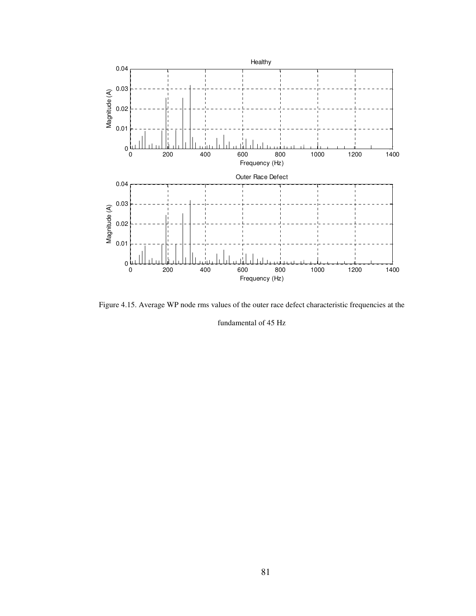

Figure 4.15. Average WP node rms values of the outer race defect characteristic frequencies at the

fundamental of 45 Hz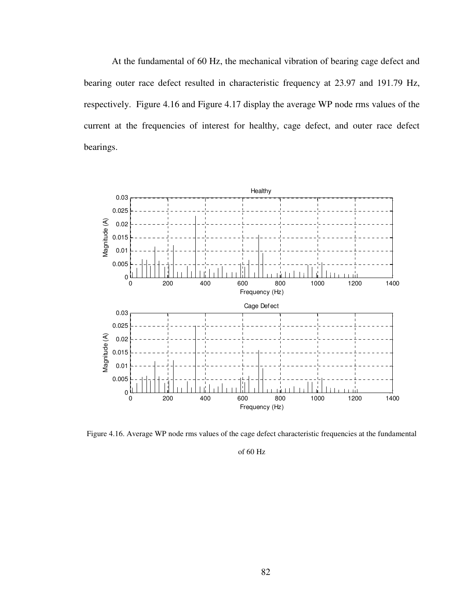At the fundamental of 60 Hz, the mechanical vibration of bearing cage defect and bearing outer race defect resulted in characteristic frequency at 23.97 and 191.79 Hz, respectively. Figure 4.16 and Figure 4.17 display the average WP node rms values of the current at the frequencies of interest for healthy, cage defect, and outer race defect bearings.



Figure 4.16. Average WP node rms values of the cage defect characteristic frequencies at the fundamental

of 60 Hz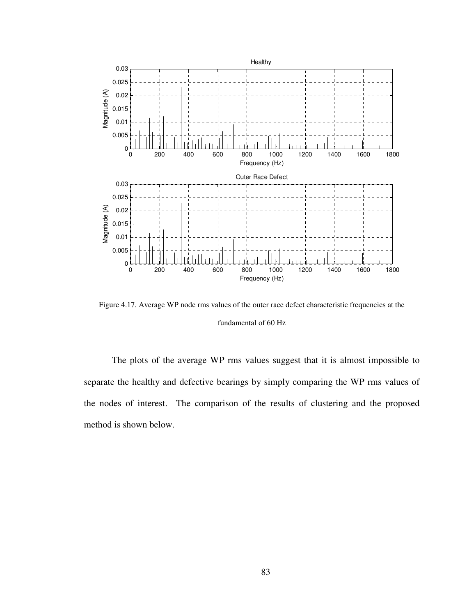

Figure 4.17. Average WP node rms values of the outer race defect characteristic frequencies at the fundamental of 60 Hz

The plots of the average WP rms values suggest that it is almost impossible to separate the healthy and defective bearings by simply comparing the WP rms values of the nodes of interest. The comparison of the results of clustering and the proposed method is shown below.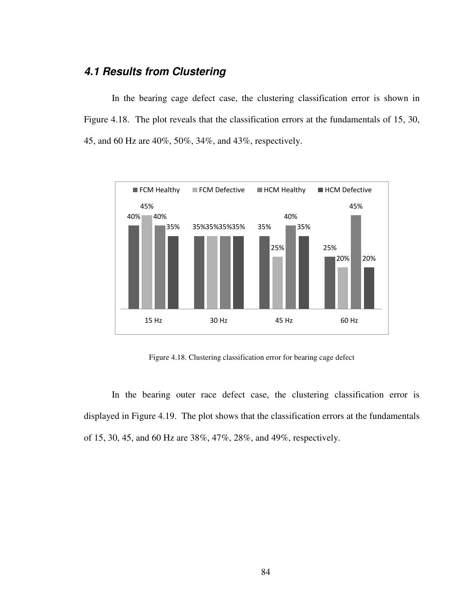## **4.1 Results from Clustering**

In the bearing cage defect case, the clustering classification error is shown in Figure 4.18. The plot reveals that the classification errors at the fundamentals of 15, 30, 45, and 60 Hz are 40%, 50%, 34%, and 43%, respectively.



Figure 4.18. Clustering classification error for bearing cage defect

In the bearing outer race defect case, the clustering classification error is displayed in Figure 4.19. The plot shows that the classification errors at the fundamentals of 15, 30, 45, and 60 Hz are 38%, 47%, 28%, and 49%, respectively.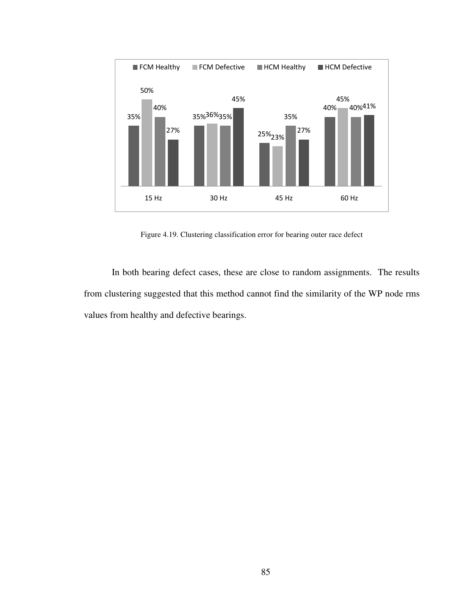

Figure 4.19. Clustering classification error for bearing outer race defect

In both bearing defect cases, these are close to random assignments. The results from clustering suggested that this method cannot find the similarity of the WP node rms values from healthy and defective bearings.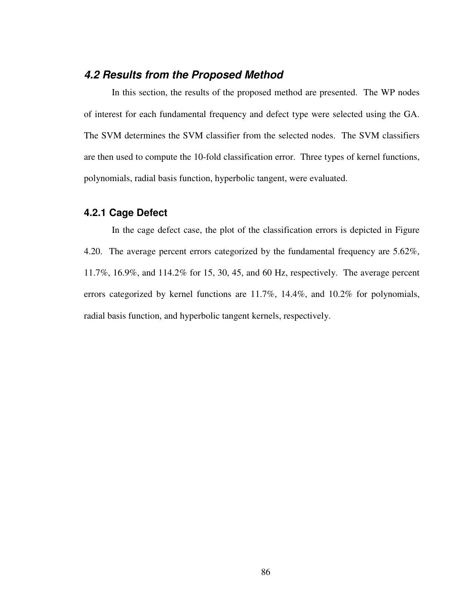## **4.2 Results from the Proposed Method**

In this section, the results of the proposed method are presented. The WP nodes of interest for each fundamental frequency and defect type were selected using the GA. The SVM determines the SVM classifier from the selected nodes. The SVM classifiers are then used to compute the 10-fold classification error. Three types of kernel functions, polynomials, radial basis function, hyperbolic tangent, were evaluated.

#### **4.2.1 Cage Defect**

In the cage defect case, the plot of the classification errors is depicted in Figure 4.20. The average percent errors categorized by the fundamental frequency are 5.62%, 11.7%, 16.9%, and 114.2% for 15, 30, 45, and 60 Hz, respectively. The average percent errors categorized by kernel functions are 11.7%, 14.4%, and 10.2% for polynomials, radial basis function, and hyperbolic tangent kernels, respectively.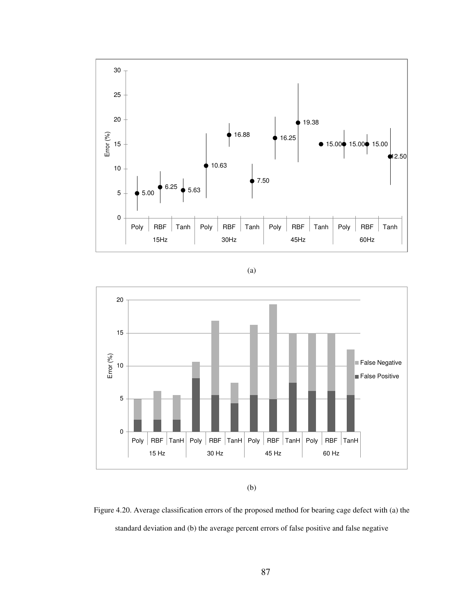

(a)



<sup>(</sup>b)

Figure 4.20. Average classification errors of the proposed method for bearing cage defect with (a) the standard deviation and (b) the average percent errors of false positive and false negative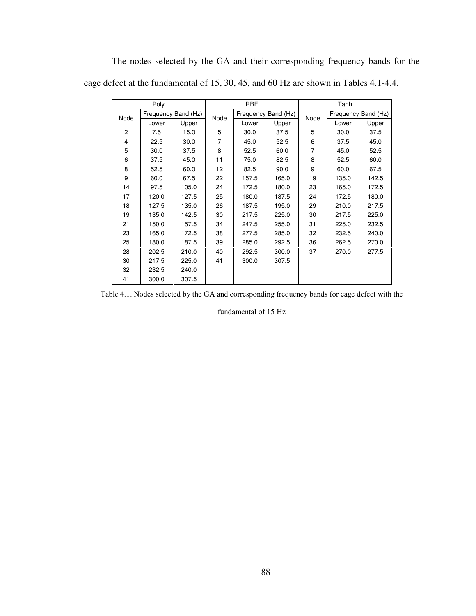The nodes selected by the GA and their corresponding frequency bands for the cage defect at the fundamental of 15, 30, 45, and 60 Hz are shown in Tables 4.1-4.4.

|                | Poly  |                     |      | <b>RBF</b> |                     | Tanh |       |                     |  |
|----------------|-------|---------------------|------|------------|---------------------|------|-------|---------------------|--|
| Node           |       | Frequency Band (Hz) | Node |            | Frequency Band (Hz) | Node |       | Frequency Band (Hz) |  |
|                | Lower | Upper               |      | Lower      | Upper               |      | Lower | Upper               |  |
| $\overline{c}$ | 7.5   | 15.0                | 5    | 30.0       | 37.5                | 5    | 30.0  | 37.5                |  |
| 4              | 22.5  | 30.0                | 7    | 45.0       | 52.5                | 6    | 37.5  | 45.0                |  |
| 5              | 30.0  | 37.5                | 8    | 52.5       | 60.0                | 7    | 45.0  | 52.5                |  |
| 6              | 37.5  | 45.0                | 11   | 75.0       | 82.5                | 8    | 52.5  | 60.0                |  |
| 8              | 52.5  | 60.0                | 12   | 82.5       | 90.0                | 9    | 60.0  | 67.5                |  |
| 9              | 60.0  | 67.5                | 22   | 157.5      | 165.0               | 19   | 135.0 | 142.5               |  |
| 14             | 97.5  | 105.0               | 24   | 172.5      | 180.0               | 23   | 165.0 | 172.5               |  |
| 17             | 120.0 | 127.5               | 25   | 180.0      | 187.5               | 24   | 172.5 | 180.0               |  |
| 18             | 127.5 | 135.0               | 26   | 187.5      | 195.0               | 29   | 210.0 | 217.5               |  |
| 19             | 135.0 | 142.5               | 30   | 217.5      | 225.0               | 30   | 217.5 | 225.0               |  |
| 21             | 150.0 | 157.5               | 34   | 247.5      | 255.0               | 31   | 225.0 | 232.5               |  |
| 23             | 165.0 | 172.5               | 38   | 277.5      | 285.0               | 32   | 232.5 | 240.0               |  |
| 25             | 180.0 | 187.5               | 39   | 285.0      | 292.5               | 36   | 262.5 | 270.0               |  |
| 28             | 202.5 | 210.0               | 40   | 292.5      | 300.0               | 37   | 270.0 | 277.5               |  |
| 30             | 217.5 | 225.0               | 41   | 300.0      | 307.5               |      |       |                     |  |
| 32             | 232.5 | 240.0               |      |            |                     |      |       |                     |  |
| 41             | 300.0 | 307.5               |      |            |                     |      |       |                     |  |

Table 4.1. Nodes selected by the GA and corresponding frequency bands for cage defect with the

fundamental of 15 Hz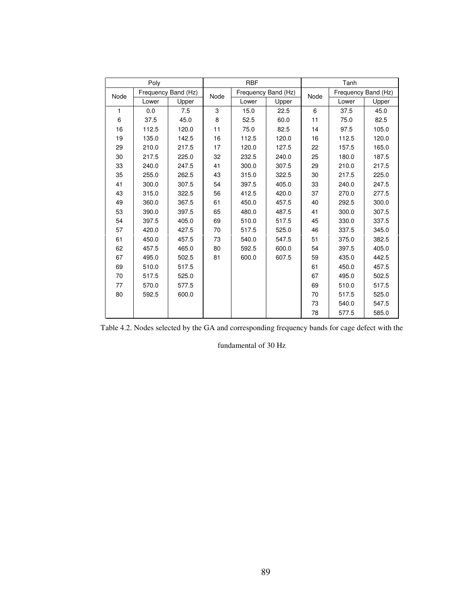|      | Poly  |                     |      | <b>RBF</b> |                     |      | Tanh  |                     |
|------|-------|---------------------|------|------------|---------------------|------|-------|---------------------|
| Node |       | Frequency Band (Hz) | Node |            | Frequency Band (Hz) | Node |       | Frequency Band (Hz) |
|      | Lower | Upper               |      | Lower      | Upper               |      | Lower | Upper               |
| 1    | 0.0   | 7.5                 | 3    | 15.0       | 22.5                | 6    | 37.5  | 45.0                |
| 6    | 37.5  | 45.0                | 8    | 52.5       | 60.0                | 11   | 75.0  | 82.5                |
| 16   | 112.5 | 120.0               | 11   | 75.0       | 82.5                | 14   | 97.5  | 105.0               |
| 19   | 135.0 | 142.5               | 16   | 112.5      | 120.0               | 16   | 112.5 | 120.0               |
| 29   | 210.0 | 217.5               | 17   | 120.0      | 127.5               | 22   | 157.5 | 165.0               |
| 30   | 217.5 | 225.0               | 32   | 232.5      | 240.0               | 25   | 180.0 | 187.5               |
| 33   | 240.0 | 247.5               | 41   | 300.0      | 307.5               | 29   | 210.0 | 217.5               |
| 35   | 255.0 | 262.5               | 43   | 315.0      | 322.5               | 30   | 217.5 | 225.0               |
| 41   | 300.0 | 307.5               | 54   | 397.5      | 405.0               | 33   | 240.0 | 247.5               |
| 43   | 315.0 | 322.5               | 56   | 412.5      | 420.0               | 37   | 270.0 | 277.5               |
| 49   | 360.0 | 367.5               | 61   | 450.0      | 457.5               | 40   | 292.5 | 300.0               |
| 53   | 390.0 | 397.5               | 65   | 480.0      | 487.5               | 41   | 300.0 | 307.5               |
| 54   | 397.5 | 405.0               | 69   | 510.0      | 517.5               | 45   | 330.0 | 337.5               |
| 57   | 420.0 | 427.5               | 70   | 517.5      | 525.0               | 46   | 337.5 | 345.0               |
| 61   | 450.0 | 457.5               | 73   | 540.0      | 547.5               | 51   | 375.0 | 382.5               |
| 62   | 457.5 | 465.0               | 80   | 592.5      | 600.0               | 54   | 397.5 | 405.0               |
| 67   | 495.0 | 502.5               | 81   | 600.0      | 607.5               | 59   | 435.0 | 442.5               |
| 69   | 510.0 | 517.5               |      |            |                     | 61   | 450.0 | 457.5               |
| 70   | 517.5 | 525.0               |      |            |                     | 67   | 495.0 | 502.5               |
| 77   | 570.0 | 577.5               |      |            |                     | 69   | 510.0 | 517.5               |
| 80   | 592.5 | 600.0               |      |            |                     | 70   | 517.5 | 525.0               |
|      |       |                     |      |            |                     | 73   | 540.0 | 547.5               |
|      |       |                     |      |            |                     | 78   | 577.5 | 585.0               |

Table 4.2. Nodes selected by the GA and corresponding frequency bands for cage defect with the

fundamental of 30 Hz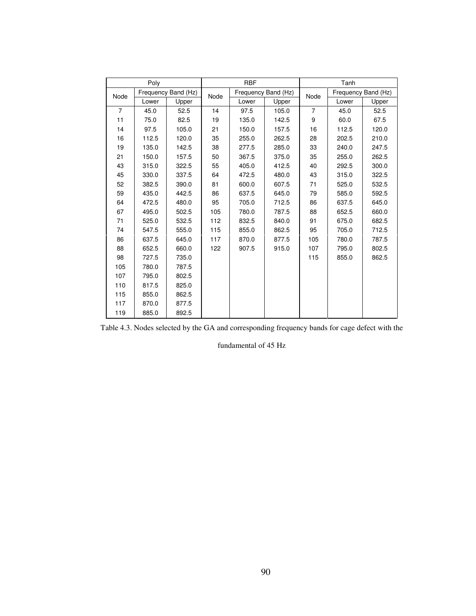|                | Poly  |                     |      | <b>RBF</b> |                     | Tanh           |       |                     |  |
|----------------|-------|---------------------|------|------------|---------------------|----------------|-------|---------------------|--|
| Node           |       | Frequency Band (Hz) | Node |            | Frequency Band (Hz) | Node           |       | Frequency Band (Hz) |  |
|                | Lower | Upper               |      | Lower      | Upper               |                | Lower | Upper               |  |
| $\overline{7}$ | 45.0  | 52.5                | 14   | 97.5       | 105.0               | $\overline{7}$ | 45.0  | 52.5                |  |
| 11             | 75.0  | 82.5                | 19   | 135.0      | 142.5               | 9              | 60.0  | 67.5                |  |
| 14             | 97.5  | 105.0               | 21   | 150.0      | 157.5               | 16             | 112.5 | 120.0               |  |
| 16             | 112.5 | 120.0               | 35   | 255.0      | 262.5               | 28             | 202.5 | 210.0               |  |
| 19             | 135.0 | 142.5               | 38   | 277.5      | 285.0               | 33             | 240.0 | 247.5               |  |
| 21             | 150.0 | 157.5               | 50   | 367.5      | 375.0               | 35             | 255.0 | 262.5               |  |
| 43             | 315.0 | 322.5               | 55   | 405.0      | 412.5               | 40             | 292.5 | 300.0               |  |
| 45             | 330.0 | 337.5               | 64   | 472.5      | 480.0               | 43             | 315.0 | 322.5               |  |
| 52             | 382.5 | 390.0               | 81   | 600.0      | 607.5               | 71             | 525.0 | 532.5               |  |
| 59             | 435.0 | 442.5               | 86   | 637.5      | 645.0               | 79             | 585.0 | 592.5               |  |
| 64             | 472.5 | 480.0               | 95   | 705.0      | 712.5               | 86             | 637.5 | 645.0               |  |
| 67             | 495.0 | 502.5               | 105  | 780.0      | 787.5               | 88             | 652.5 | 660.0               |  |
| 71             | 525.0 | 532.5               | 112  | 832.5      | 840.0               | 91             | 675.0 | 682.5               |  |
| 74             | 547.5 | 555.0               | 115  | 855.0      | 862.5               | 95             | 705.0 | 712.5               |  |
| 86             | 637.5 | 645.0               | 117  | 870.0      | 877.5               | 105            | 780.0 | 787.5               |  |
| 88             | 652.5 | 660.0               | 122  | 907.5      | 915.0               | 107            | 795.0 | 802.5               |  |
| 98             | 727.5 | 735.0               |      |            |                     | 115            | 855.0 | 862.5               |  |
| 105            | 780.0 | 787.5               |      |            |                     |                |       |                     |  |
| 107            | 795.0 | 802.5               |      |            |                     |                |       |                     |  |
| 110            | 817.5 | 825.0               |      |            |                     |                |       |                     |  |
| 115            | 855.0 | 862.5               |      |            |                     |                |       |                     |  |
| 117            | 870.0 | 877.5               |      |            |                     |                |       |                     |  |
| 119            | 885.0 | 892.5               |      |            |                     |                |       |                     |  |

Table 4.3. Nodes selected by the GA and corresponding frequency bands for cage defect with the

fundamental of 45 Hz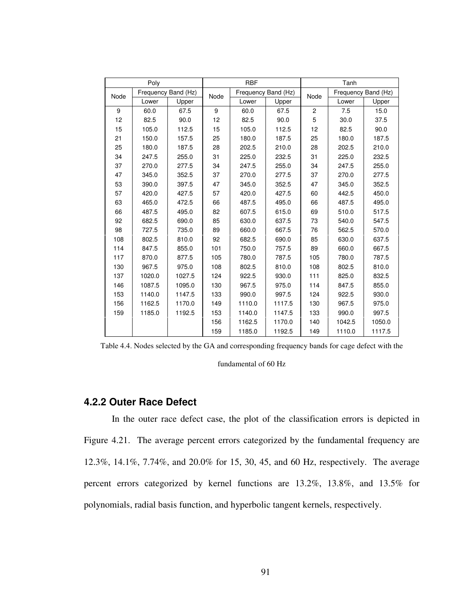|      | Poly                |        |      | <b>RBF</b>          |        | Tanh           |                     |        |  |
|------|---------------------|--------|------|---------------------|--------|----------------|---------------------|--------|--|
| Node | Frequency Band (Hz) |        | Node | Frequency Band (Hz) |        | Node           | Frequency Band (Hz) |        |  |
|      | Lower               | Upper  |      | Lower               | Upper  |                | Lower               | Upper  |  |
| 9    | 60.0                | 67.5   | 9    | 60.0                | 67.5   | $\overline{c}$ | 7.5                 | 15.0   |  |
| 12   | 82.5                | 90.0   | 12   | 82.5                | 90.0   | 5              | 30.0                | 37.5   |  |
| 15   | 105.0               | 112.5  | 15   | 105.0               | 112.5  | 12             | 82.5                | 90.0   |  |
| 21   | 150.0               | 157.5  | 25   | 180.0               | 187.5  | 25             | 180.0               | 187.5  |  |
| 25   | 180.0               | 187.5  | 28   | 202.5               | 210.0  | 28             | 202.5               | 210.0  |  |
| 34   | 247.5               | 255.0  | 31   | 225.0               | 232.5  | 31             | 225.0               | 232.5  |  |
| 37   | 270.0               | 277.5  | 34   | 247.5               | 255.0  | 34             | 247.5               | 255.0  |  |
| 47   | 345.0               | 352.5  | 37   | 270.0               | 277.5  | 37             | 270.0               | 277.5  |  |
| 53   | 390.0               | 397.5  | 47   | 345.0               | 352.5  | 47             | 345.0               | 352.5  |  |
| 57   | 420.0               | 427.5  | 57   | 420.0               | 427.5  | 60             | 442.5               | 450.0  |  |
| 63   | 465.0               | 472.5  | 66   | 487.5               | 495.0  | 66             | 487.5               | 495.0  |  |
| 66   | 487.5               | 495.0  | 82   | 607.5               | 615.0  | 69             | 510.0               | 517.5  |  |
| 92   | 682.5               | 690.0  | 85   | 630.0               | 637.5  | 73             | 540.0               | 547.5  |  |
| 98   | 727.5               | 735.0  | 89   | 660.0               | 667.5  | 76             | 562.5               | 570.0  |  |
| 108  | 802.5               | 810.0  | 92   | 682.5               | 690.0  | 85             | 630.0               | 637.5  |  |
| 114  | 847.5               | 855.0  | 101  | 750.0               | 757.5  | 89             | 660.0               | 667.5  |  |
| 117  | 870.0               | 877.5  | 105  | 780.0               | 787.5  | 105            | 780.0               | 787.5  |  |
| 130  | 967.5               | 975.0  | 108  | 802.5               | 810.0  | 108            | 802.5               | 810.0  |  |
| 137  | 1020.0              | 1027.5 | 124  | 922.5               | 930.0  | 111            | 825.0               | 832.5  |  |
| 146  | 1087.5              | 1095.0 | 130  | 967.5               | 975.0  | 114            | 847.5               | 855.0  |  |
| 153  | 1140.0              | 1147.5 | 133  | 990.0               | 997.5  | 124            | 922.5               | 930.0  |  |
| 156  | 1162.5              | 1170.0 | 149  | 1110.0              | 1117.5 | 130            | 967.5               | 975.0  |  |
| 159  | 1185.0              | 1192.5 | 153  | 1140.0              | 1147.5 | 133            | 990.0               | 997.5  |  |
|      |                     |        | 156  | 1162.5              | 1170.0 | 140            | 1042.5              | 1050.0 |  |
|      |                     |        | 159  | 1185.0              | 1192.5 | 149            | 1110.0              | 1117.5 |  |

Table 4.4. Nodes selected by the GA and corresponding frequency bands for cage defect with the

fundamental of 60 Hz

#### **4.2.2 Outer Race Defect**

In the outer race defect case, the plot of the classification errors is depicted in Figure 4.21. The average percent errors categorized by the fundamental frequency are 12.3%, 14.1%, 7.74%, and 20.0% for 15, 30, 45, and 60 Hz, respectively. The average percent errors categorized by kernel functions are 13.2%, 13.8%, and 13.5% for polynomials, radial basis function, and hyperbolic tangent kernels, respectively.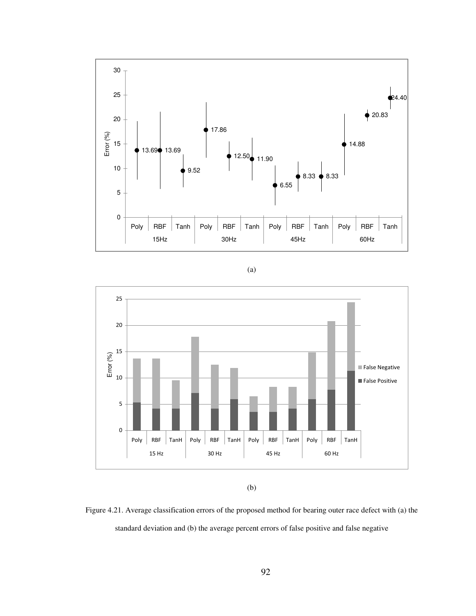





<sup>(</sup>b)

Figure 4.21. Average classification errors of the proposed method for bearing outer race defect with (a) the standard deviation and (b) the average percent errors of false positive and false negative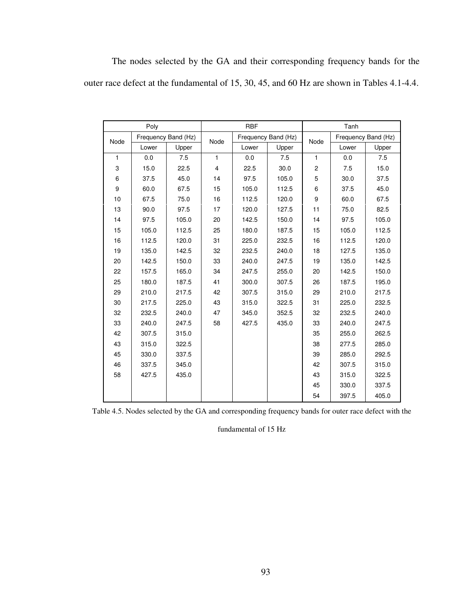|  |  |  |  | The nodes selected by the GA and their corresponding frequency bands for the               |  |  |
|--|--|--|--|--------------------------------------------------------------------------------------------|--|--|
|  |  |  |  | outer race defect at the fundamental of 15, 30, 45, and 60 Hz are shown in Tables 4.1-4.4. |  |  |

|              | Poly  |                     |                         | <b>RBF</b> |                     |              | Tanh  |                     |
|--------------|-------|---------------------|-------------------------|------------|---------------------|--------------|-------|---------------------|
| Node         |       | Frequency Band (Hz) | Node                    |            | Frequency Band (Hz) | Node         |       | Frequency Band (Hz) |
|              | Lower | Upper               |                         | Lower      | Upper               |              | Lower | Upper               |
| $\mathbf{1}$ | 0.0   | 7.5                 | $\mathbf{1}$            | 0.0        | 7.5                 | $\mathbf{1}$ | 0.0   | 7.5                 |
| 3            | 15.0  | 22.5                | $\overline{\mathbf{4}}$ | 22.5       | 30.0                | 2            | 7.5   | 15.0                |
| 6            | 37.5  | 45.0                | 14                      | 97.5       | 105.0               | 5            | 30.0  | 37.5                |
| 9            | 60.0  | 67.5                | 15                      | 105.0      | 112.5               | 6            | 37.5  | 45.0                |
| 10           | 67.5  | 75.0                | 16                      | 112.5      | 120.0               | 9            | 60.0  | 67.5                |
| 13           | 90.0  | 97.5                | 17                      | 120.0      | 127.5               | 11           | 75.0  | 82.5                |
| 14           | 97.5  | 105.0               | 20                      | 142.5      | 150.0               | 14           | 97.5  | 105.0               |
| 15           | 105.0 | 112.5               | 25                      | 180.0      | 187.5               | 15           | 105.0 | 112.5               |
| 16           | 112.5 | 120.0               | 31                      | 225.0      | 232.5               | 16           | 112.5 | 120.0               |
| 19           | 135.0 | 142.5               | 32                      | 232.5      | 240.0               | 18           | 127.5 | 135.0               |
| 20           | 142.5 | 150.0               | 33                      | 240.0      | 247.5               | 19           | 135.0 | 142.5               |
| 22           | 157.5 | 165.0               | 34                      | 247.5      | 255.0               | 20           | 142.5 | 150.0               |
| 25           | 180.0 | 187.5               | 41                      | 300.0      | 307.5               | 26           | 187.5 | 195.0               |
| 29           | 210.0 | 217.5               | 42                      | 307.5      | 315.0               | 29           | 210.0 | 217.5               |
| 30           | 217.5 | 225.0               | 43                      | 315.0      | 322.5               | 31           | 225.0 | 232.5               |
| 32           | 232.5 | 240.0               | 47                      | 345.0      | 352.5               | 32           | 232.5 | 240.0               |
| 33           | 240.0 | 247.5               | 58                      | 427.5      | 435.0               | 33           | 240.0 | 247.5               |
| 42           | 307.5 | 315.0               |                         |            |                     | 35           | 255.0 | 262.5               |
| 43           | 315.0 | 322.5               |                         |            |                     | 38           | 277.5 | 285.0               |
| 45           | 330.0 | 337.5               |                         |            |                     | 39           | 285.0 | 292.5               |
| 46           | 337.5 | 345.0               |                         |            |                     | 42           | 307.5 | 315.0               |
| 58           | 427.5 | 435.0               |                         |            |                     | 43           | 315.0 | 322.5               |
|              |       |                     |                         |            |                     | 45           | 330.0 | 337.5               |
|              |       |                     |                         |            |                     | 54           | 397.5 | 405.0               |

Table 4.5. Nodes selected by the GA and corresponding frequency bands for outer race defect with the

fundamental of 15 Hz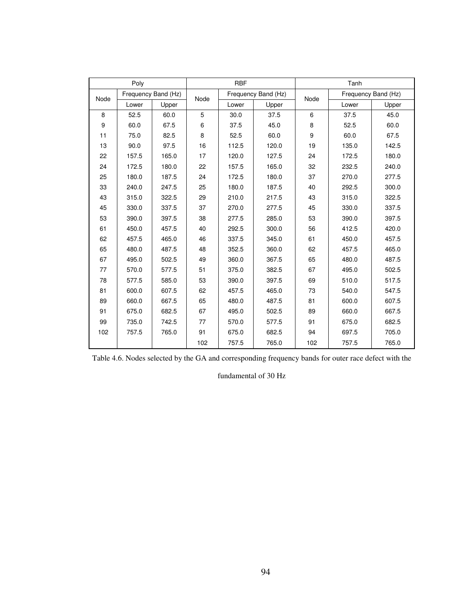|      | Poly  |                     |      | <b>RBF</b> |                     | Tanh |       |                     |  |
|------|-------|---------------------|------|------------|---------------------|------|-------|---------------------|--|
| Node |       | Frequency Band (Hz) | Node |            | Frequency Band (Hz) | Node |       | Frequency Band (Hz) |  |
|      | Lower | Upper               |      | Lower      | Upper               |      | Lower | Upper               |  |
| 8    | 52.5  | 60.0                | 5    | 30.0       | 37.5                | 6    | 37.5  | 45.0                |  |
| 9    | 60.0  | 67.5                | 6    | 37.5       | 45.0                | 8    | 52.5  | 60.0                |  |
| 11   | 75.0  | 82.5                | 8    | 52.5       | 60.0                | 9    | 60.0  | 67.5                |  |
| 13   | 90.0  | 97.5                | 16   | 112.5      | 120.0               | 19   | 135.0 | 142.5               |  |
| 22   | 157.5 | 165.0               | 17   | 120.0      | 127.5               | 24   | 172.5 | 180.0               |  |
| 24   | 172.5 | 180.0               | 22   | 157.5      | 165.0               | 32   | 232.5 | 240.0               |  |
| 25   | 180.0 | 187.5               | 24   | 172.5      | 180.0               | 37   | 270.0 | 277.5               |  |
| 33   | 240.0 | 247.5               | 25   | 180.0      | 187.5               | 40   | 292.5 | 300.0               |  |
| 43   | 315.0 | 322.5               | 29   | 210.0      | 217.5               | 43   | 315.0 | 322.5               |  |
| 45   | 330.0 | 337.5               | 37   | 270.0      | 277.5               | 45   | 330.0 | 337.5               |  |
| 53   | 390.0 | 397.5               | 38   | 277.5      | 285.0               | 53   | 390.0 | 397.5               |  |
| 61   | 450.0 | 457.5               | 40   | 292.5      | 300.0               | 56   | 412.5 | 420.0               |  |
| 62   | 457.5 | 465.0               | 46   | 337.5      | 345.0               | 61   | 450.0 | 457.5               |  |
| 65   | 480.0 | 487.5               | 48   | 352.5      | 360.0               | 62   | 457.5 | 465.0               |  |
| 67   | 495.0 | 502.5               | 49   | 360.0      | 367.5               | 65   | 480.0 | 487.5               |  |
| 77   | 570.0 | 577.5               | 51   | 375.0      | 382.5               | 67   | 495.0 | 502.5               |  |
| 78   | 577.5 | 585.0               | 53   | 390.0      | 397.5               | 69   | 510.0 | 517.5               |  |
| 81   | 600.0 | 607.5               | 62   | 457.5      | 465.0               | 73   | 540.0 | 547.5               |  |
| 89   | 660.0 | 667.5               | 65   | 480.0      | 487.5               | 81   | 600.0 | 607.5               |  |
| 91   | 675.0 | 682.5               | 67   | 495.0      | 502.5               | 89   | 660.0 | 667.5               |  |
| 99   | 735.0 | 742.5               | 77   | 570.0      | 577.5               | 91   | 675.0 | 682.5               |  |
| 102  | 757.5 | 765.0               | 91   | 675.0      | 682.5               | 94   | 697.5 | 705.0               |  |
|      |       |                     | 102  | 757.5      | 765.0               | 102  | 757.5 | 765.0               |  |

Table 4.6. Nodes selected by the GA and corresponding frequency bands for outer race defect with the

fundamental of 30 Hz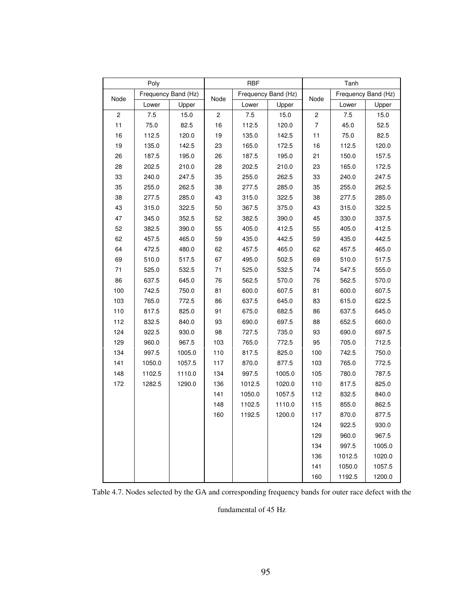| Poly                    |                     |        | <b>RBF</b>  |                     |        | Tanh           |                     |        |
|-------------------------|---------------------|--------|-------------|---------------------|--------|----------------|---------------------|--------|
|                         | Frequency Band (Hz) |        |             | Frequency Band (Hz) |        |                | Frequency Band (Hz) |        |
| Node                    | Lower               | Upper  | Node        | Lower               | Upper  | Node           | Lower               | Upper  |
| $\overline{\mathbf{c}}$ | 7.5                 | 15.0   | $\mathbf 2$ | 7.5                 | 15.0   | 2              | 7.5                 | 15.0   |
| 11                      | 75.0                | 82.5   | 16          | 112.5               | 120.0  | $\overline{7}$ | 45.0                | 52.5   |
| 16                      | 112.5               | 120.0  | 19          | 135.0               | 142.5  | 11             | 75.0                | 82.5   |
| 19                      | 135.0               | 142.5  | 23          | 165.0               | 172.5  | 16             | 112.5               | 120.0  |
| 26                      | 187.5               | 195.0  | 26          | 187.5               | 195.0  | 21             | 150.0               | 157.5  |
| 28                      | 202.5               | 210.0  | 28          | 202.5               | 210.0  | 23             | 165.0               | 172.5  |
| 33                      | 240.0               | 247.5  | 35          | 255.0               | 262.5  | 33             | 240.0               | 247.5  |
| 35                      | 255.0               | 262.5  | 38          | 277.5               | 285.0  | 35             | 255.0               | 262.5  |
| 38                      | 277.5               | 285.0  | 43          | 315.0               | 322.5  | 38             | 277.5               | 285.0  |
| 43                      | 315.0               | 322.5  | 50          | 367.5               | 375.0  | 43             | 315.0               | 322.5  |
| 47                      | 345.0               | 352.5  | 52          | 382.5               | 390.0  | 45             | 330.0               | 337.5  |
| 52                      | 382.5               | 390.0  | 55          | 405.0               | 412.5  | 55             | 405.0               | 412.5  |
| 62                      | 457.5               | 465.0  | 59          | 435.0               | 442.5  | 59             | 435.0               | 442.5  |
| 64                      | 472.5               | 480.0  | 62          | 457.5               | 465.0  | 62             | 457.5               | 465.0  |
| 69                      | 510.0               | 517.5  | 67          | 495.0               | 502.5  | 69             | 510.0               | 517.5  |
| 71                      | 525.0               | 532.5  | 71          | 525.0               | 532.5  | 74             | 547.5               | 555.0  |
| 86                      | 637.5               | 645.0  | 76          | 562.5               | 570.0  | 76             | 562.5               | 570.0  |
| 100                     | 742.5               | 750.0  | 81          | 600.0               | 607.5  | 81             | 600.0               | 607.5  |
| 103                     | 765.0               | 772.5  | 86          | 637.5               | 645.0  | 83             | 615.0               | 622.5  |
| 110                     | 817.5               | 825.0  | 91          | 675.0               | 682.5  | 86             | 637.5               | 645.0  |
| 112                     | 832.5               | 840.0  | 93          | 690.0               | 697.5  | 88             | 652.5               | 660.0  |
| 124                     | 922.5               | 930.0  | 98          | 727.5               | 735.0  | 93             | 690.0               | 697.5  |
| 129                     | 960.0               | 967.5  | 103         | 765.0               | 772.5  | 95             | 705.0               | 712.5  |
| 134                     | 997.5               | 1005.0 | 110         | 817.5               | 825.0  | 100            | 742.5               | 750.0  |
| 141                     | 1050.0              | 1057.5 | 117         | 870.0               | 877.5  | 103            | 765.0               | 772.5  |
| 148                     | 1102.5              | 1110.0 | 134         | 997.5               | 1005.0 | 105            | 780.0               | 787.5  |
| 172                     | 1282.5              | 1290.0 | 136         | 1012.5              | 1020.0 | 110            | 817.5               | 825.0  |
|                         |                     |        | 141         | 1050.0              | 1057.5 | 112            | 832.5               | 840.0  |
|                         |                     |        | 148         | 1102.5              | 1110.0 | 115            | 855.0               | 862.5  |
|                         |                     |        | 160         | 1192.5              | 1200.0 | 117            | 870.0               | 877.5  |
|                         |                     |        |             |                     |        | 124            | 922.5               | 930.0  |
|                         |                     |        |             |                     |        | 129            | 960.0               | 967.5  |
|                         |                     |        |             |                     |        | 134            | 997.5               | 1005.0 |
|                         |                     |        |             |                     |        | 136            | 1012.5              | 1020.0 |
|                         |                     |        |             |                     |        | 141            | 1050.0              | 1057.5 |
|                         |                     |        |             |                     |        | 160            | 1192.5              | 1200.0 |

Table 4.7. Nodes selected by the GA and corresponding frequency bands for outer race defect with the

fundamental of 45 Hz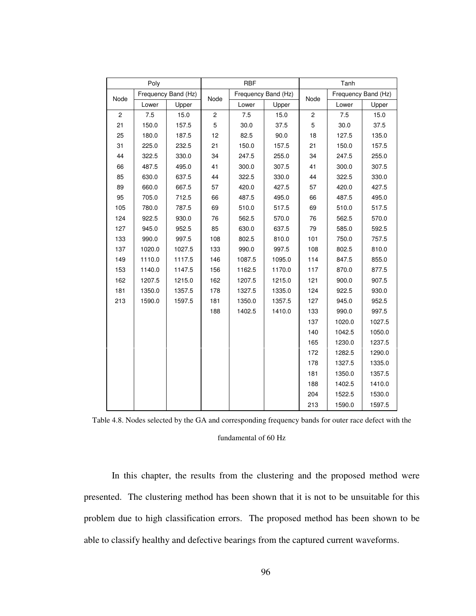| Poly         |                     |        | <b>RBF</b>     |                     |        | Tanh           |                     |        |
|--------------|---------------------|--------|----------------|---------------------|--------|----------------|---------------------|--------|
| Node         | Frequency Band (Hz) |        |                | Frequency Band (Hz) |        |                | Frequency Band (Hz) |        |
|              | Lower               | Upper  | Node           | Lower               | Upper  | Node           | Lower               | Upper  |
| $\mathbf{2}$ | 7.5                 | 15.0   | $\overline{c}$ | 7.5                 | 15.0   | $\overline{c}$ | 7.5                 | 15.0   |
| 21           | 150.0               | 157.5  | 5              | 30.0                | 37.5   | 5              | 30.0                | 37.5   |
| 25           | 180.0               | 187.5  | 12             | 82.5                | 90.0   | 18             | 127.5               | 135.0  |
| 31           | 225.0               | 232.5  | 21             | 150.0               | 157.5  | 21             | 150.0               | 157.5  |
| 44           | 322.5               | 330.0  | 34             | 247.5               | 255.0  | 34             | 247.5               | 255.0  |
| 66           | 487.5               | 495.0  | 41             | 300.0               | 307.5  | 41             | 300.0               | 307.5  |
| 85           | 630.0               | 637.5  | 44             | 322.5               | 330.0  | 44             | 322.5               | 330.0  |
| 89           | 660.0               | 667.5  | 57             | 420.0               | 427.5  | 57             | 420.0               | 427.5  |
| 95           | 705.0               | 712.5  | 66             | 487.5               | 495.0  | 66             | 487.5               | 495.0  |
| 105          | 780.0               | 787.5  | 69             | 510.0               | 517.5  | 69             | 510.0               | 517.5  |
| 124          | 922.5               | 930.0  | 76             | 562.5               | 570.0  | 76             | 562.5               | 570.0  |
| 127          | 945.0               | 952.5  | 85             | 630.0               | 637.5  | 79             | 585.0               | 592.5  |
| 133          | 990.0               | 997.5  | 108            | 802.5               | 810.0  | 101            | 750.0               | 757.5  |
| 137          | 1020.0              | 1027.5 | 133            | 990.0               | 997.5  | 108            | 802.5               | 810.0  |
| 149          | 1110.0              | 1117.5 | 146            | 1087.5              | 1095.0 | 114            | 847.5               | 855.0  |
| 153          | 1140.0              | 1147.5 | 156            | 1162.5              | 1170.0 | 117            | 870.0               | 877.5  |
| 162          | 1207.5              | 1215.0 | 162            | 1207.5              | 1215.0 | 121            | 900.0               | 907.5  |
| 181          | 1350.0              | 1357.5 | 178            | 1327.5              | 1335.0 | 124            | 922.5               | 930.0  |
| 213          | 1590.0              | 1597.5 | 181            | 1350.0              | 1357.5 | 127            | 945.0               | 952.5  |
|              |                     |        | 188            | 1402.5              | 1410.0 | 133            | 990.0               | 997.5  |
|              |                     |        |                |                     |        | 137            | 1020.0              | 1027.5 |
|              |                     |        |                |                     |        | 140            | 1042.5              | 1050.0 |
|              |                     |        |                |                     |        | 165            | 1230.0              | 1237.5 |
|              |                     |        |                |                     |        | 172            | 1282.5              | 1290.0 |
|              |                     |        |                |                     |        | 178            | 1327.5              | 1335.0 |
|              |                     |        |                |                     |        | 181            | 1350.0              | 1357.5 |
|              |                     |        |                |                     |        | 188            | 1402.5              | 1410.0 |
|              |                     |        |                |                     |        | 204            | 1522.5              | 1530.0 |
|              |                     |        |                |                     |        | 213            | 1590.0              | 1597.5 |

Table 4.8. Nodes selected by the GA and corresponding frequency bands for outer race defect with the fundamental of 60 Hz

In this chapter, the results from the clustering and the proposed method were presented. The clustering method has been shown that it is not to be unsuitable for this problem due to high classification errors. The proposed method has been shown to be able to classify healthy and defective bearings from the captured current waveforms.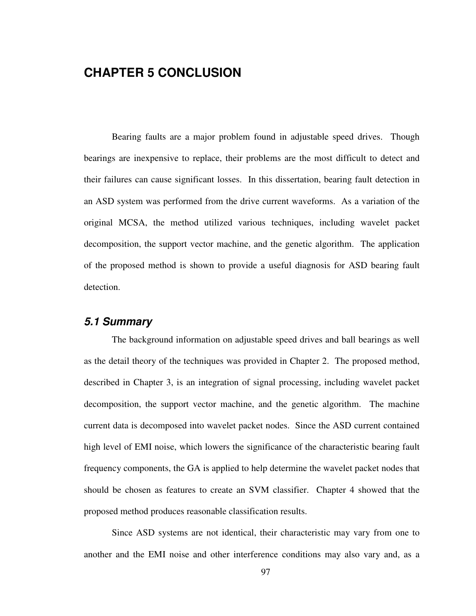# **CHAPTER 5 CONCLUSION**

Bearing faults are a major problem found in adjustable speed drives. Though bearings are inexpensive to replace, their problems are the most difficult to detect and their failures can cause significant losses. In this dissertation, bearing fault detection in an ASD system was performed from the drive current waveforms. As a variation of the original MCSA, the method utilized various techniques, including wavelet packet decomposition, the support vector machine, and the genetic algorithm. The application of the proposed method is shown to provide a useful diagnosis for ASD bearing fault detection.

#### **5.1 Summary**

The background information on adjustable speed drives and ball bearings as well as the detail theory of the techniques was provided in Chapter 2. The proposed method, described in Chapter 3, is an integration of signal processing, including wavelet packet decomposition, the support vector machine, and the genetic algorithm. The machine current data is decomposed into wavelet packet nodes. Since the ASD current contained high level of EMI noise, which lowers the significance of the characteristic bearing fault frequency components, the GA is applied to help determine the wavelet packet nodes that should be chosen as features to create an SVM classifier. Chapter 4 showed that the proposed method produces reasonable classification results.

Since ASD systems are not identical, their characteristic may vary from one to another and the EMI noise and other interference conditions may also vary and, as a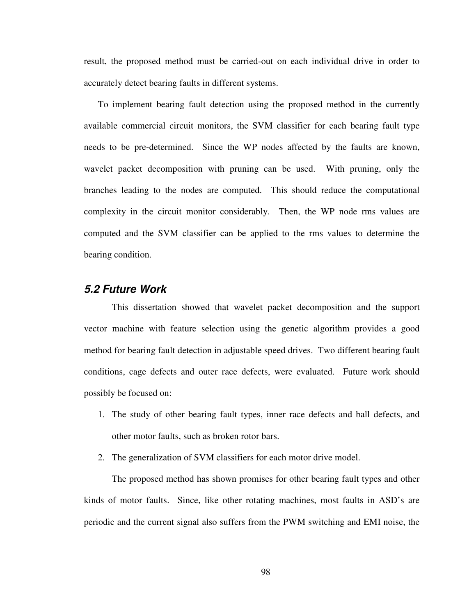result, the proposed method must be carried-out on each individual drive in order to accurately detect bearing faults in different systems.

To implement bearing fault detection using the proposed method in the currently available commercial circuit monitors, the SVM classifier for each bearing fault type needs to be pre-determined. Since the WP nodes affected by the faults are known, wavelet packet decomposition with pruning can be used. With pruning, only the branches leading to the nodes are computed. This should reduce the computational complexity in the circuit monitor considerably. Then, the WP node rms values are computed and the SVM classifier can be applied to the rms values to determine the bearing condition.

#### **5.2 Future Work**

This dissertation showed that wavelet packet decomposition and the support vector machine with feature selection using the genetic algorithm provides a good method for bearing fault detection in adjustable speed drives. Two different bearing fault conditions, cage defects and outer race defects, were evaluated. Future work should possibly be focused on:

- 1. The study of other bearing fault types, inner race defects and ball defects, and other motor faults, such as broken rotor bars.
- 2. The generalization of SVM classifiers for each motor drive model.

The proposed method has shown promises for other bearing fault types and other kinds of motor faults. Since, like other rotating machines, most faults in ASD's are periodic and the current signal also suffers from the PWM switching and EMI noise, the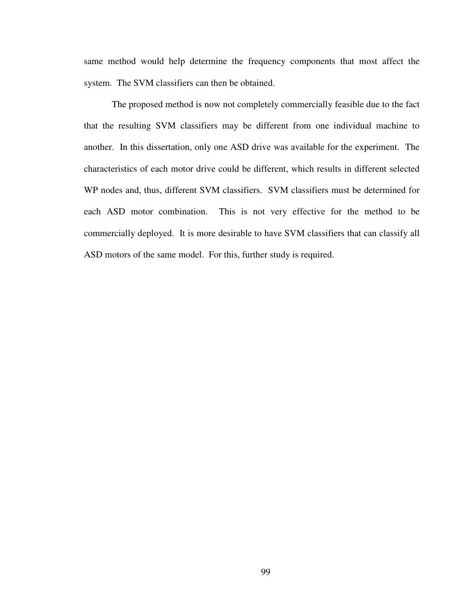same method would help determine the frequency components that most affect the system. The SVM classifiers can then be obtained.

The proposed method is now not completely commercially feasible due to the fact that the resulting SVM classifiers may be different from one individual machine to another. In this dissertation, only one ASD drive was available for the experiment. The characteristics of each motor drive could be different, which results in different selected WP nodes and, thus, different SVM classifiers. SVM classifiers must be determined for each ASD motor combination. This is not very effective for the method to be commercially deployed. It is more desirable to have SVM classifiers that can classify all ASD motors of the same model. For this, further study is required.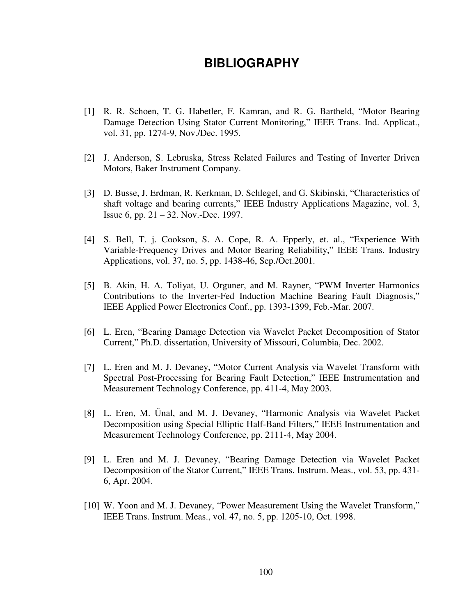## **BIBLIOGRAPHY**

- [1] R. R. Schoen, T. G. Habetler, F. Kamran, and R. G. Bartheld, "Motor Bearing Damage Detection Using Stator Current Monitoring," IEEE Trans. Ind. Applicat., vol. 31, pp. 1274-9, Nov./Dec. 1995.
- [2] J. Anderson, S. Lebruska, Stress Related Failures and Testing of Inverter Driven Motors, Baker Instrument Company.
- [3] D. Busse, J. Erdman, R. Kerkman, D. Schlegel, and G. Skibinski, "Characteristics of shaft voltage and bearing currents," IEEE Industry Applications Magazine, vol. 3, Issue 6, pp. 21 – 32. Nov.-Dec. 1997.
- [4] S. Bell, T. j. Cookson, S. A. Cope, R. A. Epperly, et. al., "Experience With Variable-Frequency Drives and Motor Bearing Reliability," IEEE Trans. Industry Applications, vol. 37, no. 5, pp. 1438-46, Sep./Oct.2001.
- [5] B. Akin, H. A. Toliyat, U. Orguner, and M. Rayner, "PWM Inverter Harmonics Contributions to the Inverter-Fed Induction Machine Bearing Fault Diagnosis," IEEE Applied Power Electronics Conf., pp. 1393-1399, Feb.-Mar. 2007.
- [6] L. Eren, "Bearing Damage Detection via Wavelet Packet Decomposition of Stator Current," Ph.D. dissertation, University of Missouri, Columbia, Dec. 2002.
- [7] L. Eren and M. J. Devaney, "Motor Current Analysis via Wavelet Transform with Spectral Post-Processing for Bearing Fault Detection," IEEE Instrumentation and Measurement Technology Conference, pp. 411-4, May 2003.
- [8] L. Eren, M. Ünal, and M. J. Devaney, "Harmonic Analysis via Wavelet Packet Decomposition using Special Elliptic Half-Band Filters," IEEE Instrumentation and Measurement Technology Conference, pp. 2111-4, May 2004.
- [9] L. Eren and M. J. Devaney, "Bearing Damage Detection via Wavelet Packet Decomposition of the Stator Current," IEEE Trans. Instrum. Meas., vol. 53, pp. 431- 6, Apr. 2004.
- [10] W. Yoon and M. J. Devaney, "Power Measurement Using the Wavelet Transform," IEEE Trans. Instrum. Meas., vol. 47, no. 5, pp. 1205-10, Oct. 1998.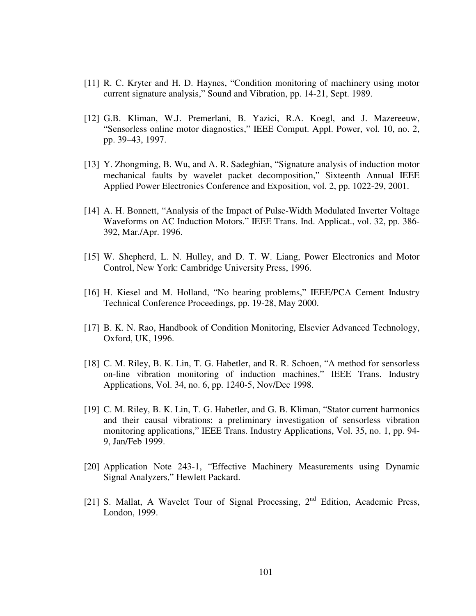- [11] R. C. Kryter and H. D. Haynes, "Condition monitoring of machinery using motor current signature analysis," Sound and Vibration, pp. 14-21, Sept. 1989.
- [12] G.B. Kliman, W.J. Premerlani, B. Yazici, R.A. Koegl, and J. Mazereeuw, "Sensorless online motor diagnostics," IEEE Comput. Appl. Power, vol. 10, no. 2, pp. 39–43, 1997.
- [13] Y. Zhongming, B. Wu, and A. R. Sadeghian, "Signature analysis of induction motor mechanical faults by wavelet packet decomposition," Sixteenth Annual IEEE Applied Power Electronics Conference and Exposition, vol. 2, pp. 1022-29, 2001.
- [14] A. H. Bonnett, "Analysis of the Impact of Pulse-Width Modulated Inverter Voltage Waveforms on AC Induction Motors." IEEE Trans. Ind. Applicat., vol. 32, pp. 386- 392, Mar./Apr. 1996.
- [15] W. Shepherd, L. N. Hulley, and D. T. W. Liang, Power Electronics and Motor Control, New York: Cambridge University Press, 1996.
- [16] H. Kiesel and M. Holland, "No bearing problems," IEEE/PCA Cement Industry Technical Conference Proceedings, pp. 19-28, May 2000.
- [17] B. K. N. Rao, Handbook of Condition Monitoring, Elsevier Advanced Technology, Oxford, UK, 1996.
- [18] C. M. Riley, B. K. Lin, T. G. Habetler, and R. R. Schoen, "A method for sensorless on-line vibration monitoring of induction machines," IEEE Trans. Industry Applications, Vol. 34, no. 6, pp. 1240-5, Nov/Dec 1998.
- [19] C. M. Riley, B. K. Lin, T. G. Habetler, and G. B. Kliman, "Stator current harmonics and their causal vibrations: a preliminary investigation of sensorless vibration monitoring applications," IEEE Trans. Industry Applications, Vol. 35, no. 1, pp. 94- 9, Jan/Feb 1999.
- [20] Application Note 243-1, "Effective Machinery Measurements using Dynamic Signal Analyzers," Hewlett Packard.
- [21] S. Mallat, A Wavelet Tour of Signal Processing,  $2<sup>nd</sup>$  Edition, Academic Press, London, 1999.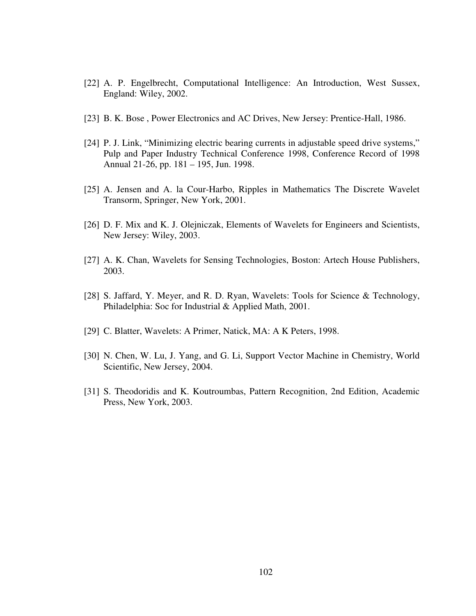- [22] A. P. Engelbrecht, Computational Intelligence: An Introduction, West Sussex, England: Wiley, 2002.
- [23] B. K. Bose , Power Electronics and AC Drives, New Jersey: Prentice-Hall, 1986.
- [24] P. J. Link, "Minimizing electric bearing currents in adjustable speed drive systems," Pulp and Paper Industry Technical Conference 1998, Conference Record of 1998 Annual 21-26, pp. 181 – 195, Jun. 1998.
- [25] A. Jensen and A. la Cour-Harbo, Ripples in Mathematics The Discrete Wavelet Transorm, Springer, New York, 2001.
- [26] D. F. Mix and K. J. Olejniczak, Elements of Wavelets for Engineers and Scientists, New Jersey: Wiley, 2003.
- [27] A. K. Chan, Wavelets for Sensing Technologies, Boston: Artech House Publishers, 2003.
- [28] S. Jaffard, Y. Meyer, and R. D. Ryan, Wavelets: Tools for Science & Technology, Philadelphia: Soc for Industrial & Applied Math, 2001.
- [29] C. Blatter, Wavelets: A Primer, Natick, MA: A K Peters, 1998.
- [30] N. Chen, W. Lu, J. Yang, and G. Li, Support Vector Machine in Chemistry, World Scientific, New Jersey, 2004.
- [31] S. Theodoridis and K. Koutroumbas, Pattern Recognition, 2nd Edition, Academic Press, New York, 2003.